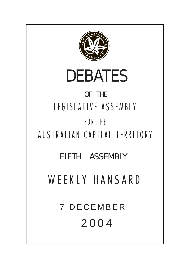

# DEBATES

# OF THE LEGISLATIVE ASSEMBLY FOR THE

AUSTRALIAN CAPITAL TERRITORY

FIFTH ASSEMBLY

WEEKLY HANSARD

7 DECEMBER 2004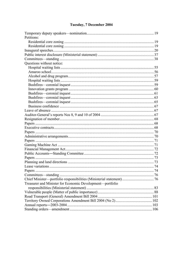# Tuesday, 7 December 2004

| Petitions:                                                |  |
|-----------------------------------------------------------|--|
|                                                           |  |
|                                                           |  |
|                                                           |  |
|                                                           |  |
|                                                           |  |
| Questions without notice:                                 |  |
|                                                           |  |
|                                                           |  |
|                                                           |  |
|                                                           |  |
|                                                           |  |
|                                                           |  |
|                                                           |  |
|                                                           |  |
|                                                           |  |
|                                                           |  |
|                                                           |  |
|                                                           |  |
|                                                           |  |
|                                                           |  |
|                                                           |  |
|                                                           |  |
|                                                           |  |
|                                                           |  |
|                                                           |  |
|                                                           |  |
|                                                           |  |
|                                                           |  |
|                                                           |  |
|                                                           |  |
| Papers                                                    |  |
|                                                           |  |
|                                                           |  |
| Treasurer and Minister for Economic Development-portfolio |  |
|                                                           |  |
|                                                           |  |
|                                                           |  |
|                                                           |  |
|                                                           |  |
|                                                           |  |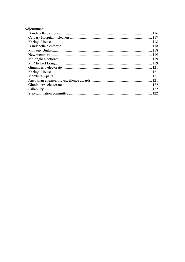| Adjournment: |  |
|--------------|--|
|              |  |
|              |  |
|              |  |
|              |  |
|              |  |
|              |  |
|              |  |
|              |  |
|              |  |
|              |  |
|              |  |
|              |  |
|              |  |
|              |  |
|              |  |
|              |  |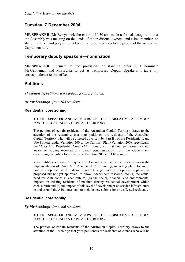# **Tuesday, 7 December 2004**

**MR SPEAKER** (Mr Berry) took the chair at 10.30 am, made a formal recognition that the Assembly was meeting on the lands of the traditional owners, and asked members to stand in silence and pray or reflect on their responsibilities to the people of the Australian Capital territory.

#### <span id="page-3-0"></span>**Temporary deputy speakers—nomination**

**MR SPEAKER**: Pursuant to the provisions of standing order 8, I nominate Mr Gentleman and Mrs Burke to act as Temporary Deputy Speakers. I table my correspondence to that effect.

## **Petitions**

*The following petitions were lodged for presentation.* 

*By* **Mr Stanhope**, *from 108 residents:* 

#### <span id="page-3-1"></span>**Residential core zoning**

TO THE SPEAKER AND MEMBERS OF THE LEGISLATIVE ASSEMBLY FOR THE AUSTRALIAN CAPITAL TERRITORY

The petition of certain residents of the Australian Capital Territory draws to the attention of the Assembly: that your petitioners are residents of the Australian Capital Territory who will be affected adversely by Part B1 of the Residential Land Use Policies under Variation 200 to the Territory Plan (Variation 200), specifically the 'Area A10 Residential Core' (A10) zones; and that your petitioners are not aware of having received any direct communication from the Government concerning the policy formulation of Variation 200 and A10 zoning.

Your petitioners therefore request the Assembly to: declare a moratorium on the implementation of 'Area A10 Residential Core' zoning, including plans for multi unit development in the design concept stage and development applications proposed but not yet approved, to allow independent research into (a) the actual need for A10 zones in each suburb, (b) the social, financial and environmental impacts on existing residents of medium density residential development within each suburb and (c) the impact of this level of development on service infrastructure in and around the A10 zones; and to include new submissions by affected residents.

#### <span id="page-3-2"></span>**Residential core zoning**

*By* **Mr Stanhope**, *from 406 residents:* 

TO THE SPEAKER AND MEMBERS OF THE LEGISLATIVE ASSEMBLY FOR THE AUSTRALIAN CAPITAL TERRITORY

The petition of certain residents of the Australian Capital Territory draws to the attention of the Assembly: that your petitioners are residents of Aranda who will be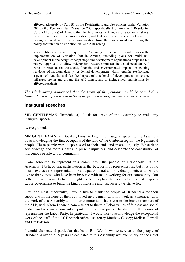affected adversely by Part B1 of the Residential Land Use policies under Variation 200 to the Territory Plan (Variation 200), specifically the 'Area A10 Residential Core' (A10 zones) of Aranda; that the A10 zones in Aranda are based on a fallacy, because there are no real Aranda shops; and that your petitioners are not aware of having received any direct communication from the Government concerning the policy formulation of Variation 200 and A10 zoning.

Your petitioners therefore request the Assembly to: declare a moratorium on the implementation of Variation 200 in Aranda, including plans for multi unit development in the design concept stage and development applications proposed but not yet approved, to allow independent research into (a) the actual need for A10 zones in Aranda, (b) the social, financial and environmental impacts on existing residents of medium density residential development within Aranda, (c) heritage aspects of Aranda, and (d) the impact of this level of development on service infrastructure in and around the A10 zones; and to include new submissions by affected residents.

*The Clerk having announced that the terms of the petitions would be recorded in Hansard and a copy referred to the appropriate minister, the petitions were received.*

# <span id="page-4-0"></span>**Inaugural speeches**

**MR GENTLEMAN** (Brindabella): I ask for leave of the Assembly to make my inaugural speech.

Leave granted.

**MR GENTLEMAN**: Mr Speaker, I wish to begin my inaugural speech to the Assembly by acknowledging the first occupants of the land of the Canberra region, the Ngunnawal people. These people were dispossessed of their lands and treated unjustly. We seek to acknowledge and redress past and present injustices, and celebrate the contribution of indigenous people to our community.

I am honoured to represent this community—the people of Brindabella—in the Assembly. I believe that participation is the best form of representation, but it is by no means exclusive to representation. Participation is not an individual pursuit, and I would like to thank those who have been involved with me in working for our community. Our collective achievements have brought me to this place, to work with this first majority Labor government to build the kind of inclusive and just society we strive for.

First, and most importantly, I would like to thank the people of Brindabella for their support, with the hope of their continued involvement with my work as a member, with the work of this Assembly and in our community. Thank you to the branch members of the ALP, with whom I share a commitment to the true Labor values of fairness and social justice, and who are a constant support for those who put our hands up for the honour of representing the Labor Party. In particular, I would like to acknowledge the exceptional work of the staff of the ACT branch office—secretary Matthew Cossey; Melissa Fairhall and Liz Bateson.

I would also extend particular thanks to Bill Wood, whose service to the people of Brindabella over the 15 years he dedicated to this Assembly was exemplary; to the Chief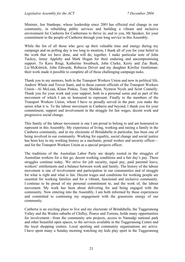Minister, Jon Stanhope, whose leadership since 2001 has effected real change in our community, in rebuilding public services and building a vibrant and inclusive environment for Canberra for Canberrans to thrive in; and to you, Mr Speaker, for your commitment to the people of Canberra through your long service in this Assembly.

While the list of all those who gave up their valuable time and energy during my campaign and on polling day is too long to mention, I thank all of you for your belief in the work that we have done, and will do, together. I make particular note of John Tuckey, Jenny Appleby and Mark Hogan for their enduring and uncompromising support. To Kave Ringi, Katherine Swarbuck, John Clarke, Kerry and Zac Bush, Liz McKittrick, John Edwards, Rebecca Driver and my daughter Kirrilee Gentleman: their work made it possible to complete all of those challenging campaign tasks.

Thank you to my mentors, both in the Transport Workers Union and now in political life, Andrew Whale and Trevor Santi, and to those current officials of the Transport Workers Union—Al McLean, Klaus Pinkas, Tony Sheldon, Nymron Nyols and Scott Connelly. Thank you for your work and your support, both in a personal sense and as part of the movement of which I am so honoured to represent. Finally to the members of the Transport Workers Union, whom I have so proudly served in the past: you make the union what it is. To the labour movement in Canberra and beyond, I thank you for your commitment, support and involvement in the struggle for fair wages, decent work and progressive social change.

This family of the labour movement is one I am proud to belong to and am honoured to represent in this Assembly. My experience of living, working and raising a family in the Canberra community, and in my electorate of Brindabella in particular, has been one of being involved in our community. Working for equality, social change and social justice has been key to my working history as a mechanic, postal worker and security officer and for the Transport Workers Union as a special projects officer.

The traditions of the Australian Labor Party are deeply rooted in the struggles of Australian workers for a fair go, decent working conditions and a fair day's pay. These struggles continue today. We strive for job security, equal pay, paid parental leave, workers' entitlements and a balance between work and family. The history of the labour movement is one of involvement and participation in our communities and of struggle for what is right and what is fair. Decent wages and conditions for working people are essential for working families and for a vibrant, functional and inclusive community. I continue to be proud of my personal commitment to, and the work of, the labour movement. My work has been about delivering for and being engaged with the community. Now entering into the Assembly, I am both informed by these experiences and committed to continuing my engagement with the grassroots energy of our community.

Canberra is an exciting place to live and my electorate of Brindabella, the Tuggeranong Valley and the Woden suburbs of Chifley, Pearce and Torrens, holds many opportunities for involvement—from the community arts projects, access to Namadgi national park and other beautiful open spaces, to the services available in the Tuggeranong Centre and the local shopping centres. Local sporting and community organisations are active. I have spent many a Sunday morning watching my kids play sport in the Tuggeranong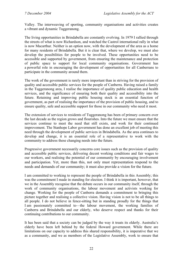Valley. The interweaving of sporting, community organisations and activities creates a vibrant and dynamic Tuggeranong.

The living opportunities in Brindabella are constantly evolving. In 1979 I rallied through the streets of what is now Richardson, and watched the Castrol international rally in what is now Macarthur. Neither is an option now, with the development of the area as a home for many residents of Brindabella. But it is clear that, where we develop, we must also develop the possibilities for people to be involved. These opportunities need to be accessible and supported by government, from ensuring the maintenance and protection of public space to support for local community organisations. Government has a powerful role in encouraging the development of opportunities for all Canberrans to participate in the community around them.

The work of the government is rarely more important than in striving for the provision of quality and accessible public services for the people of Canberra. Having raised a family in the Tuggeranong area, I realise the importance of quality public education and health services, and the significance of ensuring both their quality and accessibility into the future. Retaining and improving public housing stock is an essential function of government, as part of realising the importance of the provision of public housing, and to ensure quality, safe and accessible support for those in our community who need it most.

The extension of services to residents of Tuggeranong has been of primary concern over the last decade as the region grows and flourishes. Into the future we must ensure that the services continue to meet the need that still exists, and work for their continued improvement. The Stanhope Labor government has done an excellent job of meeting this need through the development of public services in Brindabella. As the area continues to develop and change, it is an essential role of a representative to work with the community to address these changing needs into the future.

Progressive government necessarily concerns core issues such as the provision of quality and accessible public services, delivering decent working conditions and fair wages to our workers, and realising the potential of our community by encouraging involvement and participation. Yet, more than this, not only must representation respond to the needs and demands of our community; it must also provide a vision for the future.

I am committed to working to represent the people of Brindabella in this Assembly; this was the commitment I made in standing for election. I think it is important, however, that we in the Assembly recognise that the debate occurs in our community itself, through the work of community organisations, the labour movement and activists working for change. Working for the people of Canberra demands a commitment to bringing this picture together and realising a collective vision. Having vision is not to be all things to all people. I do not believe in fence-sitting but in standing proudly for the things that I am passionately committed to—the labour movement, the working families of Canberra and Brindabella and our elderly, who deserve respect and thanks for their continuing contributions to our community.

It has been said that a society can be judged by the way it treats its elderly. Australia's elderly have been left behind by the federal Howard government. While there are limitations on our capacity to address this shared responsibility, it is imperative that we as a community, and we as members of the Legislative Assembly, work to ensure that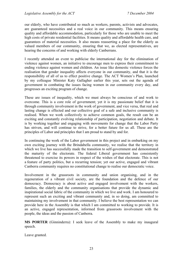our elderly, who have contributed so much as workers, parents, activists and advocates, are guaranteed necessities and a real voice in our community. This means ensuring quality and affordable accommodation, particularly for those who are unable to meet the high costs of private residential facilities. It means quality and affordable health care, and guarantees of material necessities. It also means reasserting a place for the elderly as valued members of our community, ensuring that we, as elected representatives, are hearing the concerns of and working with elderly Canberrans.

I recently attended an event to publicise the international day for the elimination of violence against women, an initiative to encourage men to express their commitment to ending violence against women and children. An issue like domestic violence forces the realisation that gender inequality affects everyone in our community, and that it is the responsibility of all of us to effect positive change. The ACT Women's Plan, launched by my colleague Minister Katy Gallagher earlier this year, sets out the agenda of government in combating the issues facing women in our community every day, and progresses an exciting program of change.

These are issues of inequality, which we must always be conscious of and work to overcome. This is a core role of government; yet it is my passionate belief that it is through community involvement in the work of government, and vice versa, that real and lasting change is effected and our collective goal of a safe and inclusive community is realised. When we work collectively to achieve common goals, the result can be an exciting and constantly evolving relationship of participation, negotiation and debate. It is by working together and engaging with movements for change that the Labor Party has striven, and will continue to strive, for a better future for us all. These are the principles of Labor and principles that I am proud to stand by and for.

In continuing the work of the Labor government in this project and in embarking on my own exciting journey with the Brindabella community, we realise that the territory in which we live has successfully made the transition to self-government and demonstrated the maturity of the electorate. The federal Liberal government has consistently threatened to exercise its powers in respect of the wishes of that electorate. This is not a feature of party politics, but a recurring tension; yet our active, engaged and vibrant Canberra community requires no constitutional change to realise our democratic voice.

Involvement in the grassroots in community and union organising, and in the regeneration of a vibrant civil society, are the foundation and the defence of our democracy. Democracy is about active and engaged involvement with the workers, families, the elderly and the community organisations that provide the dynamic and inspirational social fabric of the community in which we live and work. I am honoured to represent such an exciting and vibrant community and, in so doing, am committed to maintaining my involvement in that community. I believe the best representation we can provide here in the Assembly is that which I am committed to working to provide. It is an active, engaged representation, informed from grassroots involvement with the people, the ideas and the passion of Canberra.

**MS PORTER** (Ginninderra): I seek leave of the Assembly to make my inaugural speech.

Leave granted.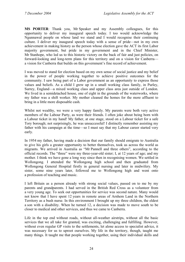**MS PORTER**: Thank you, Mr Speaker and my Assembly colleagues, for this opportunity to deliver my inaugural speech today. I too would acknowledge the Ngunnawal people on whose land we stand and I would recognise their continuing culture. I deliver my inaugural speech today with a sense of pride—not in my own achievement in making history as the person whose election gave the ACT its first Labor majority government, but pride in my government and in the Chief Minister, Mr Stanhope, who led us to this historic victory on the back of fair and just policies, on forward-looking and long-term plans for this territory and on a vision for Canberra a vision for Canberra that builds on this government's fine record of achievement.

I was moved to stand for election based on my own sense of social justice and my belief in the power of people working together to achieve positive outcomes for the community. I saw being part of a Labor government as an opportunity to express those values and beliefs. As a child I grew up in a small working class family, in Purley, Surrey, England—a mixed working class and upper class area just outside of London. We lived in a semidetached house, one of eight in the grounds of the waterworks, where my father was a shift worker. My mother cleaned the homes for the more affluent to bring in a little more disposable cash.

Whilst not wealthy, we were a very happy family. My parents were both very active members of the Labour Party, as were their friends. I often joke about being born with a Labour ticket in my hand! My father, at one stage, stood on a Labour ticket for a safe Tory borough; not surprisingly, he was unsuccessful! I distinctly remember assisting my father with his campaign at the time—so I must say that my Labour career started very early.

In 1954 my father, having made a decision that our family should emigrate to Australia to give his girls a greater opportunity to better themselves, took us across the world as migrants. We arrived in Australia as "Mr Pannell and three others", according to the official records. The "three" were my three-year-old sister; I, at 12 years of age; and my mother. I think we have gone a long way since then in recognising women. We settled in Wollongong. I attended the Wollongong high school and then graduated from Wollongong General Hospital firstly in general nursing and later in midwifery. My sister, some nine years later, followed me to Wollongong high and went onto a profession of teaching and music.

I left Britain as a person already with strong social values, passed on to me by my parents and grandparents. I had served in the British Red Cross as a volunteer from a very young age. To seek out opportunities for service was second nature. Many would not know that I have spent 12 years in remote areas of Arnhem Land in the Northern Territory as a bush nurse. In this environment I brought up my three children, the eldest a son with a disability. When he turned 12, a decision was made to move south to be closer to medical and other services, and thus we came to Canberra.

Life in the top end without roads, without all-weather airstrips, without all the basic services that we all take for granted, was exciting, challenging and fulfilling. However, without even regular GP visits to the settlements, let alone access to specialist advice, it was necessary for us to uproot ourselves. My life in the territory, though, taught me many things. It taught me that people working together, using their individual skills and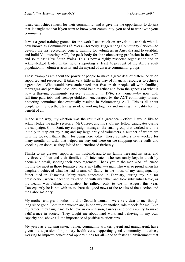ideas, can achieve much for their community; and it gave me the opportunity to do just that. It taught me that if you want to know your community, you need to work with your community.

It was a good training ground for the work I undertook on arrival: to establish what is now known as Communities @ Work—formerly Tuggeranong Community Service—to develop the first accredited generic training for volunteers in Australia and to establish and build Volunteering ACT, the peak body for the volunteering profession in the ACT and south-east New South Wales. This is now a highly respected organisation and an acknowledged leader in the field, supporting at least 40 per cent of the ACT's adult population in volunteer activity and the myriad of diverse community groups.

These examples are about the power of people to make a great deal of difference when supported and resourced. It takes very little in the way of financial resources to achieve a great deal. Who would have anticipated that five or six people, all with families, mortgages and part-time paid jobs, could band together and form the genesis of what is now a thriving community service. Similarly, in 1986, six women—by now with full-time paid jobs and teenage children—encouraged by the ACT community formed a steering committee that eventually resulted in Volunteering ACT. This is all about people joining together, taking an idea, working together and making it a reality for the benefit of all.

In the same way, my election was the result of a great team effort. I would like to acknowledge the party secretary, Mr Cossey, and his staff; my fellow candidates during the campaign; Chris Sant, my campaign manager; the small group that worked with me initially to map out my plan; and my large army of volunteers, a number of whom are with me today. I thank them for being here today. Those volunteers have worked for many months on tasks that helped me stay out there on the shopping centre stalls and knocking on doors, as they folded and letterboxed tirelessly.

Thanks to my greatest supporter, my husband, and to my family here and my sister and my three children and their families—all interstate—who constantly kept in touch by phone and email, sending their encouragement. Thank you to the man who influenced my life the most in those formative years: my father—a man who was so proud when his daughters achieved what he had dreamt of. Sadly, in the midst of my campaign, my father died in Tasmania. Many were concerned in February, during my run for preselection, when I chose to travel to be with my father and took substantial leave, as his health was failing. Fortunately he rallied, only to die in August this year. Consequently he is not with us to share the good news of the results of the election and the Labor majority.

My mother and grandmother—a dour Scottish woman—were very dear to me, though long since gone. Both these women are, in one way or another, role models for me. Like my father, they taught me to believe in compassion, fairness and one's ability to make a difference in society. They taught me about hard work and believing in my own capacity and, above all, the importance of positive relationships.

My years as a nursing sister, trainer, community worker, parent and grandparent, have given me a passion for primary health care, supporting good community initiatives, working to improve educational opportunities for all—and to foster an environment that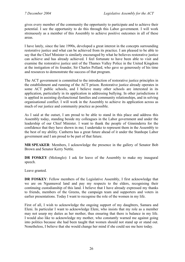gives every member of the community the opportunity to participate and to achieve their potential. I see the opportunity to do this through this Labor government. I will work strenuously as a member of this Assembly to achieve positive outcomes in all of these areas.

I have lately, since the late 1990s, developed a great interest in the concepts surrounding restorative justice and what can be achieved from its practice. I am pleased to be able to say that the Chief Minister is similarly encouraged by what he believes restorative justice can achieve and has already achieved. I feel fortunate to have been able to visit and examine the restorative justice unit of the Thames Valley Police in the United Kingdom at the instigation of its founder, Sir Charles Pollard, who gave so generously of his time and resources to demonstrate the success of that program.

The ACT government is committed to the introduction of restorative justice principles in the establishment and running of the ACT prison. Restorative justice already operates in some ACT public schools, and I believe many other schools are interested in its application, particularly in its application in addressing bullying. In other jurisdictions it is applied in assisting dysfunctional families and community relationships, and in solving organisational conflict. I will work in the Assembly to achieve its application across as much of our justice and community practice as possible.

As I said at the outset, I am proud to be able to stand in this place and address this Assembly today, standing beside my colleagues in the Labor government and under the leadership of our Chief Minister. I want to thank the people of Ginninderra for the confidence that they have shown in me; I undertake to represent them in the Assembly to the best of my ability. Canberra has a great future ahead of it under the Stanhope Labor government and I am proud to be part of that future.

**MR SPEAKER**: Members, I acknowledge the presence in the gallery of Senator Bob Brown and Senator Kerry Nettle.

**DR FOSKEY** (Molonglo): I ask for leave of the Assembly to make my inaugural speech.

Leave granted.

**DR FOSKEY**: Fellow members of the Legislative Assembly, I first acknowledge that we are on Ngunnawal land and pay my respects to the elders, recognising their continuing custodianship of this land. I believe that I have already expressed my thanks to friends, members of the Greens, the campaign team and supporters and voters in earlier presentations. Today I want to recognise the role of the women in my life.

First of all, I wish to acknowledge the ongoing support of my daughters, Samara and Eleni. In particular I want to acknowledge Eleni, who insists that my role as a member may not usurp my duties as her mother, thus ensuring that there is balance in my life. I would also like to acknowledge my mother, who constantly warned me against going into politics because she had been taught that women should not stand up or stand out. Nonetheless, I believe that she would change her mind if she could see me here today.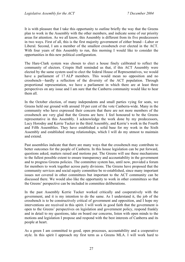It is with pleasure that I take this opportunity to outline briefly the way that the Greens plan to work in the Assembly with the other members, and indicate some of our priority areas for attention. As we all know, this Assembly is different from its five predecessors in two ways. First of all, this is the first majority government of either brand—Labor or Liberal. Second, I am a member of the smallest crossbench ever elected in the ACT. With four years of this Assembly to run, this morning I would like to consider the opportunities in this new political configuration.

The Hare-Clark system was chosen to elect a house finely calibrated to reflect the community of electors. Crispin Hull reminded us that, if this ACT Assembly were elected by the same system used to elect the federal House of Representatives, we would have a parliament of 17 ALP members. This would mean no opposition and no crossbench—hardly a reflection of the diversity of the ACT population. Through proportional representation, we have a parliament in which there are at least three perspectives on any issue and I am sure that the Canberra community would like to hear them all.

In the October election, of many independents and small parties vying for seats, we Greens held our ground with around 10 per cent of the vote Canberra-wide. Many in the community who have expressed their concern that there are not more members of the crossbench are very glad that the Greens are here. I feel honoured to be the Greens representative in this Assembly. I acknowledge the work done by my predecessors, Lucy Horodny and Kerrie Tucker in the third Assembly, and Kerrie's work in the Fourth and Fifth Assemblies. They have established a solid base for my work in the Sixth Assembly and established strong relationships, which I will do my utmost to maintain and extend.

Past assemblies indicate that there are many ways that the crossbench may contribute to better outcomes for the people of Canberra. In this house legislation can be put forward, questions asked, matters raised and motions put. The Greens will use these mechanisms to the fullest possible extent to ensure transparency and accountability in the government and to progress Greens policies. The committee system has, until now, provided a forum for members to work together across party divisions. The Greens have proposed that the community services and social equity committee be re-established, since many important issues not covered in other committees but important to the ACT community can be discussed there. We would also like the opportunity to work in other committees so that the Greens' perspective can be included in committee deliberations.

In the past Assembly Kerrie Tucker worked critically and cooperatively with the government, and it is my intention to do the same. As I understand it, the job of the crossbench is to be constructively critical of government and opposition, and I hope my interventions are received in this spirit. I will work in good faith that the government is open to the Greens' perspectives on legislation and government policy, respond frankly and in detail to my questions, take on board our concerns, listen with open minds to the motions and legislation I propose and respond with the best interests of Canberra and its people at heart.

As a green I am committed to good, open processes, accountability and a cooperative style. In this spirit I approach my first term as a Greens MLA. I will work hard to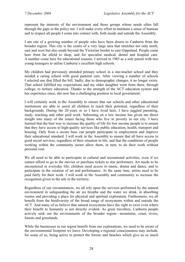represent the interests of the environment and those groups whose needs often fall through the gaps in the policy net. I will make every effort to maintain a sense of humour and to respect all people I come into contact with, both inside and outside the Assembly.

I am one of a growing number of people who have been drawn to Canberra from the broader region. This city is the centre of a very large area that stretches not only north, east and west but also south beyond the Victorian border to east Gippsland. People come here from far afield to shop, and for specialist medical, dental and hospital care. A number come here for educational reasons. I arrived in 1985 as a sole parent with two young teenagers to utilise Canberra's excellent high schools.

My children had previously attended primary school in a one-teacher school and they needed a caring school with good pastoral care. After viewing a number of schools I selected one that filled the bill. Sadly, due to demographic changes, it no longer exists. That school fulfilled my expectations and my older daughter went from there, through college, to tertiary education. Thanks to the strength of the ACT education system and her experience since, she now has a challenging position in local government.

I will certainly work in the Assembly to ensure that our schools and other educational institutions are able to assist all children to reach their potential, regardless of their backgrounds. During the 20 years or so I have lived here, I have juggled parenting, study, teaching and other paid work. Subsisting on a low income has given me direct insight into many of the issues facing those who live in poverty in our city. I have learned that the best way to increase the quality of life for low income people is to ensure that they have access to high-quality services like public education, health, transport and housing. Only from a secure base can people participate in employment and improve their educational standard. I will work in the Assembly to ensure that all have access to good social services, regardless of their situation in life, and that the conditions of people working within the community sector allow them, in turn, to do their work without personal cost.

We all need to be able to participate in cultural and recreational activities, even if we cannot afford to go to the movies or purchase tickets to star performers. Art needs to be encountered in everyday life; children need access to music, drama and dance, and to participate in the creation of art and performance. At the same time, artists need to be paid fairly for their work. I will work in the Assembly and community to increase the recognition given to the arts in the territory.

Regardless of our circumstances, we all rely upon the services performed by the natural environment in safeguarding the air we breathe and the water we drink, in absorbing wastes and providing a place for physical and spiritual exploration. Furthermore, we all benefit from the biodiversity of the broad range of ecosystems within and outside the ACT. And many of us believe that natural ecosystems have the right to exist even where their benefit to humanity is not directly evident. As great travellers, Canberra people actively seek out the environments of the broader region—mountains, coast, rivers, forests and grasslands.

While the businesses in our region benefit from our explorations, we need to be aware of the environmental footprint we leave. Developing a regional consciousness may include, for some of us, being active to protect the forests and beaches which give us so much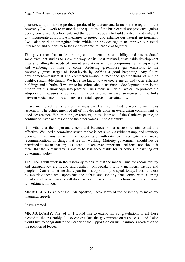pleasure, and prioritising products produced by artisans and farmers in the region. In the Assembly I will work to ensure that the qualities of the bush capital are protected against poorly conceived development, and that our endeavours to build a vibrant and coherent city incorporate appropriate measures to protect and enhance our natural environment. I will also work to strengthen links within the broader region to improve our social interaction and our ability to tackle environmental problems together.

This government has made a strong commitment to sustainability, and has produced some excellent studies to show the way. At its most minimal, sustainable development means fulfilling the needs of current generations without compromising the enjoyment and wellbeing of those to come. Reducing greenhouse gas emissions to the Assembly-agreed target of 1990 levels by 2008 is a good beginning. Any future development—residential and commercial—should meet the specifications of a high quality, sustainable design. We have the know-how to create energy and water-efficient buildings and suburbs. If we are to be serious about sustainable development, now is the time to put this knowledge into practice. The Greens will do all we can to promote the adoption of measures to achieve this target and to increase awareness of the links between social, economic and environmental aspects of sustainability.

I have mentioned just a few of the areas that I am committed to working on in this Assembly. The achievement of all of this depends upon an overarching commitment to good governance. We urge the government, in the interests of the Canberra people, to continue to listen and respond to the other voices in the Assembly.

It is vital that the important checks and balances in our system remain robust and effective. We need a committee structure that is not simply a rubber stamp, and statutory oversight mechanisms with the power and authority to investigate and make recommendations on things that are not working. Majority government should not be permitted to mean that any less care is taken over important decisions; nor should it mean that the bureaucracy is able to be less accountable for its actions in carrying out government policy.

The Greens will work in the Assembly to ensure that the mechanisms for accountability and transparency are sound and resilient. Mr Speaker, fellow members, friends and people of Canberra, let me thank you for this opportunity to speak today. I wish to close by assuring those who appreciate the debate and scrutiny that comes with a strong crossbench that we Greens will do all we can to serve these functions. We look forward to working with you.

**MR MULCAHY** (Molonglo): Mr Speaker, I seek leave of the Assembly to make my inaugural speech.

Leave granted.

**MR MULCAHY**: First of all I would like to extend my congratulations to all those elected to the Assembly; I also congratulate the government on its success; and I also would like to congratulate the Leader of the Opposition on his unanimous re-election to the position of leader.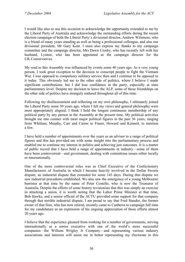I would like also to use this occasion to acknowledge the opportunity extended to me by the Liberal Party of Australia and acknowledge the outstanding efforts during the recent election campaign of both the Liberal Party's divisional director, Andrew Wilsmore, who is a friend of many years standing as well as being a professional colleague, and also our divisional president, Mr Gary Kent. I must also express my thanks to my campaign committee and the campaign director, Mrs Dawn Crosby, who has recently left with her husband, Lynton, who has been appointed as the campaign director for the UK Conservatives.

My road to this Assembly was influenced by events some 40 years ago. As a very young person, I took great exception to the decision to conscript people to fight the Vietnam War. I was opposed to compulsory military service then and I continue to be opposed to it today. This obviously led me to the other side of politics, where I believe I made significant contributions; but I did lose confidence in the party, especially at state parliamentary level. Despite my decision to leave the ALP, some of those friendships on the other side of politics have strangely endured throughout all of this time.

Following my disillusionment and reflecting on my own philosophy, I ultimately joined the Liberal Party some 30 years ago, where I felt my views and general philosophy were most appropriately aligned. I think I hold the longest continuous membership of any political party by any person in the Assembly at the present time. My political activities brought me into contact with most major political figures in the past 36 years, ranging from Whitlam, Murphy, Carr and Cairns to Fraser, Howard and Kennett, to mention a few.

I have held a number of appointments over the years as an advisor to a range of political figures and this has provided me with some insight into the parliamentary process and enabled me to continue my interest in politics and achieving just outcomes. It is a matter of public record that I have held a range of appointments in industry—some of them have been controversial—and government, dealing with contentious issues either locally or internationally.

One of the more controversial roles was as Chief Executive of the Confectionery Manufacturers of Australia in which I became heavily involved in the Dollar Sweets dispute, an industrial dispute that extended for some 143 days. During that dispute we saw industrial precedents established. We also saw the emergence of a young Melbourne barrister at that time by the name of Peter Costello, who is now the Treasurer of Australia. Despite the efforts of some history revisionists that this was simply an exercise in attacking a union, it is worth noting that the Labor Prime Minister at that time, Bob Hawke, and a senior official of the ACTU provided some support for that company through that terrible industrial dispute. I am proud to say that Fred Stauder, the former owner of that firm, who has now retired, recently came to Canberra to campaign full time for my candidature as an expression of his ongoing appreciation of those efforts almost 20 years ago.

I believe that the experience gleaned from working for a number of governments, serving internationally as a senior executive with one of the world's more successful companies—the William Wrigley Jr Company—and representing various industry associations and interests will assist me in better representing my electorate in this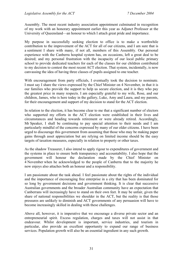Assembly. The most recent industry association appointment culminated in recognition of my work with an honorary appointment earlier this year as Adjunct Professor at the University of Queensland—an honour to which I attach great pride and importance.

My purpose in successfully seeking election to office is to make a worthwhile contribution to the improvement of the ACT for all of our citizens, and I am sure that is a sentiment I share with many, if not all, members of this Assembly. Our personal experience with the Canberra hospital system has, on occasions, left a great deal to be desired; and my personal frustration with the incapacity of our local public primary school to provide dedicated teachers for each of the classes for our children contributed to my decision to contest the most recent ACT election. That system, incidentally, is now canvassing the idea of having three classes of pupils assigned to one teacher.

With encouragement from party officials, I eventually took the decision to nominate. I must say I share the views expressed by the Chief Minister on 4 November, in that it is our families who provide the support to help us secure election, and it is they who pay the greatest price in many respects. I am especially grateful to my wife, Rose, and our children, James, who is here today in the gallery, Luke, Amy and Laura, and my parents, for their encouragement and support of my decision to stand for the ACT election.

In relation to the election, it has become clear to me that a significant number of electors who supported my efforts in the ACT election were established in their lives and circumstances and heading towards retirement or were already retired. Accordingly, Mr Speaker, I shall be continuing to pay special attention to their needs and I am particularly mindful of the concerns expressed by many of our older citizens. I have been urged to discourage this government from assuming that those who may be making paper gains through asset appreciation but are relying on limited income should be the easy targets of taxation measures, especially in relation to property or other taxes.

As the shadow Treasurer, I also intend to apply rigour to expenditures of government and the systems in place to ensure both transparency and accountability. I also hope that the government will honour the declaration made by the Chief Minister on 4 November when he acknowledged to the people of Canberra that to the majority he now enjoys also attaches both an honour and a responsibility.

I am passionate about the task ahead. I feel passionate about the rights of the individual and the importance of encouraging free enterprise in a city that has been dominated for so long by government decisions and government thinking. It is clear that successive Australian governments and the broader Australian community have an expectation that Canberrans will increasingly have to stand on their own feet. It may be unfair, given the share of national responsibilities we shoulder in the ACT, but the reality is that those pressures are unlikely to diminish and ACT governments of any persuasion will have to become increasingly skilled in dealing with these challenges.

Above all, however, it is imperative that we encourage a diverse private sector and an entrepreneurial spirit. Excess regulation, charges and taxes will not assist in that endeavour. Whilst development is important, service industries, and tourism in particular, also provide an excellent opportunity to expand our range of business services. Population growth will also be an essential ingredient in any such growth.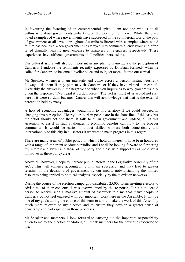In favouring the fostering of an entrepreneurial spirit, I am not one who is at all enthusiastic about governments embarking on the world of commerce. Whilst there are noted examples of where governments have succeeded in the commercial world, the path of government at all levels throughout Australia is littered with examples where noted failure has occurred when government has strayed into commercial endeavour and often failed dismally, leaving great expense to taxpayers or ratepayers respectively. These experiences have afflicted governments of all political persuasions.

Our cultural assets will also be important in any plan to re-invigorate the perception of Canberra. I endorse the sentiments recently expressed by Dr Brian Kennedy when he called for Canberra to become a livelier place and to inject more life into our capital.

Mr Speaker, whenever I am interstate and come across a person visiting Australia I always ask them if they plan to visit Canberra or if they have visited our capital. Invariably the answer is in the negative and when you inquire as to why, you are usually given the response, "I've heard it's a dull place." The fact is, most of us would not stay here if it were so dull, but most Canberrans will acknowledge that that is the external perception held by many.

A host of economic advantages would flow to this territory if we could succeed in changing this perception. Clearly our tourism people are in the front line of this task but the effort should not end there. It falls to all in government and, indeed, all in this Assembly to assist in such challenges if economic benefits can flow to the broader community. It would be easier to attract skilled workers both domestically and internationally to this city in all sectors if we were to make progress in this regard.

There are many areas of public policy in which I hold an interest. I have been honoured with a range of important shadow portfolios and I shall be looking forward to furthering my interest and views and those of my party and those who support us as we discuss initiatives in these policy areas.

Above all, however, I hope to increase public interest in the Legislative Assembly of the ACT. This will enhance accountability if I am successful and may lead to greater scrutiny of the decisions of government by our media, notwithstanding the limited resources being applied to political analysis, especially by the television networks.

During the course of the election campaign I distributed 25,000 forms inviting electors to advise me of their concerns. I was overwhelmed by the response. For a non-elected person to receive such a massive amount of casework told me that many people in Canberra do not feel engaged with our important work here in the Assembly. It will be one of my goals during the course of this term to aim to make the work of this Assembly much more relevant to my electors and to ensure they develop a greater sense of ownership and participation in those processes.

Mr Speaker and members, I look forward to carrying out the important responsibility given to me by the electors of Molonglo. I thank members for the courtesies extended to me.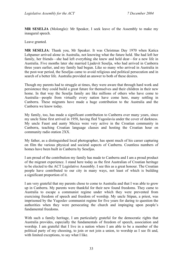**MR SESELJA** (Molonglo): Mr Speaker, I seek leave of the Assembly to make my inaugural speech.

Leave granted.

**MR SESELJA**: Thank you, Mr Speaker. It was Christmas Day 1970 when Katica Lehpamer arrived alone in Australia, not knowing what the future held. She had left her family, her friends—she had left everything she knew and held dear—for a new life in Australia. Five months later she married Ljudevit Seselja, who had arrived in Canberra three years earlier, and my family had begun. Like so many who arrived in Australia in the post-war period, the Seseljas came to avoid religious and political persecution and in search of a better life. Australia provided an answer to both of these desires.

Though my parents had to struggle at times, they were aware that through hard work and persistence they could build a great future for themselves and their children in their new home. In that way the Seselja family are like millions of others who have come to Australia—people from virtually every nation have come here, many settling in Canberra. These migrants have made a huge contribution to the Australia and the Canberra we know today.

My family, too, has made a significant contribution to Canberra over many years, since my uncle Sime first arrived in 1958, having fled Yugoslavia under the cover of darkness. My uncle Faust and aunty Micica were very active in the Croatian community in Canberra, teaching Croatian language classes and hosting the Croatian hour on community radio station 2XX.

My father, as a distinguished local photographer, has spent much of his career capturing on film the various physical and societal aspects of Canberra. Countless numbers of homes have been built in Canberra by Seseljas.

I am proud of the contribution my family has made to Canberra and I am a proud product of the migrant experience. I stand here today as the first Australian of Croatian heritage to be elected to the ACT Legislative Assembly. I see this as a great honour. The Croatian people have contributed to our city in many ways, not least of which is building a significant proportion of it.

I am very grateful that my parents chose to come to Australia and that I was able to grow up in Canberra. My parents were thankful for their new found freedoms. They came to Australia to escape a communist regime under which they were prevented from exercising freedom of speech and freedom of worship. My uncle Stipan, a priest, was imprisoned by the Yugoslav communist regime for five years for daring to question the authorities when they were persecuting the church and impinging upon people's fundamental freedoms.

With such a family heritage, I am particularly grateful for the democratic rights that Australia provides, especially the fundamentals of freedom of speech, association and worship. I am grateful that I live in a nation where I am able to be a member of the political party of my choosing, to join or not join a union, to worship as I see fit and, with limited exceptions, to say what I like.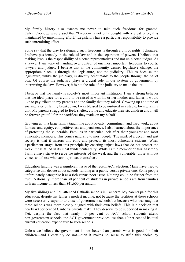My family history also teaches me never to take such freedoms for granted. Calvin Coolidge wisely said that "Freedom is not only bought with a great price; it is maintained by unremitting effort." Legislators have a particular responsibility to provide such unremitting effort.

Some say that the way to safeguard such freedoms is through a bill of rights. I disagree. I believe passionately in the rule of law and in the separation of powers. I believe that making laws is the responsibility of elected representatives and not un-elected judges. As a lawyer I am wary of handing over control of our most important freedoms to courts, lawyers and judges. I believe that if the community desires legislative change, the appropriate place is through the legislature, not the judiciary. This is because the legislature, unlike the judiciary, is directly accountable to the people through the ballot box. Of course the judiciary plays a crucial role in our system of government by interpreting the law. However, it is not the role of the judiciary to make the law.

I believe that the family is society's most important institution. I am a strong believer that the ideal place for a child to be raised is with his or her mother and father. I would like to pay tribute to my parents and the family that they raised. Growing up at a time of soaring rates of family breakdown, I was blessed to be nurtured in a stable, loving family unit. My parents struggled to feed, shelter, clothe and educate their six children and I will be forever grateful for the sacrifices they made on my behalf.

Growing up in a large family taught me about loyalty, commitment and hard work, about fairness and equity, competitiveness and persistence. I also learned about the importance of protecting the vulnerable. Families in particular look after their youngest and most vulnerable members. This comes naturally to most people. The mark of a decent and just society is that it mirrors this ethic and protects its most vulnerable citizens. When a parliament strays from this principle by enacting unjust laws that do not protect the weak, it has failed in its most fundamental duty. While I am a member of this Assembly I will always strive to serve the interests of the weak and the vulnerable, those without voices and those who cannot protect themselves.

Education funding was a significant issue of the recent ACT election. Many have tried to categorise this debate about schools funding as a public versus private one. Some people unfortunately categorise it as a rich versus poor issue. Nothing could be further from the truth. Nationally, more than 30 per cent of students in private schools are from families with an income of less than \$41,600 per annum.

My five siblings and I all attended Catholic schools in Canberra. My parents paid for this education, despite my father's modest income, not because the facilities at these schools were necessarily superior to those of government schools but because what was taught at these schools was more closely aligned with their own beliefs. This is a decision that nearly 40 per cent of Canberra parents make. They deserve to be supported in making it. Yet, despite the fact that nearly 40 per cent of ACT school students attend non-government schools, the ACT government provides less than 10 per cent of its total current education expenditure to such schools.

Unless we believe the government knows better than parents what is good for their children—and I certainly do not—then it makes no sense to stifle this choice by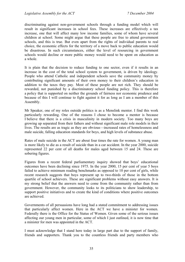discriminating against non-government schools through a funding model which will result in significant increases in school fees. These increases are effectively a tax increase, one that will affect many low income families, some of whom have several children at school. Some might argue that these people are free to attend government schools, and this is true. But even apart from the rights of individual parents to real choice, the economic effects for the territory of a move back to public education would be disastrous. In such circumstances, either the level of resourcing in government schools would decline or more public money would need to be spent on education as a whole.

It is plain that the decision to reduce funding to one sector, even if it results in an increase in the cost of the total school system to government, is driven by ideology. People who attend Catholic and independent schools save the community money by contributing significant amounts of their own money to their children's education in addition to the taxes they pay. Most of these people are not rich. They should be rewarded, not punished by a discriminatory school funding policy. This is therefore a policy that is supported on neither the grounds of fairness nor economic prudence and because of this I will continue to fight against it for as long as I am a member of this Assembly.

Mr Speaker, one of my roles outside politics is as a Menslink mentor. I find this work particularly rewarding. One of the reasons I chose to become a mentor is because I believe that there is a crisis in masculinity in modern society. Too many boys are growing up separated from their fathers and without significant male role models in their lives. The results are as tragic as they are obvious—increased rates of homelessness and male suicide, falling education standards for boys, and high levels of substance abuse.

Rates of male suicide in the ACT are about four times the rate for women. A young man is more likely to die as a result of suicide than in a car accident. In the year 2000, suicide represented 22 per cent of all deaths for males aged between 15 and 24. These are sobering figures.

Figures from a recent federal parliamentary inquiry showed that boys' educational outcomes have been declining since 1975. In the year 2000, 15 per cent of year 5 boys failed to achieve minimum reading benchmarks as opposed to 10 per cent of girls, while recent research suggests that boys represent up to two-thirds of those in the bottom quartile of school achievers. These are significant problems without easy answers. It is my strong belief that the answers need to come from the community rather than from government. However, the community looks to its politicians to show leadership, to support positive initiatives and to create the kind of conditions where positive outcomes are achieved.

Governments of all persuasions have long had a stated commitment to addressing issues that particularly affect women. Here in the ACT we have a minister for women. Federally there is the Office for the Status of Women. Given some of the serious issues affecting our young men in particular, some of which I just outlined, it is now time that a minister for men was appointed in the ACT.

I must acknowledge that I stand here today in large part due to the support of family, friends and supporters. Thank you to the countless friends and party members who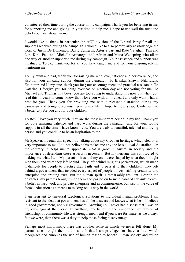volunteered their time during the course of my campaign. Thank you for believing in me, for supporting me and giving up your time to help me. I hope to use well the trust and belief you have shown in me.

I would like to thank in particular the ACT division of the Liberal Party for all the support I received during the campaign. I would like to also particularly acknowledge the work of Justin De Domenico, David Cameron, Artur Stuart and Kate Vaughan, Tim and Lara Kirk, Paul and Michelle Armarego, and Adrian and Matia Wellspring who all in one way or another supported me during my campaign. Your assistance and support was invaluable. To JK, thank you for all you have taught me and for your ongoing role in mentoring me.

To my mum and dad, thank you for raising me with love, patience and perseverance, and also for your amazing support during the campaign. To Branka, Shawn, Nik, Lidia, Zvonimir and Kerryanne, thank you for your encouragement and practical assistance. To Katarina, I forgive you for being overseas on election day and not voting for me. To Michael and Thomas, my boys: you are too young to understand this now but when you read this in years to come, know that I love you with all my heart and only want what is best for you. Thank you for providing me with a pleasant distraction during my campaign and bringing so much joy to my life. I hope to help shape Canberra into a better city for you and for your children.

To Ros, I love you very much. You are the most important person in my life. Thank you for your amazing patience and hard work during the campaign, and for your loving support in all the time I have known you. You are truly a beautiful, talented and loving person and you continue to be an inspiration to me.

Mr Speaker, I began this speech by talking about my Croatian heritage, which clearly is very important to me. I do not believe this makes me any the less a loyal Australian. On the contrary, it helps me to appreciate what is good in Australian society and the importance of defending those aspects if necessary. But my heritage has contributed to making me what I am. My parents' lives and my own were shaped by what they brought with them and what they left behind. They left behind religious persecution, which made it difficult for people to practise their faith and to pass it to their children. They left behind a government that invaded every aspect of people's lives, stifling creativity and enterprise and eroding trust. But the human spirit is remarkably resilient. Despite the obstacles, my parents brought with them and passed on to me a habit of self-sufficiency, a belief in hard work and private enterprise and in commonsense, but also in the value of formal education as a means to making one's way in the world.

I am resistant to universal ideological solutions to individual human problems. I am resistant to the idea that government has all the answers and knows what is best. I believe in good government, not big government. Growing up, I never had a sense that I was on my own against the world. If anything, my belief in the importance of family, of friendship, of community life was strengthened. And if you were fortunate, as we always felt we were, then there was a duty to help those facing disadvantage.

Perhaps most importantly, there was another sense in which we never felt alone. My parents also brought their faith—a faith that I am privileged to share; a faith which recognises and ennobles the use of human reason to benefit human society and which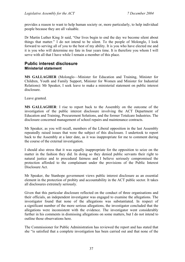provides a reason to want to help human society or, more particularly, to help individual people because they are all valuable.

Dr Martin Luther King Jr said, "Our lives begin to end the day we become silent about things that matter." I do not intend to be silent. To the people of Molonglo, I look forward to serving all of you to the best of my ability. It is you who have elected me and it is you who will determine my fate in four years time. It is therefore you whom I will serve with all that I have while I remain a member of this place.

# <span id="page-21-0"></span>**Public interest disclosure Ministerial statement**

**MS GALLAGHER** (Molonglo—Minister for Education and Training, Minister for Children, Youth and Family Support, Minister for Women and Minister for Industrial Relations): Mr Speaker, I seek leave to make a ministerial statement on public interest disclosure.

Leave granted.

**MS GALLAGHER**: I rise to report back to the Assembly on the outcome of the investigation of the public interest disclosure involving the ACT Department of Education and Training, Procurement Solutions, and the former Totalcare Industries. The disclosure concerned management of school repairs and maintenance contracts.

Mr Speaker, as you will recall, members of the Liberal opposition in the last Assembly repeatedly raised issues that were the subject of this disclosure. I undertook to report back to the Assembly at a later date, as it was inappropriate for me to comment during the course of the external investigation.

I should also stress that it was equally inappropriate for the opposition to seize on the matter in the fashion they did. In doing so they denied public servants their right to natural justice and to procedural fairness and I believe seriously compromised the protection afforded to the complainant under the provisions of the Public Interest Disclosure Act.

Mr Speaker, the Stanhope government views public interest disclosure as an essential element in the protection of probity and accountability in the ACT public sector. It takes all disclosures extremely seriously.

Given that this particular disclosure reflected on the conduct of three organisations and their officials, an independent investigator was engaged to examine the allegations. The investigator found that none of the allegations was substantiated. In respect of a significant number of the more serious allegations, the investigator concluded that the allegations were inconsistent with the evidence. The investigator went considerably further in his comments in dismissing allegations on some matters, but I do not intend to outline those observations here.

The Commissioner for Public Administration has reviewed the report and has stated that she "is satisfied that a complete investigation has been carried out and that none of the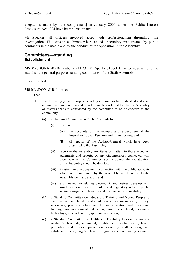allegations made by [the complainant] in January 2004 under the Public Interest Disclosure Act 1994 have been substantiated."

Mr Speaker, all officers involved acted with professionalism throughout the investigation. This was in a climate where added uncertainty was created by public comments in the media and by the conduct of the opposition in the Assembly.

## <span id="page-22-0"></span>**Committees—standing Establishment**

**MS MacDONALD** (Brindabella) (11.33): Mr Speaker, I seek leave to move a motion to establish the general purpose standing committees of the Sixth Assembly.

Leave granted.

#### **MS MacDONALD**: I move:

That:

- (1) The following general purpose standing committees be established and each committee to inquire into and report on matters referred to it by the Assembly or matters that are considered by the committee to be of concern to the community:
	- (a) a Standing Committee on Public Accounts to:
		- (i) examine:
			- (A) the accounts of the receipts and expenditure of the Australian Capital Territory and its authorities; and
			- (B) all reports of the Auditor-General which have been presented to the Assembly;
		- (ii) report to the Assembly any items or matters in those accounts, statements and reports, or any circumstances connected with them, to which the Committee is of the opinion that the attention of the Assembly should be directed;
		- (iii) inquire into any question in connection with the public accounts which is referred to it by the Assembly and to report to the Assembly on that question; and
		- (iv) examine matters relating to economic and business development, small business, tourism, market and regulatory reform, public sector management, taxation and revenue and sustainability;
	- (b) a Standing Committee on Education, Training and Young People to examine matters related to early childhood education and care, primary, secondary, post secondary and tertiary education and vocational training, non-government education, youth and family services, technology, arts and culture, sport and recreation;
	- (c) a Standing Committee on Health and Disability to examine matters related to hospitals, community, public and mental health, health promotion and disease prevention, disability matters, drug and substance misuse, targeted health programs and community services,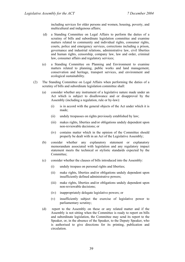including services for older persons and women, housing, poverty, and multicultural and indigenous affairs;

- (d) a Standing Committee on Legal Affairs to perform the duties of a scrutiny of bills and subordinate legislation committee and examine matters related to community and individual rights, consumer rights, courts, police and emergency services, corrections including a prison, governance and industrial relations, administrative law, civil liberties and human rights, censorship, company law, law and order, criminal law, consumer affairs and regulatory services;
- (e) a Standing Committee on Planning and Environment to examine matters related to planning, public works and land management, conservation and heritage, transport services, and environment and ecological sustainability.
- (2) The Standing Committee on Legal Affairs when performing the duties of a scrutiny of bills and subordinate legislation committee shall:
	- (a) consider whether any instrument of a legislative nature made under an Act which is subject to disallowance and or disapproval by the Assembly (including a regulation, rule or by-law):
		- (i) is in accord with the general objects of the Act under which it is made;
		- (ii) unduly trespasses on rights previously established by law;
		- (iii) makes rights, liberties and/or obligations unduly dependent upon non-reviewable decisions; or
		- (iv) contains matter which in the opinion of the Committee should properly be dealt with in an Act of the Legislative Assembly;
	- (b) consider whether any explanatory statement or explanatory memorandum associated with legislation and any regulatory impact statement meets the technical or stylistic standards expected by the Committee;
	- (c) consider whether the clauses of bills introduced into the Assembly:
		- (i) unduly trespass on personal rights and liberties;
		- (ii) make rights, liberties and/or obligations unduly dependent upon insufficiently defined administrative powers;
		- (iii) make rights, liberties and/or obligations unduly dependent upon non-reviewable decisions;
		- (iv) inappropriately delegate legislative powers; or
		- (v) insufficiently subject the exercise of legislative power to parliamentary scrutiny;
	- (d) report to the Assembly on these or any related matter and if the Assembly is not sitting when the Committee is ready to report on bills and subordinate legislation, the Committee may send its report to the Speaker, or, in the absence of the Speaker, to the Deputy Speaker, who is authorised to give directions for its printing, publication and circulation.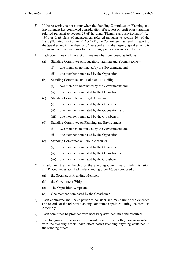- (3) If the Assembly is not sitting when the Standing Committee on Planning and Environment has completed consideration of a report on draft plan variations referred pursuant to section 25 of the Land (Planning and Environment) Act 1991 or draft plans of management referred pursuant to section 204 of the Land (Planning Environment) Act 1991, the Committee may send its report to the Speaker, or, in the absence of the Speaker, to the Deputy Speaker, who is authorised to give directions for its printing, publication and circulation.
- (4) Each committee shall consist of three members composed as follows:
	- (a) Standing Committee on Education, Training and Young People—
		- (i) two members nominated by the Government; and
		- (ii) one member nominated by the Opposition;
	- (b) Standing Committee on Health and Disability—
		- (i) two members nominated by the Government; and
		- (ii) one member nominated by the Opposition;
	- (c) Standing Committee on Legal Affairs—
		- (i) one member nominated by the Government;
		- (ii) one member nominated by the Opposition; and
		- (iii) one member nominated by the Crossbench;
	- (d) Standing Committee on Planning and Environment—
		- (i) two members nominated by the Government; and
		- (ii) one member nominated by the Opposition;
	- (e) Standing Committee on Public Accounts—
		- (i) one member nominated by the Government;
		- (ii) one member nominated by the Opposition; and
		- (iii) one member nominated by the Crossbench.
- (5) In addition, the membership of the Standing Committee on Administration and Procedure, established under standing order 16, be composed of:
	- (a) the Speaker, as Presiding Member;
	- (b) the Government Whip;
	- (c) The Opposition Whip; and
	- (d) One member nominated by the Crossbench.
- (6) Each committee shall have power to consider and make use of the evidence and records of the relevant standing committee appointed during the previous Assembly.
- (7) Each committee be provided with necessary staff, facilities and resources.
- (8) The foregoing provisions of this resolution, so far as they are inconsistent with the standing orders, have effect notwithstanding anything contained in the standing orders.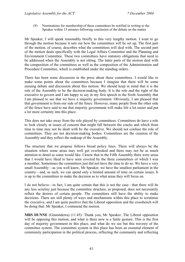(9) Nominations for membership of these committees be notified in writing to the Speaker within 15 minutes following conclusion of the debate on the matter.

Mr Speaker, I will speak reasonably briefly to this very lengthy motion. I want to go through the motion because it sets out how the committees will be set up. The first part of the motion, of course, describes what the committees will deal with. The second part of the motion deals specifically with the Legal Affairs Committee and the Planning and Environment Committee. These two committees have statutory obligations that need to be addressed when the Assembly is not sitting. The latter parts of the motion deal with the composition of the committees as well as the composition of the Administration and Procedure Committee, which is established under the standing orders.

There has been some discussion in the press about these committees. I would like to make some points about the committees because I imagine that there will be some ensuing debate and discussion about this motion. We should keep in mind that it is the role of the Assembly to be the decision-making body. It is the role and the right of the executive to govern and I am happy to say in my first speech in the Sixth Assembly that I am pleased to see that we have a majority government. Obviously, I am pleased that that government is from our side of the fence. However, many people from the other side of the fence have said to me that majority government will make life a lot easier and put a lot more certainty into this place.

This does not take away from the role played by committees. Committees do have a role to look closely at issues of concern that might fall between the cracks and which from time to time may not be dealt with by the executive. We should not confuse the role of committees. They are not decision-making bodies. Committees are the creation of the Assembly and they reflect the makeup of the Assembly.

The structure that we propose follows broad policy lines. There will always be the situation where some areas may well get overlooked and there may not be as much attention to detail as some would like. I know that in the Fifth Assembly there were areas that I would have liked to have seen covered by the three committees of which I was a member. Sometimes the committees just did not have the time to do so. We have a very small Assembly—as you well know, Mr Speaker, we have the smallest parliament in the country—and, as such, we can spend only a limited amount of time on certain issues. It is up to the committees to make the decision as to what areas they will focus on.

I do not believe—in fact, I am quite certain that this is not the case—that there will be any less scrutiny just because the committee structure, as proposed, does not necessarily reflect the desires of certain people. The committees still have the ability to make decisions. There are still plenty of ways and mechanisms within this place to scrutinise the executive, and I am quite positive that the Liberal opposition and the crossbench will be doing that. Mr Speaker, I commend the motion.

**MRS DUNNE** (Ginninderra) (11.45): Thank you, Mr Speaker. The Liberal opposition will be opposing this motion, and what is there now is a futile gesture. This is the first day of majority government in this place, and what do we see but this travesty of the committee system. The committee system in this place has been an essential element of community participation in the political process, reflecting the community and reflecting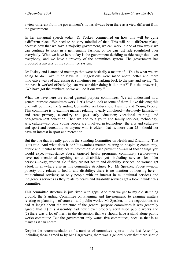a view different from the government's. It has always been there as a view different from the government.

In her inaugural speech today, Dr Foskey commented on how this will be quite a different place. We need to be very mindful of that. This will be a different place, because now that we have a majority government, we can work in one of two ways: we can continue to work in a gentlemanly fashion, or we can just ride roughshod over everybody. What we have here today is the government deciding to ride roughshod over everybody, and we have a travesty of the committee system. The government has proposed a travesty of the committee system.

Dr Foskey and I attended meetings that were basically a matter of, "This is what we are going to do. Take it or leave it." Suggestions were made about better and more innovative ways of addressing it, sometimes just harking back to the past and saying, "In the past it worked effectively; can we consider doing it like that?" But the answer is, "We have got the numbers, so we will do it our way."

What we have here are called general purpose committees. We all understand how general purpose committees work. Let's have a look at some of them. I like this one; this one will be mine: the Standing Committee on Education, Training and Young People. This committee is to examine matters relating to early childhood—absolutely fantastic and care; primary, secondary and post early education; vocational training; and non-government education. Then we add to it youth and family services, technology, arts, culture—so, only young people are involved in technology, the arts and culture and sport and recreation; so anyone who is older—that is, more than 25—should not have an interest in sport and recreation.

But the one that is really good is the Standing Committee on Health and Disability. That is its title. And what does it do? It examines matters relating to hospitals; community, public and mental health; health promotion; disease prevention—all of those things you would expect—substance abuse; targeted health programs; community services—we have not mentioned anything about disabilities yet—including services for older persons—okay, women. So if they are not health and disability services, do women get a look in anywhere else in this committee structure? No, Mr Speaker. Poverty—now, poverty only relates to health and disability; there is no mention of housing here multicultural services; so only people with an interest in multicultural services and indigenous services as they relate to health and disability services get a look in under this committee.

This committee structure is just riven with gaps. And then we get to my old stamping ground, the Standing Committee on Planning and Environment, to examine matters relating to planning—of course—and public works. Mr Speaker, in the negotiations we had at length about the structure of the general purpose committees it was generally agreed that (1) this Assembly had never ever properly scrutinised public works and (2) there was a lot of merit in the discussion that we should have a stand-alone public works committee. But the government only wants five committees, because that is as many as it can control.

Despite the recommendations of a number of committee reports in the last Assembly, including those agreed to by Mr Hargreaves, there was a general view that there should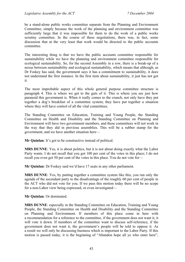be a stand-alone public works committee separate from the Planning and Environment Committee, simply because the work of the planning and environment committee was sufficiently large that it was impossible for them to do the work of a public works scrutiny committee. In the course of these negotiations, there was, in fact, some discussion that at the very least that work would be directed to the public accounts committee.

The interesting thing is that we have the public accounts committee responsible for sustainability while we have the planning and environment committee responsible for ecological sustainability. So, for the second Assembly in a row, there is a break-up of a nexus between sustainability and ecological sustainability, which means that although, as Dr Foskey has said, the government says it has a commitment to sustainability, it does not understand the first instance. In the first item about sustainability, it just has not got it.

The most improbable aspect of this whole general purpose committee structure is paragraph 4. This is where we get to the guts of it. This is where you see just how paranoid this government is. When it really comes to the crunch, not only have they put together a dog's breakfast of a committee system; they have put together a situation where they will have control of all the vital committees.

The Standing Committee on Education, Training and Young People, the Standing Committee on Health and Disability and the Standing Committee on Planning and Environment will have two government members, and these committees will not work in the way that they did in previous assemblies. This will be a rubber stamp for the government, and we have another situation here—

**Mr Quinlan**: It's got to be constructive instead of political.

**MRS DUNNE**: Yes, it is about politics, but it is not about doing exactly what the Labor Party wants. I do not recall that you got 100 per cent of the votes in this place; I do not recall you even got 50 per cent of the votes in this place. You do not vote for—

**Mr Quinlan**: Dr Foskey said we'd have 17 seats in any other parliament.

**MRS DUNNE**: Yes, by putting together a committee system like this, you run only the agenda of the ascendant party to the disadvantage of the roughly 60 per cent of people in the ACT who did not vote for you. If we pass this motion today there will be no scope for a non-Labor view being expressed, or even investigated—

**Mr Quinlan**: Or dominated.

**MRS DUNNE**: especially in the Standing Committee on Education, Training and Young People, the Standing Committee on Health and Disability and the Standing Committee on Planning and Environment. If members of this place come in here with a recommendation for a reference to the committee, if the government does not want it, it will vote it down. If members of the committee want to discuss self-reference, if the government does not want it, the government's people will be told to oppose it. As a result we will only be discussing business which is important to the Labor Party. If this motion is passed today, it is the beginning of "Abandon hope all ye who enter here",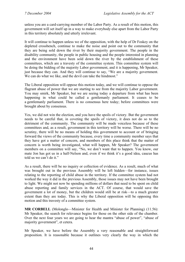unless you are a card-carrying member of the Labor Party. As a result of this motion, this government will set itself up in a way to make everybody else apart from the Labor Party in this territory absolutely and utterly irrelevant.

It will continue to happen unless we of the opposition, with the help of Dr Foskey on the depleted crossbench, continue to make the noise and point out to the community that they are being sold down the river by their majority government. The people in the disability community, the people in public housing and the people interested in planning and the environment have been sold down the river by the establishment of these committees, which are a travesty of the committee system. This committee system will be doing the bidding of the majority Labor government, and it is happening, Mr Speaker, just because they can. And they will continue to say, "We are a majority government. We can do what we like, and the devil can take the hindmost."

The Liberal opposition will oppose this motion today, and we will continue to oppose the flagrant abuse of power that we are starting to see from the majority Labor government. You may smirk, Mr Speaker, but we are seeing today a departure from what has been happening in what could be called a gentlemanly parliament. It ceases to be a gentlemanly parliament. There is no consensus here today; before committees were brought about by consensus.

Yes, we did not win the election, and you have the spoils of victory. But the government needs to be careful that, in coveting the spoils of victory, it does not do so to the detriment of the community. The community will be made voiceless because of these committees and, as a result, government in this territory will be worse. There will be no scrutiny, there will be no means of holding this government to account or of bringing forward the views of the community because, every time a community member says that they have got a matter of concern, and members of this place think that the matter of concern is worth being investigated, what will happen, Mr Speaker? The government members on a committee will say, "No, we don't want that to happen. You know, our mate Jon has got us in a half-Nelson and, even if we think it's a good idea, caucus has told us we can't do it."

As a result, there will be no inquiry or collection of evidence. As a result, much of what was brought out in the previous Assembly will be left hidden—for instance, issues relating to the reporting of child abuse in the territory. If the committee system had not worked the way it did in the previous Assembly, those issues may not have been brought to light. We might not now be spending millions of dollars that need to be spent on child abuse reporting and family services in the ACT. Of course, that would save the government a lot of money, but the children would still be at risk—to a much greater extent than they are today. This is why the Liberal opposition will be opposing this motion and this travesty of a committee system.

**MR CORBELL** (Molonglo—Minister for Health and Minister for Planning) (11.56): Mr Speaker, the search for relevance begins for those on the other side of the chamber. Over the next four years we are going to hear the mantra "abuse of power", "abuse of majority government", et cetera.

Mr Speaker, we have before the Assembly a very reasonable and straightforward proposition. It is reasonable because it outlines very clearly the way in which the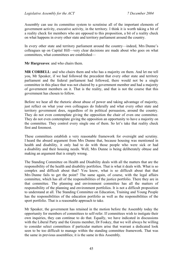Assembly can use its committee system to scrutinise all of the important elements of government activity, executive activity, in the territory. I think it is worth taking a bit of a reality check for members who are opposed to this proposition, a bit of a reality check on what happens in every other state and territory parliament around the country.

In every other state and territory parliament around the country—indeed, Mrs Dunne's colleagues up on Capital Hill—very clear decisions are made about who goes on what committees, what committees are established—

**Mr Hargreaves**: and who chairs them.

**MR CORBELL**: and who chairs them and who has a majority on them. And let me tell you, Mr Speaker, if we had followed the precedent that every other state and territory parliament and the federal parliament had followed, there would not be a single committee in this place that was not chaired by a government member and had a majority of government members on it. That is the reality, and that is not the course that this government has chosen to follow.

Before we hear all the rhetoric about abuse of power and taking advantage of majority, just reflect on what your own colleagues do federally and what every other state and territory government does, regardless of its political persuasion, around the country. They do not even contemplate giving the opposition the chair of even one committee. They do not even contemplate giving the opposition an opportunity to have a majority on the committee. They control every single one of them. So let's take that reality check first and foremost.

These committees establish a very reasonable framework for oversight and scrutiny. I heard the absurd argument from Mrs Dunne that, because housing was mentioned in health and disability, it only had to do with those people who were sick or had a disability and their housing needs. Well, Mrs Dunne is being deliberately obtuse and making an argument that is simply wrong.

The Standing Committee on Health and Disability deals with all the matters that are the responsibility of the health and disability portfolios. That is what it deals with. What is so complex and difficult about that? You know, what is so difficult about that that Mrs Dunne fails to get the point? The same again, of course, with the legal affairs committee, which has all of the responsibilities of the justice portfolio. There they are in that committee. The planning and environment committee has all the matters of responsibility of the planning and environment portfolios. It is not a difficult proposition to understand at all. The Standing Committee on Education, Training and Young People has the responsibilities of the education portfolio as well as the responsibilities of the sport portfolio. That is a reasonable approach to take.

Mr Speaker, the government has retained in the motion before the Assembly today the opportunity for members of committees to self-refer. If committees wish to instigate their own inquiries, they can continue to do that. Equally, we have indicated in discussions with the Liberal Party and the Greens member, Dr Foskey, that we will always be willing to consider select committees if particular matters arise that warrant a dedicated look seen to be too difficult to manage within the standing committee framework. That was the same in previous assemblies; it is the same in this Assembly.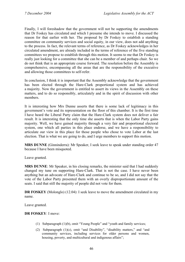Finally, I will foreshadow that the government will not be supporting the amendments that Dr Foskey has circulated and which I presume she intends to move. I discussed the reason for that earlier with her. The proposal by Dr Foskey to establish a standing committee on community services and social equity, in our view, does not add anything to the process. In fact, the relevant terms of reference, as Dr Foskey acknowledges in her circulated amendment, are already included in the terms of reference of the five standing committees we propose to establish through this motion. It seems to me that Dr Foskey is really just looking for a committee that she can be a member of and perhaps chair. So we do not think that is an appropriate course forward. The resolution before the Assembly is comprehensive, encompassing all the areas that are the responsibility of the executive and allowing those committees to self-refer.

In conclusion, I think it is important that the Assembly acknowledge that the government has been elected through the Hare-Clark proportional system and has achieved a majority. Now the government is entitled to assert its views in the Assembly on these matters, and to do so responsibly, articulately and in the spirit of discussion with other members.

It is interesting how Mrs Dunne asserts that there is some lack of legitimacy in this government's vote and its representation on the floor of this chamber. It is the first time I have heard the Liberal Party claim that the Hare-Clark system does not deliver a fair result. It is interesting that the only time she asserts that is when the Labor Party gains majority. Well, we have gained majority through a very fair and proportional electoral system, one which all parties in this place endorse, and we have a responsibility to articulate our view in this place for those people who chose to vote Labor at the last election. That is what we are going to do, and I urge members to support this motion.

**MRS DUNNE** (Ginninderra): Mr Speaker, I seek leave to speak under standing order 47 because I have been misquoted.

Leave granted.

**MRS DUNNE**: Mr Speaker, in his closing remarks, the minister said that I had suddenly changed my tune on supporting Hare-Clark. That is not the case. I have never been anything but an advocate of Hare-Clark and continue to be so, and I did not say that the vote of the Labor Party presented them with an overly disproportionate amount of the seats. I said that still the majority of people did not vote for them.

**DR FOSKEY** (Molonglo) (12.04): I seek leave to move the amendment circulated in my name.

Leave granted.

#### **DR FOSKEY**: I move:

- (1) Subparagraph (1)(b), omit "Young People" and "youth and family services;
- (2) Subparagraph (1)(c), omit "and Disability", "disability matters," and "and community services, including services for older persons and women, housing, poverty, and multicultural and indigenous affairs";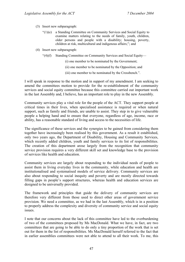- (3) Insert new subparagraph:
	- "(1)(e) a Standing Committee on Community Services and Social Equity to examine matters relating to the needs of family, youth, children, older persons and people with a disability; housing, poverty, children at risk, multicultural and indigenous affairs;"; and
- (4) Insert new subparagraph:
	- "(4)(f) Standing Committee on Community Services and Social Equity—
		- (i) one member to be nominated by the Government;
		- (ii) one member to be nominated by the Opposition; and
		- (iii) one member to be nominated by the Crossbench.".

I will speak in response to the motion and in support of my amendment. I am seeking to amend the committees motion to provide for the re-establishment of the community services and social equity committee because this committee carried out important work in the last Assembly and, I believe, has an important role to play in the new Assembly.

Community services play a vital role for the people of the ACT. They support people at critical times in their lives, when specialised assistance is required or when natural support, such as family and friends, are unable to assist. They step in to give vulnerable people a helping hand and to ensure that everyone, regardless of age, income, race or ability, has a reasonable standard of living and access to the necessities of life.

The significance of these services and the synergies to be gained from considering them together have increasingly been realised by this government. As a result it established, only two years ago, the Department of Disability, Housing and Community Services, which recently added children, youth and family services to its list of responsibilities. The creation of this department arose largely from the recognition that community service provision requires a very different skill set and knowledge base to the provision of services like health and education.

Community services are largely about responding to the individual needs of people to assist them in living everyday lives in the community, while education and health are institutionalised and systematised models of service delivery. Community services are also about responding to social inequity and poverty and are mostly directed towards filling gaps in people's support structures, whereas health and education services are designed to be universally provided.

The framework and principles that guide the delivery of community services are therefore very different from those used to direct other areas of government service provision. We need a committee, as we had in the last Assembly, which is in a position to properly address the complexity and diversity of community service and social equity issues.

I note that our concerns about the lack of this committee have led to the overburdening of two of the committees proposed by Ms MacDonald. What we have, in fact, are two committees that are going to be able to do only a tiny proportion of the work that is set out for them in the list of responsibilities. Ms MacDonald herself referred to the fact that in earlier assemblies committees were not able to attend to all their work. To me, this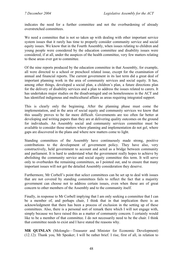indicates the need for a further committee and not the overburdening of already overstretched committees.

We need a committee that is not so taken up with dealing with other important service system issues that it rarely has time to properly consider community service and social equity issues. We know that in the Fourth Assembly, when issues relating to children and young people were considered by the education committee and disability issues were considered, if at all, under the auspices of the health committee, very few matters relating to these areas ever got to committee.

Of the nine reports produced by the education committee in that Assembly, for example, all were directed to a school or preschool related issue, except for the examination of annual and financial reports. The current government in its last term did a great deal of important planning work in the area of community services and social equity. It has, among other things, developed a social plan, a children's plan, a future directions plan for the delivery of disability services and a plan to address the issues related to carers. It has undertaken major studies on the disadvantaged and on homelessness in the ACT and has identified indigenous and multicultural affairs as areas requiring integrated support.

This is clearly only the beginning. After the planning phase must come the implementation, and in the area of social equity and community services we know that this usually proves to be far more difficult. Governments are too often far better at developing and writing papers than they are at delivering quality outcomes on the ground for individuals. An Assembly social and community services committee must be available to consider those matters where planning and implementation do not gel, where gaps are discovered in the plans and where new matters come to light.

Standing committees of the Assembly have continuously made strong, positive contributions to the development of government policy. They have also, very constructively, held government to account and acted as a bridge between community and parliament. It is hard to understand what the government really hopes to achieve by abolishing the community service and social equity committee this term. It will serve only to overburden the remaining committees, as I pointed out, and to ensure that many important issues will not get the detailed Assembly consideration they deserve.

Furthermore, Mr Corbell's point that select committees can be set up to deal with issues that are not covered by standing committees fails to reflect the fact that a majority government can choose not to address certain issues, even when these are of great concern to other members of the Assembly and to the community itself.

Finally, in response to Mr Corbell implying that I am only seeking a committee that I can be a member of, and perhaps chair, I think that in that implication there is an acknowledgment that there has been a process of exclusion in the setting up of these committees. Also, there is a personal sort of remark there which I will not engage with, simply because we have raised this as a matter of community concern. I certainly would like to be a member of that committee. I do not necessarily need to be the chair. I think that committee needs to exist and I have stated the reasons why.

**MR QUINLAN** (Molonglo—Treasurer and Minister for Economic Development) (12.12): Thank you, Mr Speaker; I will be rather brief. I rise, first of all, in relation to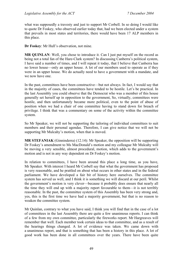what was supposedly a travesty and just to support Mr Corbell. In so doing I would like to quote Dr Foskey, who observed earlier today that, had we been elected under a system that prevails in most states and territories, there would have been 17 ALP members in this place.

**Dr Foskey**: Mr Hull's observation, not mine.

**MR QUINLAN**: Well, you chose to introduce it. Can I just put myself on the record as being not a total fan of the Hare-Clark system? In discussing Canberra's political system, I have said a number of times, and I will repeat it today, that I believe that Canberra has no lower house—only an upper house. A lot of our members used to operate as if they were in an upper house. We do actually need to have a government with a mandate, and we now have one.

In the past, committees have been constructive—but not always. In fact, I would say that in the majority of cases, the committees have tended to be hostile. Let's be practical. In the last Assembly you could observe that the Democrat who was a member of this house generally set herself up in opposition to the government, So, virtually, committees were hostile, and then unfortunately became more political, even to the point of abuse of position when we had a chair of one committee having to stand down for breach of privilege. I think that was a commentary on some of the activity within the committee system.

So Mr Speaker, we will not be supporting the tailoring of individual committees to suit members and their personal agendas. Therefore, I can give notice that we will not be supporting Mr Mulcahy's motion, when that is moved.

**MR STEFANIAK** (Ginninderra) (12.14): Mr Speaker, the opposition will be supporting Dr Foskey's amendment to Ms MacDonald's motion and my colleague Mr Mulcahy will be moving a very sensible, almost procedural, motion, which adds to the government's motion and is not in any way dependent on Dr Foskey's motion.

In relation to committees, I have been around this place a long time, as you have, Mr Speaker. With interest I heard Mr Corbell say that what the government has proposed is very reasonable, and he prattled on about what occurs in other states and in the federal parliament. We have developed a fair bit of history here ourselves. The committee system has served us well, and I think it is something we will discard at our peril. Whilst the government's motion is very clever—because it probably does ensure that nearly all the time they will end up with a majority report favourable to them—it is not terribly reasonable. In the past, the committee system of this Assembly has been very strong and, yes, this is the first time we have had a majority government, but that is no reason to weaken the committee system.

Mr Quinlan, contrary to what you have said, I think you will find that in the case of a lot of committees in the last Assembly there are quite a few unanimous reports. I can think of a few from my own committee, particularly the fireworks report. Mr Hargreaves will remember that well. Each member took certain ideas to that committee, and as a result of the hearings things changed. A lot of evidence was taken. We came down with a unanimous report, and that is something that has been a history in this place. A lot of good work has been done in all committees over the years. There have been quite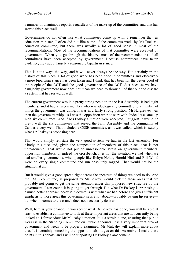a number of unanimous reports, regardless of the make-up of the committee, and that has served this place well.

Governments do not often like what committees come up with. I remember that, as education minister, I often did not like some of the comments made by Ms Tucker's education committee, but there was usually a lot of good sense in most of the recommendations. Most of the recommendations of that committee were accepted by government. When you go through the history, most of the recommendations of all committees have been accepted by government. Because committees have taken evidence, they adopt largely a reasonably bipartisan stance.

That is not always the way, and it will never always be the way. But certainly in the history of this place, a lot of good work has been done in committees and effectively a more bipartisan stance has been taken and I think that has been for the better good of the people of the ACT and the good governance of the ACT. Just because we have a majority government now does not mean we need to throw all of that out and discard a system that has served us well.

The current government was in a pretty strong position in the last Assembly. It had eight members, and it had a Green member who was ideologically committed to a number of things the government was doing. It was in a fairly strong position. Mr Hargreaves was then the government whip, as I was the opposition whip to start with. Indeed we came up with six committees. And if Ms Foskey's motion were accepted, I suggest it would be pretty well the six committees that served the Fifth Assembly and the community of Canberra very well. That included a CSSE committee, as it was called, which is exactly what Dr Foskey is proposing here.

That would simply reinstate the very good system we had in the last Assembly. For a body this size and, given the composition of members of this place, that is not unreasonable. That would not put an unreasonable strain on government members, opposition members, or indeed the crossbench. It is not the situation we had when we had smaller governments, when people like Robyn Nolan, Harold Hird and Bill Wood were on every single committee and run absolutely ragged. That would not be the situation at all.

But it would give a good spread right across the spectrum of things we need to do. And the CSSE committee, as proposed by Ms Foskey, would pick up those areas that are probably not going to get the same attention under this proposed new structure by the government. I can count: it is going to get through. But what Dr Foskey is proposing is a much better approach because it dovetails with what we had before and gives sufficient emphasis to those areas this government says a lot about—probably paying lip service but when it comes to the crunch does not necessarily deliver.

Well, here is your chance. If you accept what Dr Foskey has done, you will be able at least to establish a committee to look at these important areas that are not currently being looked at. I foreshadow Mr Mulcahy's motion. It is a sensible one, ensuring that public works is in the Standing Committee on Public Accounts. It is a very important area of government and needs to be properly examined. Mr Mulcahy will explain more about that. It is certainly something the opposition also urges on this Assembly. I make these points in this debate, and I will be supporting Dr Foskey's amendment.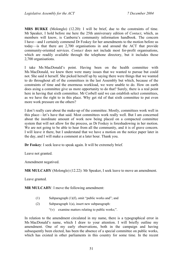**MRS BURKE** (Molonglo) (12.20): I will be brief, due to the constraints of time. Mr Speaker, I hold before me here the 25th anniversary edition of *Contact*, which, as members will know, is Canberra's community information handbook. The concern I have—and I certainly commend Dr Foskey for her amendments to the motion before us today—is that there are 2,700 organisations in and around the ACT that provide community-oriented services. *Contact* does not include most for-profit organisations, which are readily available through the telephone directory, but it includes those 2,700 organisations.

I take Ms MacDonald's point. Having been on the health committee with Ms MacDonald, we knew there were many issues that we wanted to pursue but could not. She said it herself. She picked herself up by saying there were things that we wanted to do throughout all of the committees in the last Assembly but which, because of the constraints of time and the enormous workload, we were unable to do. How on earth does axing a committee give us more opportunity to do that? Surely, there is a real point here in having that sixth committee. Mr Corbell said we can establish select committees, as we have the right to in this place. Why get rid of that sixth committee to put even more work pressure on the others?

I don't really care about the make-up of the committee. Mostly, committees work well in this place—let's have that said. Most committees work really well. But I am concerned about the inordinate amount of work now being placed on a compacted committee system that will not allow for the process, as Dr Foskey is foreshadowing in her motion. We are not going to be able to hear from all the community, and it is of grave concern. I will leave it there, but I understand that we have a motion on the notice paper later in the day, and I will make a comment at a later hour. Thank you.

**Dr Foskey**: I seek leave to speak again. It will be extremely brief.

Leave not granted.

Amendment negatived.

**MR MULCAHY** (Molonglo) (12.22): Mr Speaker, I seek leave to move an amendment.

Leave granted.

**MR MULCAHY**: I move the following amendment:

- (1) Subparagraph (1)(f), omit "public works and"; and
- (2) Subparagraph 1(a), insert new subparagraph:
	- "(v) examine matters relating to public works;".

In relation to the amendment circulated in my name, there is a typographical error in Ms MacDonald's name, which I draw to your attention. I will briefly outline my amendment. One of my early observations, both in the campaign and having subsequently been elected, has been the absence of a special committee on public works, which has existed in other parliaments in this country for some time. In the recent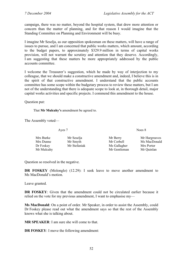campaign, there was no matter, beyond the hospital system, that drew more attention or concern than the matter of planning, and for that reason I would imagine that the Standing Committee on Planning and Environment will be busy.

I imagine Mr Seselja, as our opposition spokesman on these matters, will have a range of issues to pursue, and I am concerned that public works matters, which amount, according to the budget papers, to approximately \$329.9 million in terms of capital works provision, will not warrant the scrutiny and attention that they deserve. Accordingly, I am suggesting that these matters be more appropriately addressed by the public accounts committee.

I welcome the Treasurer's suggestion, which he made by way of interjection to my colleague, that we should make a constructive amendment and, indeed, I believe this is in the spirit of that constructive amendment. I understand that the public accounts committee has some scope within the budgetary process to review these matters, but I am not of the understanding that there is adequate scope to look at, in thorough detail, major capital works activities and specific projects. I commend this amendment to the house.

Question put:

That **Mr Mulcahy's** amendment be agreed to.

The Assembly voted—

Ayes 7 Noes 8

| Mrs Burke  | Mr Seselja   | Mr Berry     | Mr Hargreaves |
|------------|--------------|--------------|---------------|
| Mrs Dunne  | Mr Smyth     | Mr Corbell   | Ms MacDonald  |
| Dr Foskey  | Mr Stefaniak | Ms Gallagher | Mrs Porter    |
| Mr Mulcahy |              | Mr Gentleman | Mr Quinlan    |

Question so resolved in the negative.

**DR FOSKEY** (Molonglo) (12.29): I seek leave to move another amendment to Ms MacDonald's motion.

Leave granted.

**DR FOSKEY**: Given that the amendment could not be circulated earlier because it relied on the vote for my previous amendment, I want to emphasise my—

**Ms MacDonald**: On a point of order. Mr Speaker, in order to assist the Assembly, could Dr Foskey please read out what the amendment says so that the rest of the Assembly knows what she is talking about.

**MR SPEAKER**: I am sure she will come to that.

**DR FOSKEY**: I move the following amendment: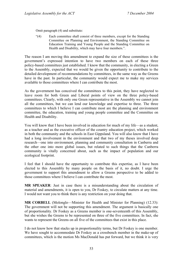Omit paragraph (4) and substitute:

"(4) Each committee shall consist of three members, except for the Standing Committee on Planning and Environment, the Standing Committee on Education Training and Young People and the Standing Committee on Health and Disability, which may have four members.".

The reason I am moving this amendment to expand the size of these committees is the government's expressed intention to have two members on each of these three policy-based committees just established. I know that the community, in electing a Green to the Assembly, expected that we would be given the opportunity to contribute to the detailed development of recommendations by committees, in the same way as the Greens have in the past. In particular, the community would expect me to make my services available to those committees where I can contribute the most.

As the government has conceived the committees to this point, they have neglected to leave room for both Green and Liberal points of view on the three policy-based committees. Clearly, with only one Green representative in the Assembly we cannot join all the committees, but we can lend our knowledge and expertise to three. The three committees to which I believe I can contribute most are the planning and environment committee, the education, training and young people committee and the Committee on Health and Disability.

You will know that I have been involved in education for much of my life—as a student, as a teacher and as the executive officer of the country education project, which worked in both the community and the schools in East Gippsland. You will also know that I have had a long involvement in the environment and that two of my theses involved deep research—one into environment, planning and community consultation in Canberra and the other one into more global issues, but related to such things that the Canberra community is vitally concerned about, such as the impact of population and our ecological footprint.

I feel that I should have the opportunity to contribute this expertise, as I have been elected to this Assembly by many people on the basis of it, no doubt. I urge the government to support this amendment to allow a Greens perspective to be added to those committees where I believe I can contribute the most.

**MR SPEAKER**: Just in case there is a misunderstanding about the circulation of material and amendments, it is open to you, Dr Foskey, to circulate matters at any time. I would not want you to think there is any restriction on your doing that.

**MR CORBELL** (Molonglo—Minister for Health and Minister for Planning) (12.33): The government will not be supporting this amendment. The argument is basically one of proportionality. Dr Foskey as a Greens member is one-seventeenth of this Assembly, but she wishes the Greens to be represented on three of the five committees. In fact, she wants to represent the Greens on all five of the committees that exist in this place.

I do not know how that stacks up in proportionality terms, but Dr Foskey is one member. We have sought to accommodate Dr Foskey as a crossbench member in the make-up of committees, which is the motion Ms MacDonald has put forward, but we think it is very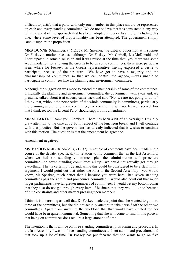difficult to justify that a party with only one member in this place should be represented on each and every standing committee. We do not believe that it is consistent in any way with the spirit of the approach that has been adopted in every Assembly, including this one, where some level of proportionality has been attempted. The government simply cannot support the proposition.

**MRS DUNNE** (Ginninderra) (12.35): Mr Speaker, the Liberal opposition will support Dr Foskey's motion because, although Dr Foskey, Mr Corbell, Ms McDonald and I participated in some discussion and it was raised at the time that, yes, there was some accommodation for allowing the Greens to be on some committees, there were particular areas where Dr Foskey, as the Greens representative, having expressed a desire to participate, because of the structure—"We have got to have a majority and the chairmanship of committees so that we can control the agenda,"—was unable to participate in committees like the planning and environment committee.

Although the suggestion was made to extend the membership of some of the committees, principally the planning and environment committee, the government went away and, we presume, talked about it at caucus, came back and said "No, we are not going to do it." I think that, without the perspective of the whole community in committees, particularly the planning and environment committee, the community will not be well served. For that I think reason the Liberal Party should support this amendment.

**MR SPEAKER**: Thank you, members. There has been a bit of an oversight. I usually draw attention to the time at 12.30 in respect of the luncheon break, and I will continue with that practice. But the government has already indicated that it wishes to continue with this motion. The question is that the amendment be agreed to.

Amendment negatived.

**MS MacDONALD** (Brindabella) (12.37): A couple of comments have been made in the course of the debate, specifically in relation to my comment that in the last Assembly, when we had six standing committees plus the administration and procedure committee—so seven standing committees all up—we could not actually get through everything. That is certainly true and, while this could be considered to be a flaw in my argument, I would point out that either the First or the Second Assembly—you would know, Mr Speaker, much better than I because you were here—had seven standing committees plus the admin and procedures committee. I would also point out that much larger parliaments have far greater numbers of committees. I would bet my bottom dollar that they also do not get through every item of business that they would like to because of time constraints and other matters pressing upon members.

I think it is interesting as well that Dr Foskey made the point that she wanted to go onto three of the committees, but she did not actually attempt to take herself off the other two committees. Apart from anything, the workload that that would have created for her would have been quite monumental. Something that she will come to find in this place is that being on committees does require a large amount of time.

The intention is that I will be on three standing committees, plus admin and procedure. In the last Assembly I was on three standing committees and not admin and procedure, and that took up a lot of time. Dr Foskey has put forward that she wants to go on five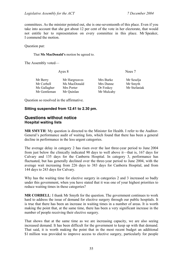committees. As the minister pointed out, she is one-seventeenth of this place. Even if you take into account that she got about 12 per cent of the vote in her electorate, that would not entitle her to representation on every committee in this place. Mr Speaker, I commend the motion.

Question put:

#### That **Ms MacDonald's** motion be agreed to.

The Assembly voted—

| Ayes 8                                                                    |                                     |                                        |
|---------------------------------------------------------------------------|-------------------------------------|----------------------------------------|
| Mr Hargreaves<br>Mr Corbell<br>Ms MacDonald<br>Ms Gallagher<br>Mrs Porter | Mrs Burke<br>Mrs Dunne<br>Dr Foskey | Mr Seselja<br>Mr Smyth<br>Mr Stefaniak |
|                                                                           | Mr Quinlan<br>Mr Gentleman          | Mr Mulcahy                             |

Question so resolved in the affirmative.

#### **Sitting suspended from 12.41 to 2.30 pm.**

#### **Questions without notice Hospital waiting lists**

**MR SMYTH**: My question is directed to the Minister for Health. I refer to the Auditor-General's performance audit of waiting lists, which found that there has been a general decline in performance in the less urgent categories.

The average delay in category 2 has risen over the last three-year period to June 2004 from just below the clinically indicated 90 days to well above it—that is, 167 days for Calvary and 135 days for the Canberra Hospital. In category 3, performance has fluctuated, but has generally declined over the three-year period to June 2004, with the average wait increasing from 226 days to 383 days for Canberra Hospital, and from 144 days to 243 days for Calvary.

Why has the waiting time for elective surgery in categories 2 and 3 increased so badly under this government, when you have stated that it was one of your highest priorities to reduce waiting times in these categories?

**MR CORBELL**: I thank Mr Smyth for the question. The government continues to work hard to address the issue of demand for elective surgery through our public hospitals. It is true that there has been an increase in waiting times in a number of areas. It is worth making the point that, at the same time, there has been a very significant increase in the number of people receiving their elective surgery.

That shows that at the same time as we are increasing capacity, we are also seeing increased demand. It has been difficult for the government to keep up with that demand. That said, it is worth making the point that in the most recent budget an additional \$1 million was provided to improve access to elective surgery, particularly for people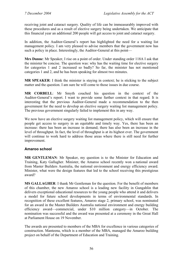receiving joint and cataract surgery. Quality of life can be immeasurably improved with these procedures and as a result of elective surgery being undertaken. We anticipate that this financial year an additional 200 people will get access to joint and cataract surgery.

In addition, the Auditor-General's report has highlighted the need for a waiting list management policy. I am very pleased to advise members that the government now has such a policy in place. Interestingly, the Auditor-General at this point—

**Mrs Dunne**: Mr Speaker, I rise on a point of order. Under standing order 118A I ask that the minister be concise. The question was: why has the waiting time for elective surgery for categories 1 and 2 increased so badly? So far, the minister has not mentioned categories 1 and 2, and he has been speaking for almost two minutes.

**MR SPEAKER**: I think the minister is staying in context; he is sticking to the subject matter and the question. I am sure he will come to those issues in due course.

**MR CORBELL**: Mr Smyth couched his question in the context of the Auditor-General's report. I want to provide some further context in that regard. It is interesting that the previous Auditor-General made a recommendation to the then government for the need to develop an elective surgery waiting list management policy. The previous government singularly failed to implement this in any way.

We now have an elective surgery waiting list management policy, which will ensure that people get access to surgery in an equitable and timely way. Yes, there has been an increase: there has been an increase in demand; there has also been an increase in the level of throughput. In fact, the level of throughput is at its highest ever. The government will continue to work hard to address those areas where there is still need for further improvement.

### **Amaroo school**

**MR GENTLEMAN**: Mr Speaker, my question is to the Minister for Education and Training, Katy Gallagher. Minister, the Amaroo school recently won a national award from Master Builders Australia, the national environment and energy efficiency award. Minister, what were the design features that led to the school receiving this prestigious award?

**MS GALLAGHER**: I thank Mr Gentleman for the question. For the benefit of members of this chamber, the new Amaroo school is a leading new facility in Gungahlin that delivers exceptional educational resources to the young people who attend it and delivers a model for future school developments in terms of environmental standards. In recognition of these excellent features, Amaroo stage 2, primary school, was nominated for an award in the Master Builders Australia national environment and energy building efficiency award—commercial, under \$10 million category—in October. The nomination was successful and the award was presented at a ceremony in the Great Hall at Parliament House on 19 November.

The awards are presented to members of the MBA for excellence in various categories of construction. Manteena, which is a member of the MBA, managed the Amaroo building project on behalf of the Department of Education and Training.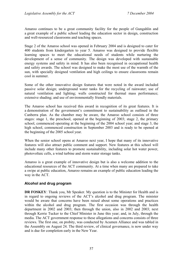Amaroo continues to be a great community facility for the people of Gungahlin and a great example of a public school leading the education sector in design, construction and well-resourced classrooms and teaching spaces.

Stage 2 of the Amaroo school was opened in February 2004 and is designed to cater for 400 students from kindergarten to year 5. Amaroo was designed to provide flexible learning spaces to meet the educational needs of students while nurturing the development of a sense of community. The design was developed with sustainable energy systems and safety in mind. It has also been recognised in occupational health and safety awards. The school was designed to make the most use of the warmth of the sun, with specially designed ventilation and high ceilings to ensure classrooms remain cool in summer.

Some of the other innovative design features that were noted in the award included passive solar design; underground water tanks for the recycling of rainwater; use of natural ventilation and lighting; walls constructed for thermal mass performance; extensive shading; and use of environmentally friendly materials.

The Amaroo school has received this award in recognition of its great features. It is a demonstration of the government's commitment to sustainability as outlined in the Canberra plan. As the chamber may be aware, the Amaroo school consists of three stages: stage 1, the preschool, opened at the beginning of 2003; stage 2, the primary school, commenced operating at the beginning of the 2004 school year; and stage 3, the high school, commenced construction in September 2003 and is ready to be opened at the beginning of the 2005 school year.

When the senior school opens at Amaroo next year, I hope that many of its innovative features will also attract public comment and support. New features at this school will include many other features to promote sustainability, including solar hot water power, photovoltaic cells, a wind turbine and storm water storage tanks.

Amaroo is a great example of innovative design but is also a welcome addition to the educational resources of the ACT community. At a time when many are prepared to take a swipe at public education, Amaroo remains an example of public education leading the way in the ACT.

### **Alcohol and drug program**

**DR FOSKEY**: Thank you, Mr Speaker. My question is to the Minister for Health and is in regard to ongoing reviews of the ACT's alcohol and drug program. The minister would be aware that concerns have been raised about some operations and practices within the alcohol and drug program. The first occasion was through the health department in 2002 and 2003; then through the union, also in 2002 and 2003; next through Kerrie Tucker to the Chief Minister in June this year; and, in July, through the media. The ACT government response to these allegations and concerns consists of three reviews. The first one, on probity, was conducted by Acumen Alliance and was tabled in the Assembly on August 24. The third review, of clinical governance, is now under way and is due for completion early in the New Year.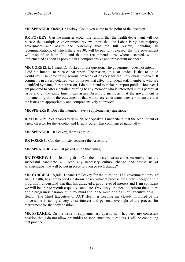**MR SPEAKER**: Order, Dr Foskey. Could you come to the point of the question.

**DR FOSKEY**: Can the minister scotch the rumour that the health department will not release the workplace environment review—now that the Labor Party has majority government—and assure the Assembly that the full review, including all recommendations, of which there are 30, will be publicly released; that the government will respond to it in full; and that the recommendations, where accepted, will be implemented as soon as possible in a comprehensive and transparent manner?

**MR CORBELL:** I thank Dr Foskey for the question. The government does not intend— I did not intend—to release that report. The reason, on clear advice, is that to do so would result in some fairly serious breaches of privacy for the individuals involved. It comments in a very detailed way on issues that affect individual staff members, who are identified by name. For that reason, I do not intend to make the report public. However, I am prepared to offer a detailed briefing to any member who is interested in this particular issue and at the same time I can assure Assembly members that the government is implementing all of the outcomes of that workplace environment review to ensure that the issues are appropriately and comprehensively addressed.

**MR SPEAKER**: Does the member have a supplementary question?

**DR FOSKEY**: Yes, thanks very much, Mr Speaker. I understand that the recruitment of a new director for the Alcohol and Drug Program has commenced nationally–

**MR SPEAKER**: Dr Foskey, there is a rule–

**DR FOSKEY**: Can the minister reassure the Assembly—

**MR SPEAKER**: You just picked up on that ruling.

**DR FOSKEY**: I am learning fast! Can the minister reassure the Assembly that the successful candidate will lead any necessary culture change and advise us of arrangements that will be put in place to oversee such change?

**MR CORBELL:** Again, I thank Dr Foskey for the question. The government, through ACT Health, has commenced a nationwide recruitment process for a new manager of the program. I understand that that has attracted a good level of interest and I am confident we will be able to recruit a quality candidate. Obviously, the need to reform the culture of the program is paramount in my mind and in the mind of the Chief Executive of ACT Health. The Chief Executive of ACT Health is keeping me closely informed of the process: he is taking a very close interest and personal oversight of the process for recruitment for that new position.

**MR SPEAKER**: On the issue of supplementary questions: it has been my consistent position that I do not allow preambles to supplementary questions. I will be continuing that practice.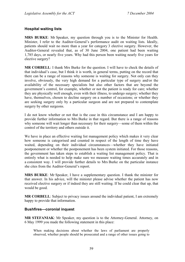#### **Hospital waiting lists**

**MRS BURKE**: Mr Speaker, my question through you is to the Minister for Health. Minister, I refer to the Auditor-General's performance audit on waiting lists. Ideally, patients should wait no more than a year for category 3 elective surgery. However, the Auditor-General revealed that, as of 30 June 2004, one patient had been waiting 1,785 days, or nearly five years. Why had this person been waiting nearly five years for elective surgery?

**MR CORBELL**: I thank Mrs Burke for the question. I will have to check the details of that individual's case, but I think it is worth, in general terms, putting on the record that there can be a range of reasons why someone is waiting for surgery. Not only can they involve, obviously, the very high demand for a particular type of surgery and/or the availability of the necessary specialists but also other factors that are beyond the government's control, for example, whether or not the patient is ready for care; whether they are physically well enough, even with their illness, to undergo surgery; whether they have, themselves, chosen to decline surgery on a number of occasions; or whether they are seeking surgery only by a particular surgeon and are not prepared to contemplate surgery by other surgeons.

I do not know whether or not that is the case in this circumstance and I am happy to provide further information to Mrs Burke in that regard. But there is a range of reasons why someone will wait longer than necessary for their surgery—some of them within the control of the territory and others outside it.

We have in place an effective waiting list management policy which makes it very clear how someone is categorised and counted in respect of the length of time they have waited, depending on their individual circumstances—whether they have initiated postponement or whether the postponement has been system initiated. For those reasons, the government has taken steps to establish a waiting list management policy. That is entirely what is needed to help make sure we measure waiting times accurately and in a consistent way. I will provide further details to Mrs Burke on the particular instance she cites from the Auditor-General's report.

**MRS BURKE**: Mr Speaker, I have a supplementary question. I thank the minister for that answer. In his advice, will the minister please advise whether the patient has now received elective surgery or if indeed they are still waiting. If he could clear that up, that would be good.

**MR CORBELL**: Subject to privacy issues around the individual patient, I am extremely happy to provide that information.

#### **Bushfires—coronial inquest**

**MR STEFANIAK**: Mr Speaker, my question is to the Attorney-General. Attorney, on 6 May 1999 you made the following statement in this place:

When making decisions about whether the laws of parliament are properly observed, whether people should be prosecuted and a range of other issues going to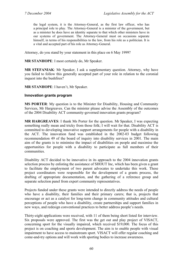the legal system, it is the Attorney-General, as the first law officer, who has a principal role to play. The Attorney-General is a minister of the government, but as a minister he does have an identity separate to that which other ministers have in our systems of government. The Attorney-General must on occasions separate himself, in terms of his responsibilities to the law, from his role as a politician. It is a vital and accepted part of his role as Attorney-General.

Attorney, do you stand by your statement in this place on 6 May 1999?

**MR STANHOPE**: I most certainly do, Mr Speaker.

**MR STEFANIAK**: Mr Speaker, I ask a supplementary question. Attorney, why have you failed to follow this generally accepted part of your role in relation to the coronial inquest into the bushfires?

#### **MR STANHOPE**: I haven't, Mr Speaker.

#### **Innovation grants program**

**MS PORTER**: My question is to the Minister for Disability, Housing and Community Services, Mr Hargreaves. Can the minister please advise the Assembly of the outcomes of the 2004 Disability ACT community-governed innovation grants program?

**MR HARGREAVES**: I thank Ms Porter for the question. Mr Speaker, I was expecting something really mean and tricky from those folk; I will wait for that. Disability ACT is committed to developing innovative support arrangements for people with a disability in the ACT. The innovation fund was established in the 2002-03 budget following recommendation 49 of the board of inquiry into disability services in 2001. The main aim of the grants is to minimise the impact of disabilities on people and maximise the opportunities for people with a disability to participate as full members of their communities.

Disability ACT decided to be innovative in its approach to the 2004 innovation grants selection process by enlisting the assistance of SHOUT Inc, which has been given a grant to facilitate the employment of two parent advocates to undertake this work. These project coordinators were responsible for the development of a grants process, the drafting of appropriate documentation, and the gathering of a reference group and separate selection panel from expert community representatives.

Projects funded under these grants were intended to directly address the needs of people who have a disability, their families and their primary carers; that is, projects that encourage or act as a catalyst for long-term change in community attitudes and cultural perceptions of people who have a disability, create partnerships and support families in new ways, and redesign conventional practices to better address people's needs.

Thirty-eight applications were received, with 11 of them being short listed for interview. Six proposals were approved. The first was the get out and play project of VISACT, concerning sport for the visually impaired, which received \$19,000. The focus of this project is on coaching and sports development. The aim is to enable people with visual impairment to have access to mainstream sport. VISACT will offer regular coaching and come-and-try options and will work with sporting bodies to increase awareness.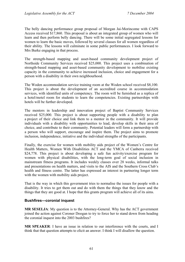The belly dancing performance group proposal of Morgan Jai-Morincome with CAPS Access received \$17,860. This proposal is about an integrated group of women who will learn and then perform belly dancing. There will be some initial segregated lessons for women to learn the basic moves, followed by several classes for all women regardless of their ability. The lessons will culminate in some public performances. I look forward to Mrs Burke engaging in that process.

The strength-based mapping and asset-based community development project of Northside Community Services received \$25,000. This project uses a combination of strength-based mapping and asset-based community development to mobilise existing capacity in the community to achieve increased inclusion, choice and engagement for a person with a disability in their own neighbourhood.

The Woden accommodation service training room at the Woden school received \$8,100. This project is about the development of an accredited course in accommodation services, with identified units of competency. The room will be furnished as a replica of a hotel/motel room for students to learn the competencies. Existing partnerships with hotels will be further developed.

The mentors in leadership and innovation project of Baptist Community Services received \$25,000. This project is about supporting people with a disability to plan a project of their choice and link them to a mentor in the community. It will provide individuals with a disability with opportunities to lead, develop skills in their area of choice, and contribute to their community. Potential leaders will form a partnership with a person who will support, encourage and inspire them. The project aims to promote inclusion, independence, initiative and the individual strengths of the participants.

Finally, the exercise for women with mobility aids project of the Women's Centre for Health Matters, Women With Disabilities ACT and the YMCA of Canberra received \$24,778. This project is about developing a safe fun activity/exercise program for women with physical disabilities, with the long-term goal of social inclusion in mainstream fitness programs. It includes weekly classes over 28 weeks, informal talks and presentations on health matters, and visits to the AIS and the Southern Cross Club's health and fitness centre. The latter has expressed an interest in partnering longer term with the women with mobility aids project.

That is the way in which this government tries to normalise the issues for people with a disability. It tries to get them out and do with them the things that they know and the things that they are good at. I hope that this grants program will achieve all of its aims.

### **Bushfires—coronial inquest**

**MR SESELJA**: My question is to the Attorney-General. Why has the ACT government joined the action against Coroner Doogan to try to force her to stand down from heading the coronial inquest into the 2003 bushfires?

**MR SPEAKER**: I have an issue in relation to our interference with the courts, and I think that that question attempts to elicit an answer. I think I will disallow the question.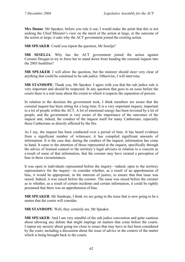**Mrs Dunne**: Mr Speaker, before you rule it out, I would make the point that this is not seeking the Chief Minister's view on the merit of the action at large, or the outcome of the action at large; it asks why the ACT government joined the existing action.

**MR SPEAKER:** Could you repeat the question, Mr Seselia?

**MR SESELJA**: Why has the ACT government joined the action against Coroner Doogan to try to force her to stand down from heading the coronial inquest into the 2003 bushfires?

**MR SPEAKER**: I will allow the question, but the minister should steer very clear of anything that could be construed to be sub judice. Otherwise, I will intervene.

**MR STANHOPE**: Thank you, Mr Speaker. I agree with you that the sub judice rule is very important and should be respected. In any question that goes to an issue before the courts there is a real issue about the extent to which it respects the separation of powers.

In relation to the decision the government took, I think members are aware that the coronial inquest has been sitting for a long time. It is a very important inquest, important to a lot of people within the ACT. A lot of emotional energy has been invested by a lot of people, and the government is very aware of the importance of the outcomes of the inquest and, indeed, the conduct of the inquest itself for many Canberrans, especially those Canberrans so directly affected by the fire.

As I say, the inquest has been conducted over a period of time. It has heard evidence from a significant number of witnesses; it has compiled significant amounts of information. It is the case that, during the conduct of the inquest, information has come to hand. It came to the attention of those represented at the inquest, specifically through the advice of learned counsel to the territory's legal advisers in relation to a concern as a result of some of that information, that the coroner may have created a perception of bias in those circumstances.

It was open to individuals represented before the inquiry—indeed, open to the territory representative for the inquiry—to consider whether, as a result of an apprehension of bias, it would be appropriate, in the interests of justice, to ensure that that issue was raised. Indeed, it was raised before the coroner. The issue was raised before the coroner as to whether, as a result of certain incidents and certain information, it could be rightly presumed that there was an apprehension of bias.

**MR SPEAKER**: Mr Stanhope, I think we are going to the issue that is now going to be a matter that the courts will consider.

**MR STANHOPE**: Well, they certainly are, Mr Speaker.

**MR SPEAKER**: And I am very mindful of the sub judice convention and quite cautious about allowing any debate that might impinge on matters that come before the courts. I repeat my anxiety about going too close to issues that may have in fact been considered by the court, including a discussion about the issue of advice in the context of the matter which is being brought back to the courts.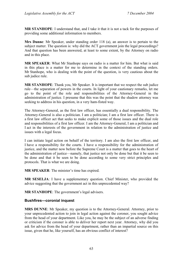**MR STANHOPE**: I understand that, and I take it that it is not a tack for the purposes of providing some additional information to members.

**Mrs Dunne**: Mr Speaker, under standing order 118 (a), an answer is to pertain to the subject matter. The question is: why did the ACT government join the legal proceedings? And that question has been answered, at least to some extent, by the Attorney on radio and in this place.

**MR SPEAKER**: What Mr Stanhope says on radio is a matter for him. But what is said in this place is a matter for me to determine in the context of the standing orders. Mr Stanhope, who is dealing with the point of the question, is very cautious about the sub judice rule.

**MR STANHOPE**: Thank you, Mr Speaker. It is important that we respect the sub judice rule—the separation of powers in the courts. In light of your cautionary remarks, let me go to the point of the role and responsibilities of the Attorney-General in the administration of justice. I presume that this was the point that the shadow attorney was seeking to address in his question, in a very ham-fisted way.

The Attorney-General, as the first law officer, has essentially a dual responsibility. The Attorney-General is also a politician. I am a politician; I am a first law officer. There is a first law officer act that seeks to make explicit some of those issues and the dual role and responsibilities of a first law officer. I am the Attorney-General, I am a politician and I act in the interests of the government in relation to the administration of justice and issues with a legal focus.

I can initiate legal action on behalf of the territory. I am also the first law officer, and I have a responsibility for the courts. I have a responsibility for the administration of justice, and the matter now before the Supreme Court is a matter that goes to the heart of the administration of justice—namely, that justice not only be done but that it be seen to be done and that it be seen to be done according to some very strict principles and protocols. That is what we are doing.

**MR SPEAKER**: The minister's time has expired.

**MR SESELJA**: I have a supplementary question. Chief Minister, who provided the advice suggesting that the government act in this unprecedented way?

**MR STANHOPE**: The government's legal advisers.

### **Bushfires—coronial inquest**

**MRS DUNNE**: Mr Speaker, my question is to the Attorney-General. Attorney, prior to your unprecedented action to join in legal action against the coroner, you sought advice from the head of your department. Like you, he may be the subject of an adverse finding or criticism if the coroner is able to deliver her report next year. Attorney, why did you ask for advice from the head of your department, rather than an impartial source on this issue, given that he, like yourself, has an obvious conflict of interest?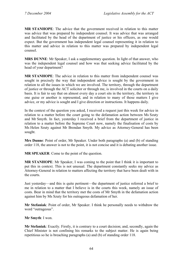**MR STANHOPE**: The advice that the government received in relation to this matter was advice that was prepared by independent counsel. It was advice that was arranged and facilitated by the head of the department of justice or his officers, as one would expect. But the government has independent legal counsel representing it in relation to this matter and advice in relation to this matter was prepared by independent legal counsel.

**MRS DUNNE**: Mr Speaker, I ask a supplementary question. In light of that answer, who was the independent legal counsel and how was that seeking advice facilitated by the head of your department?

**MR STANHOPE**: The advice in relation to this matter from independent counsel was sought in precisely the way that independent advice is sought by the government in relation to all the issues in which we are involved. The territory, through the department of justice or through the ACT solicitor or through me, is involved in the courts on a daily basis. It is fair to say that on almost every day a court sits in the territory, the territory in one guise or another is represented, and in relation to many of those matters I give advice, or my advice is sought and I give direction or instructions. It happens daily.

In the context of the question you asked, I received a request just this week for advice in relation to a matter before the court going to the defamation action between Ms Szuty and Mr Smyth. In fact, yesterday I received a brief from the department of justice in relation to a matter before the Supreme Court now, namely the finalisation of costs by Ms Helen Szuty against Mr Brendan Smyth. My advice as Attorney-General has been sought.

**Mrs Dunne**: Point of order, Mr Speaker. Under both paragraphs (a) and (b) of standing order 118, the answer is not to the point, it is not concise and it is debating another issue.

**MR SPEAKER**: Come to the point of the question.

**MR STANHOPE**: Mr Speaker, I was coming to the point that I think it is important to put this in context. This is not unusual. The department constantly seeks my advice as Attorney-General in relation to matters affecting the territory that have been dealt with in the courts.

Just yesterday—and this is quite pertinent—the department of justice referred a brief to me in relation to a matter that I believe is in the courts this week, namely an issue of costs. Bear in mind that the territory met the costs of Mr Smyth in the defamation action against him by Ms Szuty for his outrageous defamation of her.

**Mr Stefaniak**: Point of order, Mr Speaker. I think he personally needs to withdraw the word "outrageous".

**Mr Smyth**: I won.

**Mr Stefaniak**: Exactly. Firstly, it is contrary to a court decision; and, secondly, again the Chief Minister is not confining his remarks to the subject matter. He is again being repetitious so he is breaching paragraphs (a) and (b) of standing order 118.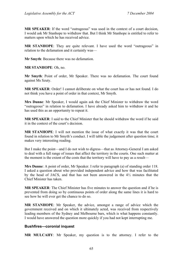**MR SPEAKER**: If the word "outrageous" was used in the context of a court decision, I would ask Mr Stanhope to withdraw that. But I think Mr Stanhope is entitled to refer to matters upon which he has received advice.

**MR STANHOPE**: They are quite relevant. I have used the word "outrageous" in relation to the defamation and it certainly was—

**Mr Smyth**: Because there was no defamation.

**MR STANHOPE**: Oh, no.

**Mr Smyth**: Point of order, Mr Speaker. There was no defamation. The court found against Ms Szuty.

**MR SPEAKER**: Order! I cannot deliberate on what the court has or has not found. I do not think you have a point of order in that context, Mr Smyth.

**Mrs Dunne**: Mr Speaker, I would again ask the Chief Minister to withdraw the word "outrageous" in relation to defamation. I have already asked him to withdraw it and he has used this as an opportunity to repeat it.

**MR SPEAKER**: I said to the Chief Minister that he should withdraw the word if he said it in the context of the court's decision.

**MR STANHOPE**: I will not mention the issue of what exactly it was that the court found in relation to Mr Smyth's conduct. I will table the judgement after question time; it makes very interesting reading.

But I make the point—and I do not wish to digress—that as Attorney-General I am asked to deal with a full range of issues that affect the territory in the courts. One such matter at the moment is the extent of the costs that the territory will have to pay as a result—

**Mrs Dunne**: A point of order, Mr Speaker. I refer to paragraph (a) of standing order 118. I asked a question about who provided independent advice and how that was facilitated by the head of JACS, and that has not been answered in the 4½ minutes that the Chief Minister has taken.

**MR SPEAKER**: The Chief Minister has five minutes to answer the question and if he is prevented from doing so by continuous points of order along the same lines it is hard to see how he will ever get the chance to do so.

**MR STANHOPE**: Mr Speaker, the advice, amongst a range of advice which the government received and on which it ultimately acted, was received from respectively leading members of the Sydney and Melbourne bars, which is what happens constantly. I would have answered the question more quickly if you had not kept interrupting me.

### **Bushfires—coronial inquest**

**MR MULCAHY**: Mr Speaker, my question is to the attorney. I refer to the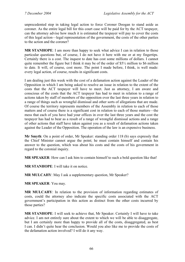unprecedented step in taking legal action to force Coroner Doogan to stand aside as coroner. As the entire legal bill for this court case will be paid for by the ACT taxpayer, can the attorney advise how much it is estimated the taxpayer will pay to cover the costs of this legal action—legal representation of the government, the costs of the other parties to the action and the coroner?

**MR STANHOPE**: I am more than happy to seek what advice I can in relation to those particular questions but, of course, I do not have it here with me or at my fingertips. Certainly there is a cost. The inquest to date has cost some millions of dollars. I cannot quite remember the figure but I think it may be of the order of  $$5\frac{1}{2}$  million to \$6 million to date. It will, of course, cost more. The point I made before, I think, is well made: every legal action, of course, results in significant costs.

I am dealing just this week with the cost of a defamation action against the Leader of the Opposition in which I am being asked to resolve an issue in relation to the extent of the costs that the ACT taxpayer will have to meet. Just as attorney, I am aware and conscious of the costs that the ACT taxpayer has had to meet in relation to a range of actions taken by staff of members of the opposition over the last three years in relation to a range of things such as wrongful dismissal and other sorts of allegations that are made. Of course the territory represents members of the Assembly in relation to each of those matters and of course there is a significant cost in relation to each of those matters—the mess that each of you have had your offices in over the last three years and the cost the taxpayer has had to bear as a result of a range of wrongful dismissal actions and a range of other actions that staff have taken against you as a result of defamation actions taken against the Leader of the Opposition. The operation of the law is an expensive business.

**Mr Smyth**: On a point of order, Mr Speaker: standing order 118 (b) says expressly that the Chief Minister cannot argue the point; he must contain himself and contain his answer to the question, which was about his costs and the costs of his government in regard to the coronial inquiry.

**MR SPEAKER**: How can I ask him to contain himself to such a bold question like that!

**MR STANHOPE**: I will take it on notice.

**MR MULCAHY**: May I ask a supplementary question, Mr Speaker?

**MR SPEAKER**: You may.

**MR MULCAHY**: In relation to the provision of information regarding estimates of costs, could the attorney also indicate the specific costs associated with the ACT government's participation in this action as distinct from the other costs incurred by those parties?

**MR STANHOPE**: I will seek to achieve that, Mr Speaker. Certainly I will have to take advice. I am not entirely sure about the extent to which we will be able to disaggregate, but I am certainly more than happy to provide all of the costs, disaggregated, as best I can. I didn't quite hear the conclusion. Would you also like me to provide the costs of the defamation action involved? I will do it any way.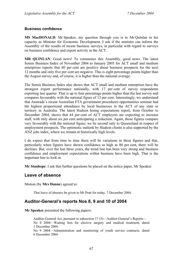#### **Business confidence**

**MS MacDONALD**: Mr Speaker, my question through you is to Mr Quinlan in his capacity as Minister for Economic Development. I ask if the minister can inform the Assembly of the results of recent business surveys, in particular with regard to surveys on business confidence and export activity in the ACT.

**MR QUINLAN**: Good news! To commence this Assembly, good news. The latest Sensis Business Index of November 2004 to January 2005 for ACT small and medium enterprises reports that 80 per cent are positive about business prospects for the next 12 months and only five per cent are negative. This is eight percentage points higher than the August survey and, of course, it is higher than the national average.

The Sensis Business Index also shows that ACT small and medium enterprises have the strongest export performance nationally, with 17 per cent of survey respondents exporting last quarter. That is up to four percentage points higher than the last survey and compares favourably with the national figure of 13 per cent. Interestingly, we understand that Austrade's recent Australian FTA government procedures opportunities seminar had the highest proportional attendance by local businesses in the ACT of any state or territory in Australia. The latest Hudson hiring expectations report, from October to December 2004, shows that 44 per cent of ACT employers are expecting to increase staff, with only about six per cent anticipating a reduction. Again, those figures compare very favourably with the national figure; we lie second only to Queensland in respect of employment prospects. The optimistic outlook by Hudson clients is also supported by the ANZ jobs index, where we remain at historically high levels.

I do expect that from time to time there will be variations in these figures and that, particularly when figures have shown confidence as high as 80 per cent, there will be declines. But, over the last three years, the trend line has been very strong and business confidence and employment expectations within business have been high. That is the important line to look at.

**Mr Stanhope**: I ask that further questions be placed on the notice paper, Mr Speaker.

### **Leave of absence**

Motion (by **Mrs Dunne**) agreed to:

That leave of absence be given to Mr Pratt for today, 7 December 2004.

# **Auditor-General's reports Nos 8, 9 and 10 of 2004**

**Mr Speaker** presented the following papers:

Auditor-General Act, pursuant to subsection 17 (5)—Auditor-General's Reports— No 8 2004—Waiting lists for elective surgery and medical treatment, dated 1 December 2004.

No 9 2004—Administration and monitoring of youth service contracts, dated 6 December 2004.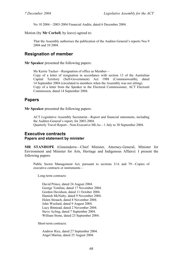No 10 2004—2003-2004 Financial Audits, dated 6 December 2004.

Motion (by **Mr Corbell**, by leave) agreed to:

That the Assembly authorises the publication of the Auditor-General's reports Nos 9 2004 and 10 2004.

# **Resignation of member**

**Mr Speaker** presented the following papers:

Ms Kerrie Tucker—Resignation of office as Member— Copy of a letter of resignation in accordance with section 13 of the Australian Capital Territory (Self-Government) Act 1988 (Commonwealth), dated 14 September 2004 (circulated to members when the Assembly was not sitting). Copy of a letter from the Speaker to the Electoral Commissioner, ACT Electoral Commission, dated 14 September 2004.

# **Papers**

**Mr Speaker** presented the following papers:

ACT Legislative Assembly Secretariat—Report and financial statements, including the Auditor-General's report, for 2003-2004. Quarterly Travel Report—Non-Executive MLAs—1 July to 30 September 2004.

### **Executive contracts Papers and statement by minister**

**MR STANHOPE** (Ginninderra—Chief Minister, Attorney-General, Minister for Environment and Minister for Arts, Heritage and Indigenous Affairs): I present the following papers:

Public Sector Management Act, pursuant to sections 31A and 79—Copies of executive contracts or instruments—

Long-term contracts:

David Prince, dated 24 August 2004. George Tomlins, dated 17 November 2004. Gordon Davidson, dated 11 October 2004. Hamish McNulty, dated 9 November 2004. Helen Strauch, dated 8 November 2004. John Woolard, dated 9 August 2004. Lucy Bitmead, dated 2 November 2004. Steve Ayling, dated 7 September 2004. William Stone, dated 23 September 2004.

Short-term contracts:

Andrew Rice, dated 27 September 2004. Angel Marina, dated 25 August 2004.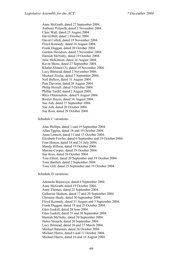Anne McGrath, dated 27 September 2004. Anthony Polinelli, dated 3 November 2004. Clare Wall, dated 25 August 2004. David Butt, dated 1 October 2004. David Collett, dated 19 November 2004. Floyd Kennedy, dated 16 August 2004. Frank Duggan, dated 20 October 2004. Gordon Davidson, dated 2 November 2004. Hamish McNulty, dated 19 October 2004. Julie McKinnon, dated 16 August 2004. Kevin Shore, dated 27 September 2004. Khalid Ahmed (3), dated 19 November 2004. Lucy Bitmead, dated 2 November 2004. Michael Zissler, dated 7 September 2004. Neil Bulless, dated 31 August 2004. Pam Davoren, dated 26 August 2004. Philip Hextell, dated 5 October 2004. Phillip Tardif, dated 2 August 2004. Rhys Ollerenshaw, dated 9 August 2004. Roslyn Hayes, dated 16 August 2004. Sue Ash, dated 27 September 2004. Sue Ash, dated 20 October 2004. Sue Ross, dated 28 October 2004.

Schedule C variations:

Alan Phillips, dated 1 and 19 September 2004. Allan Eggins, dated 18 and 19 October 2004. Anna Lennon, dated 11 and 15 October 2004. Elizabeth Fowler, dated 6 September and 19 October 2004. Fran Hinton, dated 14 and 31 July 2004. Mandy Hillson, dated 19 October 2004. Maxine Cooper, dated 19 October 2004. Sue Ross, dated 26 October 2004. Tom Elliott, dated 20 September and 19 October 2004. Tony Bartlett, dated 2 September 2004. Tony Gill, dated 25 September and 19 October 2004.

Schedule D variations:

Ademola Bojuwoye, dated 6 September 2004. Anne McGrath, dated 19 October 2004. Anne Thomas, dated 22 September 2004. Catherine Hudson, dated 17 and 20 September 2004. Christine Healy, dated 30 September 2004. Floyd Kennedy, dated 31 August and 5 September 2004. Frank Duggan, dated 19 and 25 October 2004. Glen Gaskill, dated 28 June 2004. Glen Gaskill, dated 21 and 30 September 2004. Hamish McNulty, dated 20 September 2004. Helen Strauch, dated 20 September 2004. Lucy Bitmead, dated 26 and 27 March 2004. Michael Bateman, dated 26 October 2004. Michael Harris, dated 6 and 11 October 2004. Michael Harris, dated 16 and 18 August 2004.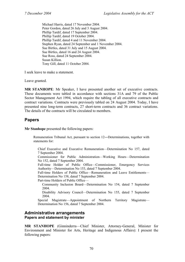Michael Harris, dated 17 November 2004. Peter Gordon, dated 26 July and 3 August 2004. Phillip Tardif, dated 17 September 2004. Phillip Tardif, dated 19 October 2004. Phillip Tardif, dated 4 and 11 November 2004. Stephen Ryan, dated 24 September and 1 November 2004. Sue Birtles, dated 31 July and 15 August 2004. Sue Birtles, dated 16 and 24 August 2004. Sue Ross, dated 24 September 2004. Susan Killion. Tony Gill, dated 11 October 2004.

I seek leave to make a statement.

Leave granted.

**MR STANHOPE**: Mr Speaker, I have presented another set of executive contracts. These documents were tabled in accordance with sections 31A and 79 of the Public Sector Management Act 1994, which require the tabling of all executive contracts and contract variations. Contracts were previously tabled on 24 August 2004. Today, I have presented nine long-term contracts, 27 short-term contracts and 36 contract variations. The details of the contracts will be circulated to members.

# **Papers**

**Mr Stanhope** presented the following papers:

Remuneration Tribunal Act, pursuant to section 12―Determinations, together with statements for:

Chief Executive and Executive Remuneration—Determination No 157, dated 7 September 2004.

Commissioner for Public Administration—Working Hours—Determination No 152, dated 7 September 2004.

Full-time Holder of Public Office—Commissioner, Emergency Services Authority—Determination No 153, dated 7 September 2004.

Full-time Holders of Public Office—Remuneration and Leave Entitlements— Determination No 158, dated 7 September 2004.

Part-time Holders of Public Office—

Community Inclusion Board—Determination No 154, dated 7 September 2004.

Disability Advisory Council—Determination No 155, dated 7 September 2004.

Special Magistrate—Appointment of Northern Territory Magistrate— Determination No 156, dated 7 September 2004.

## **Administrative arrangements Papers and statement by minister**

**MR STANHOPE** (Ginninderra—Chief Minister, Attorney-General, Minister for Environment and Minister for Arts, Heritage and Indigenous Affairs): I present the following papers: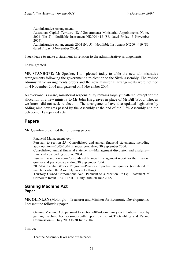Administrative Arrangements— Australian Capital Territory (Self-Government) Ministerial Appointments Notice 2004 (No 2)—Notifiable Instrument NI2004-418 (S6, dated Friday, 5 November 2004). Administrative Arrangements 2004 (No 5)—Notifiable Instrument NI2004-419 (S6, dated Friday, 5 November 2004).

I seek leave to make a statement in relation to the administrative arrangements.

Leave granted.

**MR STANHOPE**: Mr Speaker, I am pleased today to table the new administrative arrangements following the government's re-election to the Sixth Assembly. The revised administrative arrangements orders and the new ministerial arrangements were notified on 4 November 2004 and gazetted on 5 November 2004.

As everyone is aware, ministerial responsibility remains largely unaltered, except for the allocation of a new ministry to Mr John Hargreaves in place of Mr Bill Wood, who, as we know, did not seek re-election. The arrangements have also updated legislation by adding nine new acts passed by the Assembly at the end of the Fifth Assembly and the deletion of 18 repealed acts.

# **Papers**

**Mr Quinlan** presented the following papers:

Financial Management Act—

Pursuant to section 25—Consolidated and annual financial statements, including audit opinion—2003-2004 financial year, dated 30 September 2004.

Consolidated annual financial statements—Management discussion and analysis— Financial year ending 30 June 2004.

Pursuant to section 26—Consolidated financial management report for the financial quarter and year-to-date ending 30 September 2004.

2003-04 Capital Works Program—Progress report—June quarter (circulated to members when the Assembly was not sitting).

Territory Owned Corporations Act—Pursuant to subsection 19 (3)—Statement of Corporate Intent—ACTTAB—1 July 2004-30 June 2005.

### **Gaming Machine Act Paper**

**MR QUINLAN** (Molonglo—Treasurer and Minister for Economic Development): I present the following paper:

Gaming Machine Act, pursuant to section 60F—Community contributions made by gaming machine licensees—Seventh report by the ACT Gambling and Racing Commission—1 July 2003 to 30 June 2004.

I move:

That the Assembly takes note of the paper.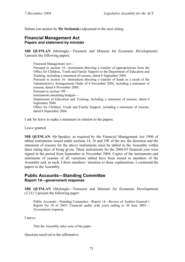Debate (on motion by **Mr Stefaniak**) adjourned to the next sitting.

# **Financial Management Act Papers and statement by minister**

**MR QUINLAN** (Molonglo—Treasurer and Minister for Economic Development): I present the following papers:

Financial Management Act— Pursuant to section 14—Instrument directing a transfer of appropriations from the Office for Children, Youth and Family Support to the Department of Education and Training, including a statement of reasons, dated 8 September 2004. Pursuant to section 16—Instrument directing a transfer of funds as a result of the Administrative Arrangements Order of 4 November 2004, including a statement of reasons, dated 4 November 2004. Pursuant to section 19F— Instruments amending budgets— Department of Education and Training, including a statement of reasons, dated 8 September 2004. Office for Children, Youth and Family Support, including a statement of reasons, dated 8 September 2004.

I ask for leave to make a statement in relation to the papers.

Leave granted.

**MR QUINLAN**: Mr Speaker, as required by the Financial Management Act 1996 of tabled instruments issued under sections 14, 16 and 19F of the act, the direction and the statement of reasons for the above instruments must be tabled in the Assembly within three sitting days of being given. These instruments for the 2004-05 financial year were signed in the period from September to November 2004. Copies of the instruments and statements of reasons of all variations tabled have been issued to members of the Assembly and, as such, I draw members' attention to those explanations. I commend the papers to the Assembly.

# **Public Accounts―Standing Committee Report 14―government response**

**MR QUINLAN** (Molonglo—Treasurer and Minister for Economic Development) (3.21): I present the following paper:

Public Accounts—Standing Committee—Report 14—Review of Auditor-General's Report No 10 of 2003: Financial audits with years ending to 30 June 2003— Government response.

I move:

That the Assembly takes note of the paper.

Question resolved in the affirmative.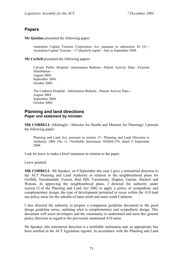# **Papers**

**Mr Quinlan** presented the following paper:

Australian Capital Tourism Corporation Act, pursuant to subsection 28 (3)— Australian Capital Tourism—1<sup>st</sup> Quarterly report—July to September 2004.

**Mr Corbell** presented the following papers:

Calvary Public Hospital—Information Bulletin—Patient Activity Data—External Distribution— August 2004. September 2004. October 2004.

The Canberra Hospital—Information Bulletin—Patient Activity Data— August 2004. September 2004. October 2004.

## **Planning and land directions Paper and statement by minister**

**MR CORBELL** (Molonglo—Minister for Health and Minister for Planning): I present the following paper:

Planning and Land Act, pursuant to section 12—Planning and Land Direction to Authority 2004 (No 1)—Notifiable Instrument NI2004-370, dated 9 September 2004.

I ask for leave to make a brief statement in relation to the paper.

Leave granted.

**MR CORBELL**: Mr Speaker, on 9 September this year I gave a ministerial direction to the ACT Planning and Land Authority in relation to the neighbourhood plans for Griffith, Narrabundah, Forrest, Red Hill, Yarralumla, Hughes, Garran, Hackett and Watson. In approving the neighbourhood plans, I directed the authority under section 12 of the Planning and Land Act 2002 to apply a policy of sympathetic and complementary design, the type of development permitted to occur within the A10 land use policy areas for the suburbs of inner north and inner south Canberra.

I also directed the authority to prepare a companion guideline document to the good design guideline series, outlining what is complementary and sympathetic design. This document will assist developers and the community to understand and meet this general policy direction in regard to the previously mentioned A10 areas.

Mr Speaker, this ministerial direction is a notifiable instrument and, as appropriate, has been notified in the ACT legislation register. In accordance with the Planning and Land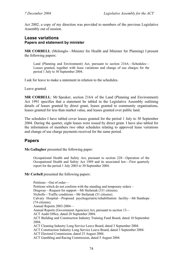Act 2002, a copy of my direction was provided to members of the previous Legislative Assembly out of session.

## **Lease variations Papers and statement by minister**

**MR CORBELL** (Molonglo—Minister for Health and Minister for Planning) I present the following papers:

Land (Planning and Environment) Act, pursuant to section 216A—Schedules— Leases granted, together with lease variations and change of use charges for the period 1 July to 30 September 2004.

I ask for leave to make a statement in relation to the schedules.

Leave granted.

**MR CORBELL**: Mr Speaker, section 216A of the Land (Planning and Environment) Act 1991 specifies that a statement be tabled in the Legislative Assembly outlining details of leases granted by direct grant, leases granted to community organisations, leases granted for less than market value, and leases granted over public land.

The schedules I have tabled cover leases granted for the period 1 July to 30 September 2004. During the quarter, eight leases were issued by direct grant. I have also tabled for the information of members two other schedules relating to approved lease variations and change of use charge payments received for the same period.

# **Papers**

**Ms Gallagher** presented the following paper:

Occupational Health and Safety Act, pursuant to section 228—Operation of the Occupational Health and Safety Act 1989 and its associated law—First quarterly report for the period 1 July 2003 to 30 September 2004.

#### **Mr Corbell** presented the following papers:

Petitions—Out of order— Petitions which do not conform with the standing and temporary orders – Dragway—Request for support—Mr Stefaniak (331 citizens). Nicholls—Traffic conditions—Mr Stefaniak (51 citizens). Calvary Hospital—Proposed psychogeriatric/rehabilitation facility—Mr Stanhope (74 citizens). Annual Reports 2003-2004— Annual Reports (Government Agencies) Act, pursuant to section 13— ACT Audit Office, dated 28 September 2004. ACT Building and Construction Industry Training Fund Board, dated 10 September 2004. ACT Cleaning Industry Long Service Leave Board, dated 3 September 2004. ACT Construction Industry Long Service Leave Board, dated 3 September 2004. ACT Electoral Commission, dated 23 August 2004. ACT Gambling and Racing Commission, dated 5 August 2004.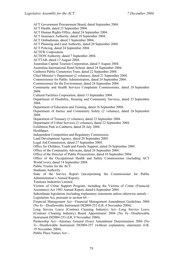ACT Government Procurement Board, dated September 2004.

ACT Health, dated 23 September 2004.

ACT Human Rights Office, dated 24 September 2004.

ACT Insurance Authority, dated 10 September 2004.

ACT Ombudsman, dated 2 September 2004.

ACT Planning and Land Authority, dated 20 September 2004.

ACT Policing, dated 24 September 2004.

ACTEW Corporation.

ACTION Authority, dated 7 September 2004.

ACTTAB, dated 17 August 2004.

Australian Capital Tourism Corporation, dated 5 August 2004.

Australian International Hotel School, dated 24 September 2004.

Canberra Public Cemeteries Trust, dated 22 September 2004.

Chief Minister's Department (2 volumes), dated 21 September 2004.

Commissioner for Public Administration, dated 24 September 2004.

Commissioner for the Environment, dated 24 September 2004.

Community and Health Services Complaints Commissioner, dated 24 September 2004.

Cultural Facilities Corporation, dated 13 September 2004.

Department of Disability, Housing and Community Services, dated 23 September 2004.

Department of Education and Training, dated 16 September 2004.

Department of Justice and Community Safety (2 volumes), dated 24 September 2004.

Department of Treasury (2 volumes), dated 23 September 2004.

Department of Urban Services (2 volumes), dated 22 September 2004.

Exhibition Park in Canberra, dated 28 July 2004.

Healthpact.

Independent Competition and Regulatory Commission.

Land Development Agency, dated 20 September 2004.

Legal Aid Commission, dated 27 September 2004.

Office for Children, Youth and Family Support, dated 24 September 2004.

Office of the Community Advocate, dated 24 September 2004.

Office of the Director of Public Prosecutions, dated 10 September 2004.

Office of the Occupational Health and Safety Commissioner (including ACT WorkCover), dated 14 September 2004.

Public Trustee for the ACT.

Stadiums Authority.

State of the Service Report (incorporating the Commissioner for Public Administration's Annual Report).

Totalcare Industries Limited.

Victims of Crime Support Program, including the Victims of Crime (Financial Assistance) Act 1983 Annual Report, dated 6 September 2004.

Subordinate legislation (including explanatory statements unless otherwise stated)— Legislation Act, pursuant to section 64—

Financial Management Act—Financial Management Amendment Guidelines 2004 (No 4)—Disallowable Instrument DI2004-252 (LR, 4 November 2004).

Long Service Leave (Contract Cleaning Industry) Act—Long Service Leave (Contract Cleaning Industry) Board Appointment 2004 (No 6)—Disallowable Instrument DI2004-253 (LR, 9 November 2004).

Partnership Act—Attorney General (Fees) Amendment Determination 2004 (No 3)—Disallowable Instrument DI2004-257 (without explanatory statement) (LR, 19 November 2004).

Public Place Names Act—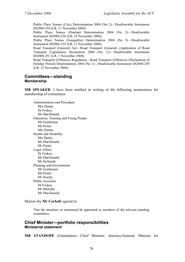Public Place Names (City) Determination 2004 (No 2)—Disallowable Instrument DI2004-254 (LR, 11 November 2004).

Public Place Names (Dunlop) Determination 2004 (No 2)—Disallowable Instrument DI2004-256 (LR, 19 November 2004).

Public Place Names (Gungahlin) Determination 2004 (No 3)—Disallowable Instrument DI2004-255 (LR, 11 November 2004).

Road Transport (General) Act—Road Transport (General) (Application of Road Transport Legislation) Declaration 2004 (No 12)—Disallowable Instrument DI2004-251 (LR, 1 November 2004).

Road Transport (Offences) Regulation—Road Transport (Offences) (Declaration of Holiday Period) Determination 2004 (No 1)—Disallowable Instrument DI2004-258 (LR, 22 November 2004).

#### **Committees—standing Membership**

**MR SPEAKER**: I have been notified in writing of the following nominations for membership of committees:

Administration and Procedure Mrs Dunne Dr Foskey Ms MacDonald Education, Training and Young People Mr Gentleman Ms Porter Mrs Dunne Health and Disability Mrs Burke Ms MacDonald Ms Porter Legal Affairs Dr Foskey Ms MacDonald Mr Stefaniak Planning and Environment Mr Gentleman Ms Porter Mr Seselja Public Accounts Dr Foskey Mr Mulcahy Ms MacDonald.

Motion (by **Mr Corbell**) agreed to:

That the members so nominated be appointed as members of the relevant standing committees.

### **Chief Minister—portfolio responsibilities Ministerial statement**

**MR STANHOPE** (Ginninderra—Chief Minister, Attorney-General, Minister for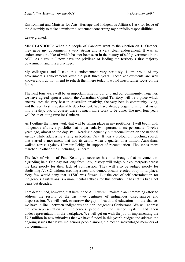Environment and Minister for Arts, Heritage and Indigenous Affairs): I ask for leave of the Assembly to make a ministerial statement concerning my portfolio responsibilities.

Leave granted.

**MR STANHOPE**: When the people of Canberra went to the election on 16 October, they gave my government a very strong and a very clear endorsement. It was an endorsement the like of which has not been seen in the history of self-government in the ACT. As a result, I now have the privilege of leading the territory's first majority government, and it is a privilege.

My colleagues and I take this endorsement very seriously. I am proud of my government's achievements over the past three years. Those achievements are well known and I do not intend to rehash them here today. I would much rather focus on the future.

The next four years will be an important time for our city and our community. Together, we have agreed upon a vision: the Australian Capital Territory will be a place which encapsulates the very best in Australian creativity, the very best in community living, and the very best in sustainable development. We have already begun turning that vision into a reality; but, of course, there is much more work to be done. The next four years will be an exciting time for Canberra.

As I outline the major work that will be taking place in my portfolios, I will begin with indigenous affairs, a portfolio that is particularly important to me personally. Twelve years ago, almost to the day, Paul Keating eloquently put reconciliation on the national agenda while addressing a rally in Redfern Park. It was a profoundly touching speech that started a movement that had its zenith when a quarter of a million Australians walked across Sydney Harbour Bridge in support of reconciliation. Thousands more marched in other cities, including Canberra.

The lack of vision of Paul Keating's successor has now brought that movement to a grinding halt. One day not long from now, history will judge our counterparts across the lake poorly for their lack of compassion. They will also be judged poorly for abolishing ATSIC without creating a new and democratically elected body in its place. Very few would deny that ATSIC was flawed. But the end of self-determination for indigenous Australians is a monumental setback for this country. It has set us back not years but decades.

I am determined, however, that here in the ACT we will maintain an unremitting effort to address the results of the last two centuries of indigenous disadvantage and dispossession. We will work to narrow the gap in health and education—in the chances we have in life—between indigenous and non-indigenous Canberrans. We will address the overrepresentation of indigenous people in the justice system and their under-representation in the workplace. We will get on with the job of implementing the \$7.7 million in new initiatives that we have funded in this year's budget and address the ongoing issues that leave indigenous people among the most disadvantaged members of our community.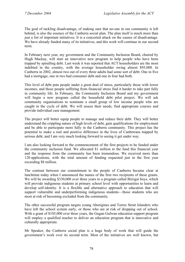The goal of tackling disadvantage, of making sure that no-one in our community is left behind, is also the essence of the Canberra social plan. The plan itself is much more than just a list of important initiatives. It is a concerted attack on the causes of disadvantage. We have already funded many of its initiatives, and this work will continue in our second term.

In February next year, my government and the Community Inclusion Board, chaired by Hugh Mackay, will start an innovative new program to help people who have been trapped by spiralling debt. Last week it was reported that ACT householders are the most indebted in the country, with the average householder owing almost \$95,000. In Canberra in 2002, almost two out of every three adults had some sort of debt. One in five had a mortgage, one in two had consumer debt and one in four had both.

This level of debt puts people under a great deal of stress, particularly those with lower incomes, and those people suffering from financial stress find it harder to take part fully in community life. In February, the Community Inclusion Board and my government will begin a new program called the household debt pilot project. We will ask community organisations to nominate a small group of low income people who are caught in the cycle of debt. We will assess their needs, find appropriate courses and provide individual case management.

The project will better equip people to manage and reduce their debt. They will better understand the crippling nature of high levels of debt, gain qualifications for employment and be able to participate more fully in the Canberra community. This project has the potential to make a real and positive difference in the lives of Canberrans trapped by serious debt, and I am very much looking forward to seeing it get under way.

I am also looking forward to the commencement of the first projects to be funded under the community inclusion fund. We allocated \$1 million to the fund this financial year and the response from the community has been tremendous. We received more than 120 applications, with the total amount of funding requested just in the first year exceeding \$8 million.

The contrast between our commitment to the people of Canberra became clear at lunchtime today when I announced the names of the first two recipients of these grants. We will be awarding \$330,000 over three years to a program called Birrigai boys, which will provide indigenous students at primary school level with opportunities to learn and develop self-identity. It is a flexible and alternative approach to education that will support vulnerable and underperforming indigenous students—those students who are most at risk of becoming excluded from the community.

The other successful program targets young Aborigines and Torres Strait Islanders who have left the school system early, or those who are at risk of dropping out of school. With a grant of \$105,000 over three years, the Gugan Gulwan education support program will employ a qualified teacher to deliver an education program that is innovative and culturally appropriate.

Mr Speaker, the Canberra social plan is a huge body of work that will guide the government's work over its second term. Most of the initiatives are well known, but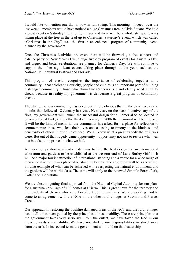I would like to mention one that is now in full swing. This morning—indeed, over the last week—members would have noticed a huge Christmas tree in Civic Square. We held a great event on Saturday night to light it up, and there will be a whole string of events taking place at the tree in the lead-up to Christmas. Saturday's event, which was called "Christmas in the City", was the first in an enhanced program of community events planned by the government.

Once the Christmas festivities are over, there will be fireworks, a free concert and a dance party on New Year's Eve, a huge two-day program of events for Australia Day, and bigger and better celebrations are planned for Canberra Day. We will continue to support the other significant events taking place throughout the year, such as the National Multicultural Festival and Floriade.

This program of events recognises the importance of celebrating together as a community—that celebrating our city, people and culture is an important part of building a stronger community. Those who claim that Canberra is bland clearly need a reality check, because in reality my government is delivering a great program of community events.

The strength of our community has never been more obvious than in the days, weeks and months that followed 18 January last year. Next year, on the second anniversary of the fires, my government will launch the successful design for a memorial to be located in Stromlo Forest Park, and by the third anniversary in 2006 the memorial will be in place. It will be the kind of memorial the community has asked for—a place for reflection to commemorate those who lost their lives and a lasting testimony to the kindness and generosity of others in our time of need. We all know what a great tragedy the bushfires were. But out of that tragedy came opportunity—opportunity not just to restore what was lost but also to improve on what we had.

A major competition is already under way to find the best design for an international arboretum and gardens to be established at the western end of Lake Burley Griffin. It will be a major tourist attraction of international standing and a venue for a wide range of recreational activities—a place of outstanding beauty. The arboretum will be a showcase, a living example of what can be achieved while respecting the natural environment, and the gardens will be world class. The same will apply to the renewed Stromlo Forest Park, Cotter and Tidbinbilla.

We are close to getting final approval from the National Capital Authority for our plans for a sustainable village of 100 homes at Uriarra. This is great news for the territory and the residents of Uriarra who were forced out by the bushfires. We are working hard to come to an agreement with the NCA on the other rural villages at Stromlo and Pierces Creek.

Our approach in restoring the bushfire damaged areas of the ACT and the rural villages has at all times been guided by the principles of sustainability. These are principles that the government takes very seriously. From the outset, we have taken the lead in our move towards sustainability. We have not shirked our responsibilities or shied away from the task. In its second term, the government will build on that leadership.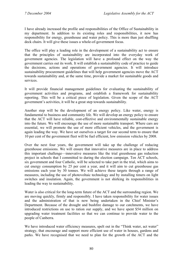I have already increased the profile and responsibilities of the Office of Sustainability in my department. In addition to its existing roles and responsibilities, it now has responsibility for energy, greenhouse and water policy. This is more than just shuffling deck chairs. It will give these issues a whole-of-government focus.

The office will play a leading role in the development of a sustainability act to ensure that the principles of sustainability are incorporated into the everyday work of government agencies. The legislation will have a profound effect on the way the government carries out its work. It will establish a sustainability code of practice to guide the decisions, actions and operations of government agencies. It will introduce sustainability procurement guidelines that will help government agencies move the ACT towards sustainability and, at the same time, provide a market for sustainable goods and services.

It will provide financial management guidelines for evaluating the sustainability of government activities and programs, and establish a framework for sustainability reporting. This will be a critical piece of legislation. Given the scope of the ACT government's activities, it will be a great step towards sustainability.

Another step will be the development of an energy policy. Like water, energy is fundamental to business and community life. We will develop an energy policy to ensure that the ACT will have reliable, cost-effective and environmentally sustainable energy into the future. We will encourage the use of more sustainable transport. Where cars are essential, we will promote the use of more efficient vehicles, and the government is again leading the way. We have set ourselves a target for our second term to ensure that 10 per cent of the government fleet will be fuel efficient, low emission vehicles by 2008.

Over the next four years, the government will take up the challenge of reducing greenhouse emissions. We will ensure that innovative measures are in place to address this important challenge—innovative measures like the trial greenhouse gas reduction project in schools that I committed to during the election campaign. Ten ACT schools, six government and four Catholic, will be selected to take part in the trial, which aims to cut energy consumption by 25 per cent a year, and it will aim to cut greenhouse gas emissions each year by 30 tonnes. We will achieve these targets through a range of measures, including the use of photovoltaic technology and by installing timers on light switches and insulation. Again, the government is not shirking its responsibilities in leading the way to sustainability.

Water is also critical for the long-term future of the ACT and the surrounding region. We are moving quickly, firmly and responsibly. I have taken responsibility for water issues and the administration of that is now being undertaken in the Chief Minister's Department. Because of the drought and bushfire damage to our catchments, we have introduced restrictions on use to ration our supply, and we have spent \$54 million on upgrading water treatment facilities so that we can continue to provide water to the people of Canberra.

We have introduced water efficiency measures, spelt out in the "Think water, act water" strategy, that encourage and support more efficient use of water in houses, gardens and parks. We have recognised that we need to plan for the growth of the ACT and the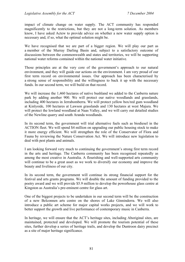impact of climate change on water supply. The ACT community has responded magnificently to the restrictions, but they are not a long-term solution. As members know, I have asked Actew to provide advice on whether a new water supply option is necessary and, if so, what the optimal solution might be.

We have recognised that we are part of a bigger region. We will play our part as a member of the Murray Darling Basin and, subject to a satisfactory outcome of discussions between the commonwealth and states and territories, we will be supporting national water reforms contained within the national water initiative.

Those principles are at the very core of the government's approach to our natural environment, and they will guide our actions on the environment. I am very proud of our first term record on environmental issues. Our approach has been characterised by a strong sense of responsibility and the willingness to back it up with the necessary funds. In our second term, we will build on that record.

We will increase the 1,460 hectares of native bushland we added to the Canberra nature park by adding another 900. We will protect our native woodlands and grasslands, including 400 hectares in Jerrabomberra. We will protect yellow box/red gum woodland at Kinlyside, 100 hectares at Lawson grasslands and 130 hectares at west Majura. We will protect the lowland woodland at Naas Valley, and we will carry out detailed studies of the Newline quarry and south Aranda woodlands.

In its second term, the government will trial alternative fuels such as biodiesel in the ACTION fleet. We will spend \$4 million on upgrading our public housing stock to make it more energy efficient. We will strengthen the role of the Conservator of Flora and Fauna by reviewing the Nature Conservation Act. We will introduce new legislation to deal with pest plants and animals.

I am looking forward very much to continuing the government's strong first term record in the arts and heritage. The Canberra community has been recognised repeatedly as among the most creative in Australia. A flourishing and well-supported arts community will continue to be a great asset as we work to diversify our economy and improve the beauty and liveliness of our city.

In its second term, the government will continue its strong financial support for the festival and arts grants programs. We will double the amount of funding provided to the poetry award and we will provide \$5.9 million to develop the powerhouse glass centre at Kingston as Australia's pre-eminent centre for glass art.

One of the biggest projects to be undertaken in our second term will be the construction of a new Belconnen arts centre on the shores of Lake Ginninderra. We will also introduce a public art scheme for major capital works projects, and we will work to better support the growth and live performance of contemporary music in Canberra.

In heritage, we will ensure that the ACT's heritage sites, including Aboriginal sites, are maintained, protected and developed. We will promote the tourism potential of these sites, further develop a series of heritage trails, and develop the Duntroon dairy precinct as a site of major heritage significance.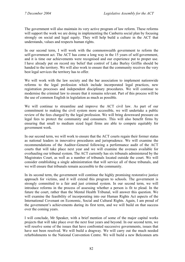The government will also maintain its very active program of law reform. These reforms will support the work we are doing in implementing the Canberra social plan by focusing strongly on social and legal equity. They will help build a culture in the ACT that understands, values and respects human rights.

In our second term, I will work with the commonwealth government to reform the self-government act. The ACT has come a long way in the 15 years of self-government, and it is time our achievements were recognised and our experience put to proper use. I have already put on record my belief that control of Lake Burley Griffin should be handed to the territory. We will also work to ensure that the community receives the very best legal services the territory has to offer.

We will work with the law society and the bar association to implement nationwide reforms to the legal profession which include incorporated legal practices, new registration processes and independent disciplinary procedures. We will continue to modernise the criminal law to ensure that it remains relevant. Part of this process will be the use of common English in legislation as much as possible.

We will continue to streamline and improve the ACT civil law. As part of our commitment to making the civil system more accessible, we will undertake a public review of the fees charged by the legal profession. We will bring downward pressure on legal fees to protect the community and consumers. This will also benefit firms by ensuring that small to medium sized legal firms are able to compete equitably for government work.

In our second term, we will work to ensure that the ACT courts regain their former status as national leaders in innovative procedures and jurisprudence. We will examine the recommendations of the Auditor-General following a performance audit of the ACT courts that will take place next year and we will examine the avenues available for overhauling our tribunal system. The ACT currently has six tribunals administered by the Magistrates Court, as well as a number of tribunals located outside the court. We will consider establishing a single administration that will service all of these tribunals, and we will ensure that tribunals remain accessible to the community.

In its second term, the government will continue the highly promising restorative justice approach for victims, and it will extend this program to schools. The government is strongly committed to a fair and just criminal system. In our second term, we will introduce reforms in the process of assessing whether a person is fit to plead. In the future the court, rather than the Mental Health Tribunal, will answer this question. We will examine the feasibility of incorporating into our Human Rights Act aspects of the International Covenant on Economic, Social and Cultural Rights. Again, I am proud of the government's achievements during its first term, and we will build on that success over the coming years.

I will conclude, Mr Speaker, with a brief mention of some of the major capital works projects that will take place over the next four years and beyond. In our second term, we will resolve some of the issues that have confronted successive governments, issues that have not been resolved. We will build a dragway. We will carry out the much needed refurbishments to the National Convention Centre. We will build a new Belconnen arts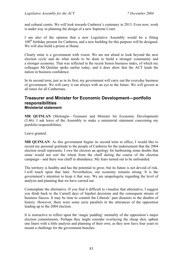and cultural centre. We will look towards Canberra's centenary in 2013. Even now, work is under way in planning the design of a new Supreme Court.

I am also of the opinion that a new Legislative Assembly would be a fitting 100<sup>th</sup> birthday present for Canberra, and a new building for this purpose will be designed. We will also build a prison at Hume.

Clearly mine is a government with vision. We are not afraid to look beyond the next election cycle and do what needs to be done to build a stronger community and a stronger economy. That was reflected in the recent Sensis business index, of which my colleague Mr Quinlan spoke earlier today, and it does show that the ACT leads the nation in business confidence.

In its second term, just as in its first, my government will carry out the everyday business of government. We will carry it out always with an eye to the future. We will govern at all times for all Canberrans.

## **Treasurer and Minister for Economic Development—portfolio responsibilities Ministerial statement**

**MR QUINLAN** (Molonglo—Treasurer and Minister for Economic Development) (3.46): I ask leave of the Assembly to make a ministerial statement concerning my portfolio responsibilities.

Leave granted.

**MR QUINLAN**: As this government begins its second term in office, I would like to record my personal gratitude to the people of Canberra for the endorsement that the 2004 election result represents. I owe the electors an apology for harbouring some doubts that some would not sort the wheat from the chaff during the course of the election campaign—and there was chaff in abundance. My fears turned out to be unfounded.

The territory is healthy and has the potential to grow, but its future is not devoid of risk. I will touch upon that later. Nevertheless, our economy remains strong. It is the government's intention to keep it that way. We are unapologetic regarding the level of analysis and planning that we have carried out.

Contemplate the alternative. If you find it difficult to visualise that alternative, I suggest you think back to the Carnell days of hipshot decisions and the consequent stream of business fiascos. It may be time to commit the Liberals' past disasters to the dustbin of history. However, there were some eerie parallels in the utterances of the opposition leading up to the 2004 election.

It is instructive to reflect upon the 'magic pudding' mentality of the opposition's major election commitments. Perhaps they might consider overlaying the cheap shot, upbeat one liners with a little analysis and planning of their own, as they now have four years to mount a challenge for the government benches.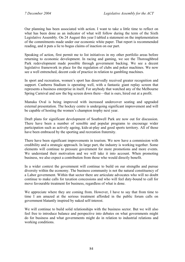Our planning has been associated with action. I want to take a little time to reflect on what has been done as an indicator of what will follow during the term of the Sixth Legislative Assembly. On 24 August this year I tabled a statement on the implementation of the commitments made under our economic white paper. That report is recommended reading, and it puts a lie to bogus claims of inaction on our part.

Speaking of action, first permit me to list initiatives in my other portfolio areas before returning to economic development. In racing and gaming, we see the Thoroughbred Park redevelopment made possible through government backing. We see a decent legislative framework in place for the regulation of clubs and poker machines. We now see a well entrenched, decent code of practice in relation to gambling machines.

In sport and recreation, women's sport has deservedly received greater recognition and support. Canberra Stadium is operating well, with a fantastic giant replay screen that represents a business enterprise in itself. For anybody that watched any of the Melbourne Spring Carnival and saw the big screen down there—that is ours, hired out at a profit.

Manuka Oval is being improved with increased undercover seating and upgraded external presentation. The hockey centre is undergoing significant improvement and will be capable of hosting the women's champion trophy next year.

Draft plans for significant development of Southwell Park are now out for discussion. There have been a number of sensible and popular programs to encourage wider participation such as actively ageing, kids-at-play and good sports territory. All of those have been embraced by the sporting and recreation fraternity.

There have been significant improvements in tourism. We now have a commission with credibility and a strategic approach. In large part, the industry is working together. Some elements will continue to pressure government for more promotions and more events. We understand their motivation and we will take it into account. When promoting business, we also expect a contribution from those who would directly benefit.

In a wider context the government will continue to build on our strengths and pursue diversity within the economy. The business community is not the natural constituency of a Labor government. Within that sector there are articulate advocates who will no doubt continue to make calls for taxation concessions and who will feel duty-bound to call for move favourable treatment for business, regardless of what is done.

We appreciate where they are coming from. However, I have to say that from time to time I am amazed at the serious treatment afforded in the public forum calls on government blatantly inspired by naked self-interest.

We will continue to build solid relationships with the business sector. But we will also feel free to introduce balance and perspective into debates on what governments might do for business and what governments might do in relation to industrial relations and working conditions.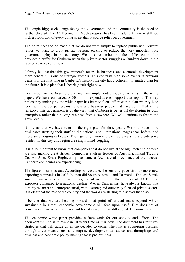The single biggest challenge facing the government and the community is the need to further diversify the ACT economy. Much progress has been made, but there is still too high a proportion of every dollar spent that at source relies on government.

The point needs to be made that we do not want simply to replace public with private; rather we want to grow private without seeking to reduce the very important role government plays in the economy. We must remember that the public sector often provides a buffer for Canberra when the private sector struggles or hunkers down in the face of adverse conditions.

I firmly believe that this government's record in business, and economic development more generally, is one of strategic success. This contrasts with some events in previous years. For the first time in Canberra's history, the city has a coherent, integrated plan for the future. It is a plan that is bearing fruit right now.

I can report to the Assembly that we have implemented much of what is in the white paper. We have earmarked \$130 million expenditure to support that report. The key philosophy underlying the white paper has been to focus effort within. Our priority is to work with the companies, institutions and business people that have committed to the territory. This government is of the view that Canberra is better off developing its own enterprises rather than buying business from elsewhere. We will continue to foster and grow locally.

It is clear that we have been on the right path for three years. We now have more businesses strutting their stuff on the national and international stages than before, and more are emerging as I speak. The ingenuity, innovation, entrepreneurship and enterprise resident in this city and region are simply mind-boggling.

It is also important to know that companies that do not live at the high tech end of town are also making great strides. Companies such as Bottles of Australia, Inland Trading Co, Air Sine, Emax Engineering—to name a few—are also evidence of the success Canberra companies are experiencing.

The figures bear this out. According to Austrade, the territory gave birth to more new exporting companies in 2003-04 than did South Australia and Tasmania. The last Sensis small business survey showed a significant increase in the number of ACT based exporters compared to a national decline. We, as Canberrans, have always known that our city is smart and entrepreneurial, with a strong and outwardly focused private sector. It is clear that the rest of the country and the world are starting to discover that also.

I believe that we are heading towards that point of critical mass beyond which sustainable long-term economic development will feed upon itself. That does not of course mean that we can sit back and take it easy; there is still a great deal more to do.

The economic white paper provides a framework for our activity and efforts. The document will be as relevant in 10 years time as it is now. The document has four key strategies that will guide us in the decades to come. The first is supporting business through direct means, such as enterprise development assistance, and through general business and economic policy making that is pro-business.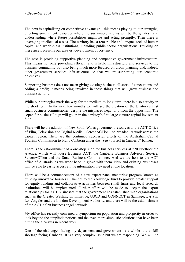The next is capitalising on competitive advantage—this means playing to our strengths, directing government resources where the sustainable returns will be the greatest, and understanding where future possibilities might lie and acting promptly. Then there is leveraging intellectual assets. The territory has a remarkable and unique stock of human capital and world-class institutions, including public sector organisations. Building on these assets presents our greatest development opportunity.

The next is providing supportive planning and competitive government infrastructure. This means not only providing efficient and reliable infrastructure and services to the business community but also being much more focused on urban planning and, indeed, other government services infrastructure, so that we are supporting our economic objectives.

Supporting business does not mean giving existing business all sorts of concessions and adding a profit; it means being involved in those things that will grow business and business activity.

While our strategies mark the way for the medium to long term, there is also activity in the short term. In the next few months we will see the creation of the territory's first small business commissioner, despite the misplaced negativity from the opposition. The "open for business" sign will go up in the territory's first large venture capital investment fund.

There will be the addition of New South Wales government resources to the ACT Office of Film, Television and Digital Media—ScreenACTion—to broaden its work across the capital region. There are the continued successful efforts of the Australian Capital Tourism Commission to brand Canberra under the "See yourself in Canberra" banner.

There is the establishment of a one-stop shop for business services at 220 Northbourne Avenue, which will house Business ACT, the Canberra Business Advisory Service, ScreenACTion and the Small Business Commissioner. And we are host to the ACT office of Austrade, as we work hand in glove with them. New and existing businesses will be able to easily access all the information they need at one location.

There will be a commencement of a new expert panel mentoring program known as building innovative business. Changes to the knowledge fund to provide greater support for equity funding and collaborative activities between small firms and local research institutions will be implemented. Further effort will be made to deepen the export relationships for ACT businesses that the government has established with organisations such as the Greater Washington Initiative, USCD and CONNECT in Santiago, Larta in Los Angeles and the London Development Authority, and there will be the establishment of the ACT's first business angel network.

My office has recently convened a symposium on population and prosperity in order to look beyond the simplistic notions and the even more simplistic solutions that have been hitting the airwaves in recent days.

One of the challenges facing my department and government as a whole is the skill shortage facing Canberra. It is a very complex issue but we are responding. We will be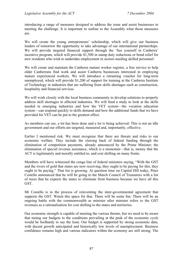introducing a range of measures designed to address the issue and assist businesses in meeting the challenge. It is important to outline to the Assembly what those measures are.

We will create the young entrepreneurs' scholarship, which will give our business leaders of tomorrow the opportunity to take advantage of our international partnerships. We will provide targeted financial support through the 'See yourself in Canberra' incentive program, which will provide \$1,500 in stamp duty reductions or bond relief for new residents who wish to undertake employment in sectors needing skilled personnel.

We will create and maintain the Canberra mature worker register, a free service to help older Canberrans find work and assist Canberra businesses interested in employing mature experienced workers. We will introduce a retraining voucher for long-term unemployed, which will provide \$1,200 of support for training at the Canberra Institute of Technology in industries that are suffering from skills shortages such as construction, hospitality and financial services.

We will work closely with the local business community to develop solutions to properly address skill shortages in affected industries. We will fund a study to look at the skills needed in emerging industries and how the VET system—the vocation education system—can respond quickly to skills demand and how the additional funds that we have provided for VET can be put to the greatest effect.

As members can see, a lot has been done and a lot is being achieved. This is not an idle government and our efforts are targeted, measured and, importantly, effective.

Earlier I mentioned risk. We must recognise that there are threats and risks to our economic welfare. They include the clawing back of federal funding through the elimination of competition payments, already announced by the Prime Minister; the elimination of special revenue assistance, which is a misnomer—that is, money that the ACT is legitimately and morally entitled to; and cost shifting on many fronts.

Members will have witnessed the conga line of federal ministers saying, "With the GST and the rivers of gold that states are now receiving, they ought to be paying for this, they ought to be paying." That list is growing. At question time on Capital Hill today, Peter Costello announced that he will be going to the March Council of Treasurers with a list of taxes that he expects the states to eliminate from business because we have all this GST.

Mr Costello is in the process of reinventing the inter-governmental agreement that supports the GST. Watch this space for that. There will be some fun. There will be an ongoing battle with the commonwealth as minister after minister refers to the GST revenues as a rationalisation for cost shifting to the states and territories.

Our economic strength is capable of meeting the various threats, but we need to be aware that tuning our budgets to the conditions prevailing at the peak of the economic cycle would be foolhardy to say the least. Our budget is supported by strong economic data, with decent growth anticipated and historically low levels of unemployment. Business confidence remains high and various indicators within the economy are still strong. The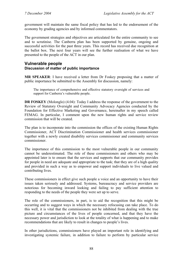government will maintain the same fiscal policy that has led to the endorsement of the economy by grading agencies and by informed commentators.

The government strategies and objectives are articulated for the entire community to see and to scrutinise. The Canberra plan has been supported by genuine, ongoing and successful activities for the past three years. This record has received due recognition at the ballot box. The next four years will see the further realisation of what we have presented to the people of the ACT in our plan.

## **Vulnerable people Discussion of matter of public importance**

**MR SPEAKER**: I have received a letter from Dr Foskey proposing that a matter of public importance be submitted to the Assembly for discussion, namely:

The importance of comprehensive and effective statutory oversight of services and support for Canberra's vulnerable people.

**DR FOSKEY** (Molonglo) (4.04): Today I address the response of the government to the Review of Statutory Oversight and Community Advocacy Agencies conducted by the Foundation for Effective Marketing and Governance, hereinafter in my speech called FEMAG. In particular, I comment upon the new human rights and service review commission that will be created.

The plan is to incorporate into the commission the offices of the existing Human Rights Commissioner, ACT Discrimination Commissioner and health services commissioner together with a newly created disability services commissioner and community services commissioner.

The importance of this commission to the most vulnerable people in our community cannot be underestimated. The role of these commissioners and others who may be appointed later is to ensure that the services and supports that our community provides for people in need are adequate and appropriate to the task; that they are of a high quality and provided in such a way as to empower and support individuals to live valued and contributing lives.

These commissioners in effect give such people a voice and an opportunity to have their issues taken seriously and addressed. Systems, bureaucracy and service providers are notorious for becoming inward looking and failing to pay sufficient attention to responding to the needs of the people they were set up to serve.

The role of the commissioners, in part, is to aid the recognition that this might be occurring and to suggest ways in which the necessary refocusing can take place. To do this well, it is vital that the commissioners not be inhibited from dealing with the true picture and circumstances of the lives of people concerned, and that they have the necessary power and jurisdiction to look at the totality of what is happening and to make recommendations that are likely to result in changes to people's lives.

In other jurisdictions, commissioners have played an important role in identifying and investigating systemic failure, in addition to failure to perform by particular service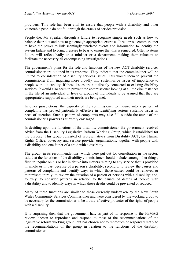providers. This role has been vital to ensure that people with a disability and other vulnerable people do not fall through the cracks of service provision.

People die, Mr Speaker, through a failure to recognise simple needs such as how to balance their diet and how to get enough appropriate exercise. It requires a commissioner to have the power to link seemingly unrelated events and information to identify the system failure and to bring pressure to bear to ensure that this is remedied. Often systems failure will reflect badly on a minister or a department, making them reluctant to facilitate the necessary all encompassing investigations.

The government's plans for the role and functions of the new ACT disability services commissioner are outlined in its response. They indicate that the commissioner will be limited to consideration of disability services issues. This would seem to prevent the commissioner from inquiring more broadly into system-wide issues of importance to people with a disability, if those issues are not directly connected to existing disability services. It would also seem to prevent the commissioner looking at all the circumstances in the life of an individual or lives of groups of individuals to be assured that they are appropriately supported and their needs are being met.

In other jurisdictions, the capacity of the commissioner to inquire into a pattern of complaints has proved particularly effective in identifying serious systemic issues in need of attention. Such a pattern of complaints may also fall outside the ambit of the commissioner's powers as currently envisaged.

In deciding upon the functions of the disability commissioner, the government received advice from the Disability Legislative Reform Working Group, which it established for the purpose. This group consisted of representatives from Disability ACT, the Human Rights Office, advocacy and service provider organisations, together with people with a disability and one father of a child with a disability.

The group, in its recommendations, which were put out for consultation in the sector, said that the functions of the disability commissioner should include, among other things, first, to inquire on his or her initiative into matters relating to any service that is provided in whole or in part because of a person's disability; secondly, to review the causes and patterns of complaints and identify ways in which those causes could be removed or minimised; thirdly, to review the situation of a person or persons with a disability; and, fourthly, to consider patterns in relation to the causes of deaths of people with a disability and to identify ways in which those deaths could be prevented or reduced.

Many of these functions are similar to those currently undertaken by the New South Wales Community Services Commissioner and were considered by the working group to be necessary for the commissioner to be a truly effective protector of the rights of people with a disability.

It is surprising then that the government has, as part of its response to the FEMAG review, chosen to reproduce and respond to most of the recommendations of the legislative reform working group, but has chosen not to reproduce or respond directly to the recommendations of the group in relation to the functions of the disability commissioner.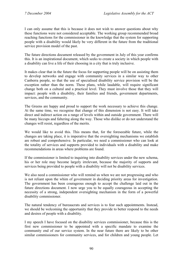I can only assume that this is because it does not wish to answer questions about why these functions were not considered acceptable. The working group recommended broad reaching functions for the commissioner in the knowledge that the system for supporting people with a disability would likely be very different in the future from the traditional service provision model of the past.

The future directions document released by the government in July of this year confirms this. It is an inspirational document, which seeks to create a society in which people with a disability can live a life of their choosing in a city that is truly inclusive.

It makes clear that in the future the focus for supporting people will be on assisting them to develop networks and engage with community services in a similar way to other Canberra people, so that the use of specialised disability service provision will be the exception rather than the norm. These plans, while laudable, will require significant change both on a cultural and a practical level. They must involve those that they will impact: people with a disability, their families and friends, government departments, services, and the community.

The Greens are happy and proud to support the work necessary to achieve this change. At the same time, we recognise that change of this dimension is not easy. It will take direct and indirect action on a range of levels within and outside government. There will be many hiccups and faltering along the way. Those who dislike or do not understand the changes will resist, regardless of the merits.

We would like to avoid this. This means that, for the foreseeable future, while the changes are taking place, it is imperative that the oversighting mechanisms we establish are robust and comprehensive. In particular, we need a commissioner who can look at the totality of services and supports provided to individuals with a disability and make recommendations in areas where problems are found.

If the commissioner is limited to inquiring into disability services under the new schema, his or her role may become largely irrelevant, because the majority of supports and services being provided to people with a disability will not be disability services.

We also need a commissioner who will remind us when we are not progressing and who is not reliant upon the whim of government in deciding priority areas for investigation. The government has been courageous enough to accept the challenge laid out in the future directions document. I now urge you to be equally courageous in accepting the necessity of a strong, independent oversighting mechanism in the form of a powerful disability commissioner.

The natural tendency of bureaucrats and services is to fear such appointments. Instead, we should be welcoming the opportunity that they provide to better respond to the needs and desires of people with a disability.

I my speech I have focused on the disability services commissioner, because this is the first new commissioner to be appointed with a specific mandate to examine the community end of our service system. In the near future there are likely to be other similar commissioners for community services, and for children and young people. Let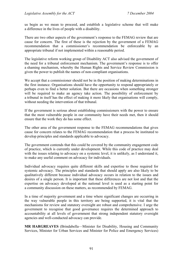us begin as we mean to proceed, and establish a legislative scheme that will make a difference in the lives of people with a disability.

There are two other aspects of the government's response to the FEMAG review that are cause for concern. The first of these is the rejection by the government of a FEMAG recommendation that a commissioner's recommendation be enforceable by an appropriate tribunal if not implemented within a reasonable period.

The legislative reform working group of Disability ACT also advised the government of the need for a tribunal enforcement mechanism. The government's response is to offer a shaming mechanism, whereby the Human Rights and Service Review Commission is given the power to publish the names of non-compliant organisations.

We accept that a commissioner should not be in the position of making determinations in the first instance. Organisations should have the opportunity to respond appropriately or perhaps even to find a better solution. But there are occasions when something stronger will be required to make an agency take action. The possibility of enforcement by a tribunal in itself has the effect of making it more likely that organisations will comply, without needing the intervention of that tribunal.

If the government is serious about establishing commissioners with the power to ensure that the most vulnerable people in our community have their needs met, then it should ensure that the work they do has some effect.

The other area of the government response to the FEMAG recommendations that gives cause for concern relates to the FEMAG recommendation that a process be instituted to develop principles and standards applicable to advocacy.

The government contends that this could be covered by the community engagement code of practice, which is currently under development. While this code of practice may deal with the issues relating to advocacy on a systemic level, it is unlikely, as I understand it, to make any useful comment on advocacy for individuals.

Individual advocacy requires quite different skills and expertise to those required for systemic advocacy. The principles and standards that should apply are also likely to be qualitatively different because individual advocacy occurs in relation to the issues and desires of a single person. It is important that these differences are not lost and that the expertise on advocacy developed at the national level is used as a starting point for a community discussion on these matters, as recommended by FEMAG.

In a time of majority government and a time where significant changes are occurring in the way vulnerable people in this territory are being supported, it is vital that the mechanisms for review and statutory oversight are robust and comprehensive. I urge the government to recognise that good governance requires the determined approach to accountability at all levels of government that strong independent statutory oversight agencies and well-conducted advocacy can provide.

**MR HARGREAVES** (Brindabella—Minister for Disability, Housing and Community Services, Minister for Urban Services and Minister for Police and Emergency Services)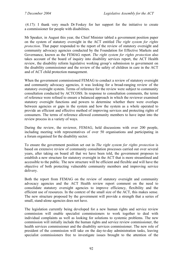(4.17): I thank very much Dr Foskey for her support for the initiative to create a commissioner for people with disabilities.

Mr Speaker, in August this year, the Chief Minister tabled a government position paper on the system of statutory oversight in the ACT entitled *The right system for rights protection*. That paper responded to the report of the review of statutory oversight and community advocacy agencies conducted by the Foundation for Effective Markets and Governance, known as the FEMAG report. *The right system for rights protection* also takes account of the board of inquiry into disability services report, the ACT Health review, the disability reform legislative working group's submission to government on the disability commissioner and the review of the safety of children in care in the ACT and of ACT child protection management.

When the government commissioned FEMAG to conduct a review of statutory oversight and community advocacy agencies, it was looking for a broad-ranging review of the statutory oversight system. Terms of reference for the review were subject to community consultation conducted by ACTCOSS. In response to consultation comments, the terms of reference were refined to ensure a balanced approach in which the reviewer examined statutory oversight functions and powers to determine whether there were overlaps between agencies or gaps in the system and how the system as a whole operated to provide an efficient and effective method of improving services and protecting rights of consumers. The terms of reference allowed community members to have input into the review process in a variety of ways.

During the review, the reviewer, FEMAG, held discussions with over 200 people, including meeting with representatives of over 50 organisations and participating in a forum organised for the disability sector.

To ensure the government position set out in *The right system for rights protection* is based on extensive review of community consultation processes carried out over several years, after taking on board all that we have been told, the government proposes to establish a new structure for statutory oversight in the ACT that is more streamlined and accessible to the public. The new structure will be efficient and flexible and will have the objective of both protecting vulnerable community members and improving service delivery.

Both the report from FEMAG on the review of statutory oversight and community advocacy agencies and the ACT Health review report comment on the need to consolidate statutory oversight agencies to improve efficiency, flexibility and the efficient use of resources. In the context of the small size of the ACT, this makes sense. The new structure proposed by the government will provide a strength that a series of small, stand-alone agencies does not have.

The legislation currently being developed for a new human rights and service review commission will enable specialist commissioners to work together to deal with individual complaints as well as looking for solutions to systemic problems. The new commission will initially include the human rights and service review commissioner, the health services commissioner and the disability services commissioner. The new role of president of the commission will take on the day-to-day administration tasks, leaving specialist commissioners free to investigate issues brought to the attention of the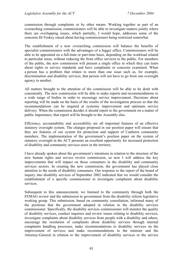commission through complaints or by other means. Working together as part of an overarching commission, commissioners will be able to investigate matters jointly where there are overlapping issues, which partially, I would hope, addresses some of the concerns Dr Foskey raised about having commissioners being restricted somewhat.

The establishment of a new overarching commission will balance the benefits of specialist commissioners with the advantages of a bigger office. Commissioners will be able to be appointed on a full-time or part-time basis, depending on the workload related to particular areas, without reducing the front office services to the public. For members of the public, the new commission will present a single office in which they can learn about rights or service standards and have complaints or concerns examined. When a person has a problem that relates to more than one issue such as, for example, discrimination and disability services, that person will not have to go from one oversight agency to another.

All matters brought to the attention of the commission will be able to be dealt with consistently. The new commission will be able to make reports and recommendations to a wide range of bodies in order to encourage service improvement. Decisions about reporting will be made on the basis of the results of the investigation process so that the recommendations can be targeted at systemic improvement and optimum service delivery. When the commission decides it should report to the government on a matter of public importance, that report will be brought to the Assembly also.

Efficiency, accountability and accessibility are all important features of an effective statutory oversight system. The changes proposed in our position paper will ensure that they are features of our system for protection and support of Canberra community members. The implementation of the government's position paper on the system of statutory oversight in the ACT presents an excellent opportunity for increased protection of disability and community services users in the territory.

I have already spoken about the government's intentions in relation to the structure of the new human rights and service review commission, so now I will address the key improvements that will impact on those consumers in the disability and community services sectors. In creating the new commission, the government has played close attention to the needs of disability consumers. Our response to the report of the board of inquiry into disability services of September 2002 indicated that we would consider the establishment of a specific commissioner to investigate complaints about disability services.

Subsequent to this announcement, we listened to the community through both the FEMAG review and the submission to government from the disability reform legislative working group. This submission, based on community consultation, informed many of the positions that the government adopted in relation to the disability services commissioner. Specifically, the disability services commissioner will monitor the quality of disability services, conduct inquiries and review issues relating to disability services, investigate complaints about disability services from people with a disability and others, encourage the resolution of complaints about disability services through internal complaints handling processes, make recommendations to disability services on the improvement of services and make recommendations to the minister and the Attorney-General in relation to the improvement of disability services or the service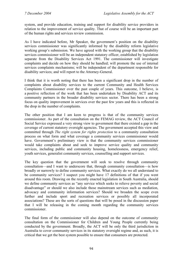system, and provide education, training and support for disability service providers in relation to the improvement of service quality. That of course will be an important part of the human rights and services review commission.

As I have indicated before, Mr Speaker, the government's position on the disability services commissioner was significantly informed by the disability reform legislative working group's submission. We have agreed with the working group that the disability services commissioner will be an independent statutory officer, established by legislation separate from the Disability Services Act 1991. The commissioner will investigate complaints and decide on how they should be handled; will promote the use of internal services complaints mechanisms; will be independent of the department responsible for disability services; and will report to the Attorney-General.

I think that it is worth noting that there has been a significant drop in the number of complaints about disability services to the current Community and Health Services Complaints Commissioner over the past couple of years. This outcome, I believe, is a positive reflection of the work that has been undertaken by Disability ACT and its community partners in the broader disability services sector. There has been a strong focus on quality improvement in services over the past few years and this is reflected in the drop in the number of complaints.

The other position that I am keen to progress is that of the community services commissioner. As part of the consultation on the FEMAG review, the ACT Council of Social Service expressed a very strong view to government that there existed a gap in the coverage of current statutory oversight agencies. The government accepted this view and committed through *The right system for rights protection* to a community consultation process on what form and what coverage a community services commissioner would have. Government's preliminary view is that the community services commissioner would take complaints about and seek to improve service quality and community services, including public and community housing, homelessness, emergency relief, youth services, generalist community services, counselling and support services.

The key question that the government will seek to resolve through community consultation—and I want to underscore that, through community consultation—is how broadly or narrowly to define community services. What exactly do we all understand to be community services? I suspect you might have 17 definitions of that if you went around this room. Drawing on the recently enacted legislation in South Australia, should we define community services as "any service which seeks to relieve poverty and social disadvantage" or should we also include those mainstream services such as mediation, advocacy and community information services? Should we broaden the scope even further and include sport and recreation services or possibly all incorporated associations? These are the sorts of questions that will be posed in the discussion paper that I will be releasing in the coming month regarding the community services commissioner.

The final form of the commissioner will also depend on the outcome of community consultation on the Commissioner for Children and Young People currently being conducted by the government. Broadly, the ACT will be only the third jurisdiction in Australia to cover community services in its statutory oversight regime and, as such, it is critical that we get the best system possible to ensure that consumers are protected.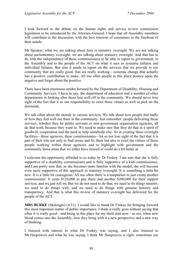I look forward to the debate on the human rights and service review commission legislation to be introduced by the Attorney-General. I hope that all Assembly members will contribute to the discussion, with the best interests of consumers in the forefront of their minds.

Mr Speaker, what we are talking about here is statutory oversight. We are not talking about parliamentary oversight; we are talking about statutory oversight. And that has to do with the independence of these commissioners to be able to report to government, to the Assembly and to the people of the ACT on what it sees as systemic failures and individual failures. But also it needs to report on the services that we provide to our community that are really good, that are really working—systemic change that actually has a positive contribution to make. All too often people in this place pounce upon the negative and forget about the positive.

There have been enormous strides forward by the Department of Disability, Housing and Community Services, I have to say, the department of education and a number of other departments in looking after those less well off in the community. We should never lose sight of the fact that it us our responsibility to extol those virtues as well as pick on the downside.

We talk often about the morale in various services. We talk about how people feel badly or how they feel well out there in the community. Just remember: people delivering those services, whether they be public servants or non-government organisation agencies, all do that work because they want to. We need to make sure that they do that in a spirit of goodwill, cooperation and the need to help somebody else. So in creating these oversight facilities—these agencies, these commissioners—let us not lose sight of the fact that it is part of their role not only to find errors and fix them but also to extol the virtues of those people working within those agencies and to highlight with government and the community those areas that we either have missed or could do a bit better at.

I welcome the opportunity afforded to us today by Dr Foskey. I am sure that she is fully supportive of a disability commissioner and is fully supportive of a kids commissioner, and I am pretty sure that, as she becomes more familiar with the model, she will become even more supportive of this approach to statutory oversight. It is something a little bit new. It is a little bit courageous. All too often there is a temptation to just create another commissioner. It costs \$120,000 to pay them and another \$200,000 for their support services, and we just roll on. But we do not need to do that; we need to do things smarter; we need to do things well; and we need to do things with genuine honesty and transparency. And that is what this review of statutory oversight has delivered for the people of the ACT.

**MRS BURKE** (Molonglo) (4.31): I would like to thank Dr Foskey for bringing forward this most important matter of public importance. I think it really goes without saying that often it is really good—and being in this place for my third stint now—to see, when new blood comes into the Assembly, how they bring with it a new perspective and a new way of thinking.

I listened with interest to what Dr Foskey was saying, and I also listened to Mr Hargreaves and what he was saying. I think Mr Hargreaves is right: sometimes our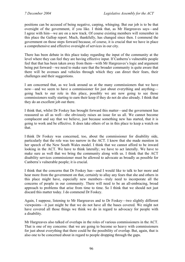positions can be accused of being negative, carping, whinging. But our job is to be that oversight of the government, if you like. I think that, as Mr Hargreaves says—and I agree with him—we are on a new track. Of course existing members will remember in this place the Gallop report. Much, thankfully, has changed since then. I commend the government on those steps forward because, of course, it is crucial that we have in place a comprehensive and effective oversight of services in our city.

There has been debate in this place today regarding the input of the community at the level where they can feel they are having effective input. If Canberra's vulnerable people feel that that has been taken away from them—with Mr Hargreaves's logic and argument being put forward—we need to make sure that the broader community is quite aware that there will be avenues and vehicles through which they can direct their fears, their challenges and their suggestions.

I am concerned that, as we look around us at the many commissioners that we have now—and we seem to have a commissioner for just about everything and anything going back to our role in this place, possibly we are now going to see those commissioners really starting to earn their keep if they do not do also already. I think that they do an excellent job out there.

I think that, whilst Dr Foskey has brought forward this matter—and the government has reassured us all as well—she obviously raises an issue for us all. We cannot become complacent and say that we believe, just because something new has started, that it is going to work and be effective. It does take others of us in this place to keep a watch on that.

I think Dr Foskey was concerned, too, about the commissioner for disability side, particularly that the role was too narrow in the ACT. I know that she made mention in her speech of the New South Wales model. I think that we cannot afford to be inward looking in the ACT. We have to think laterally; we have to act laterally. We have to make sure as well that we bring the community along with us. I think that the ACT disability services commissioner must be allowed to advocate as broadly as possible for Canberra's vulnerable people; it is crucial.

I think that the concerns that Dr Foskey has—and I would like to talk to her more and hear more from the government on that, certainly to allay any fears that she and others in this place might have, especially new members—truly need to incorporate all the concerns of people in our community. There will need to be an all-embracing, broad approach to problems that arise from time to time. So I think that we should not just discard this matter today. I do commend Dr Foskey.

Again, I suppose, listening to Mr Hargreaves and to Dr Foskey—two slightly different viewpoints—it just might be that we do not have all the bases covered. We might not have covered all those things we think we do in regard to advocacy for people with a disability.

Mr Hargreaves also talked of overlaps in the roles of various commissioners in the ACT. That is one of my concerns: that we are going to become so heavy with commissioners for just about everything that there could be the possibility of overlap. But, again, that is also one to be concerned about in regard to people dropping through the gaps.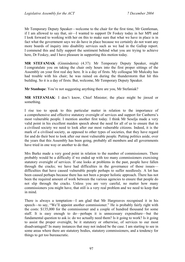Mr Temporary Deputy Speaker—welcome to the chair for the first time, Mr Gentleman, if I am allowed to say that, sir—I wanted to support Dr Foskey today in her MPI and I look forward to working with her on this to make sure that what we have in place is in fact what the government says we do have in place because we certainly do not want any more boards of inquiry into disability services such as we had in the Gallop report. I commend this and fully support the sentiment behind what you are trying to achieve here, Dr Foskey, and I have pleasure in supporting this motion today.

**MR STEFANIAK** (Ginninderra) (4.37): Mr Temporary Deputy Speaker, might I congratulate you on taking the chair only hours into the first proper sittings of the Assembly on your first real day here. It is a day of firsts. My colleague Mr Mulcahy has had trouble with his chair; he was rained on during the thunderstorm that hit this building. So it is a day of firsts. But, welcome, Mr Temporary Deputy Speaker.

**Mr Stanhope**: You're not suggesting anything there are you, Mr Stefaniak?

**MR STEFANIAK**: I don't know, Chief Minister; the place might be jinxed or something.

I rise too to speak to this particular matter in relation to the importance of a comprehensive and effective statutory oversight of services and support for Canberra's most vulnerable people. I mention another first today. I think Mr Seselja made a very valid point in his excellent maiden speech about the need for all of us to ensure that in a civilised society we need to look after our most vulnerable citizens. Indeed, it is the mark of a civilised society, as opposed to other types of societies, that they have regard for and do their best to look after our most vulnerable people. Putting politics aside, over the years that this Assembly has been going, probably all members and all governments have tried in one way or another to do that.

Mrs Burke made a very good point in relation to the number of commissioners. There probably would be a difficulty if we ended up with too many commissioners exercising statutory oversight of services. If one looks at problems in the past, people have fallen through the cracks; we have had difficulties in the governance of those issues difficulties that have caused vulnerable people perhaps to suffer needlessly. A lot has been caused perhaps because there has not been a proper holistic approach. There has not been the required amount of work between the various agencies to ensure that people do not slip through the cracks. Unless you are very careful, no matter how many commissioners you might have, that still is a very real problem and we need to keep that in mind.

There is always a temptation—I am glad that Mr Hargreaves recognised it in his speech—to say, "We'll appoint another commissioner." He is probably fairly right with the costs: \$135,000 for the commissioner and a couple of hundred thousand for some staff. It is easy enough to do—perhaps it is unnecessary expenditure—but the fundamental question to ask is: do we actually need them? Is it going to work? Is it going to assist the proper oversight, be it statutory or otherwise, of services to our most disadvantaged? In many instances that may not indeed be the case. I am starting to see in some areas where there are statutory bodies, statutory commissioners, and a tendency for things to get too bureaucratic.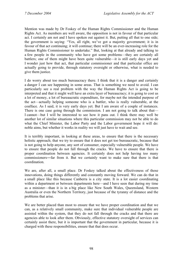Mention was made by Dr Foskey of the Human Rights Commissioner and the Human Rights Act. As members are well aware, the opposition is not in favour of that particular act. I certainly am not and I have spoken out against it. But, putting all that to one side; the government is saying: "Yes, all right, we've got a majority government; it is in favour of that act continuing; it will continue; there will be an ever-increasing role for the Human Rights Commissioner to undertake." But, looking at that already and talking to a few people in the community who have got some problems—they are certainly all battlers; one of them might have been quite vulnerable—it is still early days yet and I wonder just how that act, that particular commissioner and that particular office are actually going to provide, through statutory oversight or otherwise, what is needed to give them justice.

I do worry about too much bureaucracy there. I think that it is a danger and certainly a danger I can see happening in some areas. That is something we need to avoid. I can particularly see a real problem with the way the Human Rights Act is going to be interpreted and that it might well have an extra layer of bureaucracy; it is going to cost us a lot of money, a lot of bureaucratic expenditure, for maybe not the intended purpose of the act—actually helping someone who is a battler, who is really vulnerable, at the coalface. As I said, it is very early days yet. But I am aware of a couple of instances. There is one case going through the commission. I am not going to talk about that— I cannot—but I will be interested to see how it pans out. I think there may well be another lot of similar situations where this particular commission may not be able to do what the Chief Minister, the Labor Party and the Labor government hope it will do: noble aims, but whether it works in reality we will just have to wait and see.

It is terribly important, in looking at these areas, to ensure that there is the necessary holistic approach; that we try to ensure that it does not get too bureaucratic, because that is not going to help anyone, any sort of consumer, especially vulnerable people. We have to ensure that people do not fall through the cracks. We have to ensure that there is proper coordination between agencies. It certainly does not help having too many commissioners―far from it. But we certainly want to make sure that there is that coordination.

We are, after all, a small place. Dr Foskey talked about the effectiveness of those innovations, doing things differently and constantly moving forward. We can do that in a small place like this because Canberra is a city state. It is a lot easier coordinating within a department or between departments here—and I have seen that during my time as a minister—than it is in a big place like New South Wales, Queensland, Western Australia or even the Northern Territory, just because of the tyranny of distance and the problems that arise.

We are better placed than most to ensure that we have proper coordination and that we can, as a relatively small community, make sure that individual vulnerable people are assisted within the system, that they do not fall through the cracks and that there are agencies able to look after them. Obviously, effective statutory oversight of services can certainly assist there, but it is important that the government in particular, because it is charged with these responsibilities, ensure that that does occur.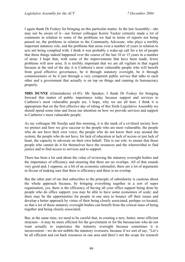I again thank Dr Foskey for bringing on this particular matter. In the last Assembly—she may not be aware of it—our former colleague Kerrie Tucker certainly made a lot of comments in relation to some of the problems we had in terms of reports not being passed on, the problems in relation to the Community Advocate, who plays a terribly important statutory role, and the problems that arose over a number of years in relation to acts not being complied with. I think it was probably a wake-up call for a lot of people that those things indeed happened over the course of the last 10 or 15 years in a number of areas. I hope that, with some of the improvements that have been made, fewer problems will now arise. It is terribly important that we are all vigilant in that regard because at the end of the day it is Canberra's most vulnerable people who will benefit from good effective governance, be it through statutory oversight, be it through commissioners or be it just through a very competent public service that talks to each other and a government that actually is on top on things and running its bureaucracy properly.

**MRS DUNNE** (Ginninderra) (4.45): Mr Speaker, I thank Dr Foskey for bringing forward this matter of public importance today because support and services to Canberra's most vulnerable people are, I hope, why we are all here. I think it is appropriate that on the first effective day of sitting of this Sixth Legislative Assembly we should spend some time and focus our attention on how we provide services and support to Canberra's most vulnerable people.

As my colleague Mr Seselja said this morning, it is the mark of a civilised society how we protect and how we give succour to the people who are most vulnerable; the people who do not have their own voice; the people who do not know their way around the system; the people who do not have, for lack of education or lack of access or just lack of heart, the capacity to advocate on their own behalf. This is our role: to ensure that those people who cannot do it for themselves have the resources and the wherewithal to find justice and to find access to services and to support.

There has been a lot said about the value of reviewing the statutory oversight bodies and the importance of efficiency and ensuring that there are no overlaps. All of that sounds very good and, I suppose, as a bit of an economic rationalist, there are a lot of arguments in favour of making sure that there is efficiency and there is no overlap.

But the other part of me that subscribes to the principle of subsidiarity is cautious about the whole approach because, by bringing everything together in a sort of super organisation, yes, there is the efficiency of having all your office support being done by people who do office support; you may be able to have some economies of scale; and there may be the opportunities for people in one area to bounce off their issues and develop a better approach by virtue of their being closely associated, perhaps co-located, so that a lot of these statutory oversight bodies can benefit from the critical mass of being together and being closely associated.

But, at the same time, we need to be careful that, in creating a new, better, more efficient structure—it may be more efficient for the government or for the bureaucrats who do not want actually to experience the statutory oversight because sometimes it is inconvenient—we do not nobble the statutory overseers, because if we sort of say, "Let's be all efficient and cut back resources in one area and there's not the scope for research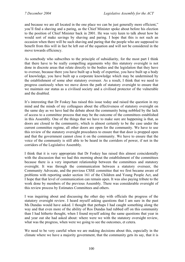and because we are all located in the one place we can be just generally more efficient," you'll find a shaving and a paring, as the Chief Minister spoke about before his election to the position of Chief Minister back in 2001. He was very keen to talk about how he would sort of make savings by shaving and paring. I hope that this is not such an occasion when there will be such shaving and paring that the people who are supposed to benefit from this will in fact be left out of the equation and will not be considered in the move towards efficiency.

As somebody who subscribes to the principle of subsidiarity, for the most part I think that there have to be really compelling arguments why this statutory oversight is not done in discrete areas that relate directly to the bodies and the legislation that they have to oversee, because there you have built up a body of expertise, you have built up a body of knowledge, you have built up a corporate knowledge which may be undermined by the establishment of some uber statutory overseer. As a result, I think that we need to progress cautiously when we move down the path of statutory oversight to ensure that we maintain our status as a civilised society and a civilised protector of the vulnerable and the disabled.

It's interesting that Dr Foskey has raised this issue today and raised the question in my mind and the minds of my colleagues about the effectiveness of statutory oversight on the same day as we have had the debate about the community being nobbled by the lack of access to a committee process that may be the outcome of the committees established in this Assembly. One of the things that we have to make sure are happening is that, as doors are closed to the community, which is almost certainly to be the case under the current committee regime, all other doors are open for the community. We have to use this review of the statutory oversight procedures to ensure that that door is propped open and that the government cannot close it on the community. We have to ensure that the voice of the community is still able to be heard in the corridors of power, if not in the corridors of the Legislative Assembly.

I think that it is very appropriate that Dr Foskey has raised this almost coincidentally with the discussion that we had this morning about the establishment of the committees because there is a very important relationship between the committees and statutory oversight. It was through the communication between a statutory overseer, the Community Advocate, and the previous CSSE committee that we first became aware of problems with reporting under section 161 of the Children and Young People Act, and I hope that that level of communication can remain open. It was also paying tribute to the work done by members of the previous Assembly. There was considerable oversight of this review process by Estimates Committees and others.

I was inquiring about and discussing the other day with officials the progress of the statutory oversight review. I heard myself asking questions that I am sure in the past Ms Dundas would have asked. I thought that perhaps I had caught something along the way and that even more of the ability of Ros Dundas had rubbed off on this community than I had hitherto thought, when I found myself asking the same questions that year in and year out she had asked about: where were we with the statutory oversight review, what was the progress, when were we going to see the outcomes, et cetera.

We need to be very careful when we are making decisions about this, especially in the climate where we have a majority government, that the community gets its say, that it is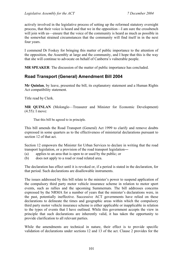actively involved in the legislative process of setting up the reformed statutory oversight process, that their voice is heard and that we in the opposition—I am sure the crossbench will join with us—ensure that the voice of the community is heard as much as possible in the somewhat strained circumstances that the community will find itself in in the next four years.

I commend Dr Foskey for bringing this matter of public importance to the attention of the opposition, the Assembly at large and the community, and I hope that this is the way that she will continue to advocate on behalf of Canberra's vulnerable people.

**MR SPEAKER**: The discussion of the matter of public importance has concluded.

# **Road Transport (General) Amendment Bill 2004**

**Mr Quinlan**, by leave, presented the bill, its explanatory statement and a Human Rights Act compatibility statement.

Title read by Clerk.

**MR QUINLAN** (Molonglo—Treasurer and Minister for Economic Development) (4.55): I move:

That this bill be agreed to in principle.

This bill amends the Road Transport (General) Act 1999 to clarify and remove doubts expressed in some quarters as to the effectiveness of ministerial declarations pursuant to section 12 of that act.

Section 12 empowers the Minister for Urban Services to declare in writing that the road transport legislation, or a provision of the road transport legislation―

- (a) applies to an area that is open to or used by the public; or
- (b) does not apply to a road or road related area.

The declaration has effect until it is revoked or, if a period is stated in the declaration, for that period. Such declarations are disallowable instruments.

The issues addressed by this bill relate to the minister's power to suspend application of the compulsory third party motor vehicle insurance scheme in relation to motor sport events, such as rallies and the upcoming Summernats. The bill addresses concerns expressed by the NRMA for a number of years that the minister's declarations were, in the past, potentially ineffective. Successive ACT governments have relied on these declarations to delineate the times and geographic areas within which the compulsory third party motor vehicle insurance scheme is either applicable or inapplicable in relation to the types of events that I have outlined. While this government accepts the view in principle that such declarations are inherently valid, it has taken the opportunity to provide clarification to all relevant parties.

While the amendments are technical in nature, their effect is to provide specific validation of declarations under sections 12 and 13 of the act. Clause 2 provides for the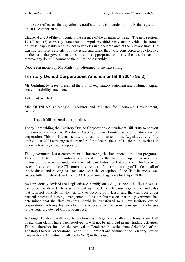bill to take effect on the day after its notification. It is intended to notify the legislation on 10 December 2004.

Clauses 4 and 5 of the bill contain the essence of the changes to the act. The new sections 171(2) and (3) expressly state that a compulsory third party motor vehicle insurance policy is inapplicable with respect to vehicles in a declared area at the relevant time. The existing provisions are silent on the issue, and while they were considered to be effective in the past, the government considers it is appropriate to clarify the position and to remove any doubt. I commend the bill to the Assembly.

Debate (on motion by **Mr Mulcahy**) adjourned to the next sitting.

# **Territory Owned Corporations Amendment Bill 2004 (No 2)**

**Mr Quinlan**, by leave, presented the bill, its explanatory statement and a Human Rights Act compatibility statement.

Title read by Clerk.

**MR QUINLAN** (Molonglo—Treasurer and Minister for Economic Development) (4.59): I move:

That this bill be agreed to in principle.

Today I am tabling the Territory Owned Corporations Amendment Bill 2004 to convert the company named as Rhodium Asset Solutions Limited into a territory owned corporation. This bill is consistent with a resolution passed in the Legislative Assembly on 5 August 2004 agreeing to the transfer of the fleet business of Totalcare Industries Ltd to a new territory owned corporation.

This government has a commitment to improving the implementation of its programs. This is reflected in the initiatives undertaken by the first Stanhope government to restructure the activities undertaken by Totalcare Industries Ltd, some of which provide essential services to the ACT community. As part of the restructuring of Totalcare, all of the business undertaking of Totalcare, with the exception of the fleet business, was successfully transferred back to the ACT government agencies by 1 April 2004.

As I previously advised the Legislative Assembly on 3 August 2004, the fleet business cannot be transferred into a government agency. This is because legal advice indicates that it is not possible for the territory to become both lessor and the employer under particular novated leasing arrangements. It is for this reason that the government has determined that the fleet business should be transferred to a new territory owned corporation. To bring this into effect it is necessary to enact some consequential changes to the Territory Owned Corporations Act.

Although Totalcare will need to continue as a legal entity after the transfer until all outstanding claims have been resolved, it will not be involved in any trading activities. The bill therefore includes the removal of Totalcare Industries from Schedule 1 of the Territory Owned Corporations Act of 1990. I present and commend the Territory Owned Corporations Amendment Bill 2004 (No 2) to the house.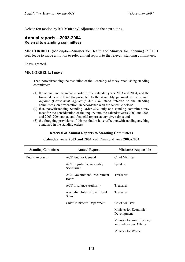Debate (on motion by **Mr Mulcahy**) adjourned to the next sitting.

## **Annual reports―2003-2004 Referral to standing committees**

**MR CORBELL** (Molonglo—Minister for Health and Minister for Planning) (5.01): I seek leave to move a motion to refer annual reports to the relevant standing committees.

Leave granted.

#### **MR CORBELL**: I move:

That, notwithstanding the resolution of the Assembly of today establishing standing committees:

- (1) the annual and financial reports for the calendar years 2003 and 2004, and the financial year 2003-2004 presented to the Assembly pursuant to the *Annual Reports (Government Agencies) Act 2004* stand referred to the standing committees, on presentation, in accordance with the schedule below:
- (2) that, notwithstanding Standing Order 229, only one standing committee may meet for the consideration of the inquiry into the calendar years 2003 and 2004 and 2003-2004 annual and financial reports at any given time; and
- (3) the foregoing provisions of this resolution have effect notwithstanding anything contained in the standing orders.

### **Referral of Annual Reports to Standing Committees**

| <b>Standing Committee</b> | <b>Annual Report</b>                           | Minister/s responsible                                |
|---------------------------|------------------------------------------------|-------------------------------------------------------|
| <b>Public Accounts</b>    | <b>ACT</b> Auditor General                     | <b>Chief Minister</b>                                 |
|                           | <b>ACT</b> Legislative Assembly<br>Secretariat | Speaker                                               |
|                           | <b>ACT Government Procurement</b><br>Board     | Treasurer                                             |
|                           | <b>ACT</b> Insurance Authority                 | Treasurer                                             |
|                           | Australian International Hotel<br>School       | Treasurer                                             |
|                           | Chief Minister's Department                    | <b>Chief Minister</b>                                 |
|                           |                                                | Minister for Economic<br>Development                  |
|                           |                                                | Minister for Arts, Heritage<br>and Indigenous Affairs |
|                           |                                                | Minister for Women                                    |

## **Calendar years 2003 and 2004 and Financial year 2003-2004**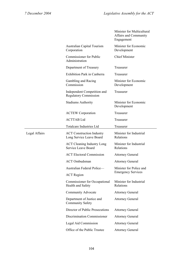|               |                                                              | Minister for Multicultural<br><b>Affairs and Community</b><br>Engagement |
|---------------|--------------------------------------------------------------|--------------------------------------------------------------------------|
|               | Australian Capital Tourism<br>Corporation                    | Minister for Economic<br>Development                                     |
|               | Commissioner for Public<br>Administration                    | <b>Chief Minister</b>                                                    |
|               | Department of Treasury                                       | Treasurer                                                                |
|               | <b>Exhibition Park in Canberra</b>                           | Treasurer                                                                |
|               | Gambling and Racing<br>Commission                            | Minister for Economic<br>Development                                     |
|               | Independent Competition and<br><b>Regulatory Commission</b>  | Treasurer                                                                |
|               | <b>Stadiums Authority</b>                                    | Minister for Economic<br>Development                                     |
|               | <b>ACTEW Corporation</b>                                     | Treasurer                                                                |
|               | <b>ACTTAB Ltd</b>                                            | Treasurer                                                                |
|               | <b>Totalcare Industries Ltd</b>                              | Treasurer                                                                |
| Legal Affairs | <b>ACT Construction Industry</b><br>Long Service Leave Board | Minister for Industrial<br>Relations                                     |
|               | <b>ACT Cleaning Industry Long</b><br>Service Leave Board     | Minister for Industrial<br>Relations                                     |
|               | <b>ACT Electoral Commission</b>                              | <b>Attorney General</b>                                                  |
|               | <b>ACT</b> Ombudsman                                         | <b>Attorney General</b>                                                  |
|               | Australian Federal Police—                                   | Minister for Police and                                                  |
|               | <b>ACT</b> Region                                            | <b>Emergency Services</b>                                                |
|               | Commissioner for Occupational<br>Health and Safety           | Minister for Industrial<br>Relations                                     |
|               | Community Advocate                                           | <b>Attorney General</b>                                                  |
|               | Department of Justice and<br><b>Community Safety</b>         | <b>Attorney General</b>                                                  |
|               | Director of Public Prosecutions                              | <b>Attorney General</b>                                                  |
|               | Discrimination Commissioner                                  | <b>Attorney General</b>                                                  |
|               | Legal Aid Commission                                         | <b>Attorney General</b>                                                  |
|               | Office of the Public Trustee                                 | <b>Attorney General</b>                                                  |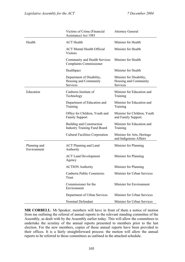|                             | Victims of Crime (Financial<br>Assistance) Act 1983                     | <b>Attorney General</b>                                       |
|-----------------------------|-------------------------------------------------------------------------|---------------------------------------------------------------|
| Health                      | <b>ACT</b> Health                                                       | Minister for Health                                           |
|                             | <b>ACT Mental Health Official</b><br><b>Visitors</b>                    | Minister for Health                                           |
|                             | Community and Health Services<br><b>Complaints Commissioner</b>         | Minister for Health                                           |
|                             | Healthpact                                                              | Minister for Health                                           |
|                             | Department of Disability,<br>Housing and Community<br>Services          | Minister for Disability,<br>Housing and Community<br>Services |
| Education                   | Canberra Institute of<br>Technology                                     | Minister for Education and<br>Training                        |
|                             | Department of Education and<br>Training                                 | Minister for Education and<br>Training                        |
|                             | Office for Children, Youth and<br><b>Family Support</b>                 | Minister for Children, Youth<br>and Family Support            |
|                             | <b>Building and Construction</b><br><b>Industry Training Fund Board</b> | Minister for Education and<br>Training                        |
|                             | <b>Cultural Facilities Corporation</b>                                  | Minister for Arts, Heritage<br>and Indigenous Affairs         |
| Planning and<br>Environment | <b>ACT Planning and Land</b><br>Authority                               | Minister for Planning                                         |
|                             | <b>ACT Land Development</b><br>Agency                                   | Minister for Planning                                         |
|                             | <b>ACTION</b> Authority                                                 | Minister for Planning                                         |
|                             | Canberra Public Cemeteries<br>Trust                                     | Minister for Urban Services                                   |
|                             | Commissioner for the<br>Environment                                     | Minister for Environment                                      |
|                             | Department of Urban Services                                            | Minister for Urban Services                                   |
|                             | Nominal Defendant                                                       | Minister for Urban Services                                   |

**MR CORBELL**: Mr Speaker, members will have in front of them a notice of motion from me outlining the referral of annual reports to the relevant standing committee of the Assembly, as dealt with by the Assembly earlier today. This will allow the committees to undertake the scrutiny of the annual reports presented to members prior to the last election. For the new members, copies of those annual reports have been provided to their offices. It is a fairly straightforward process: the motion will allow the annual reports to be referred to those committees as outlined in the attached schedule.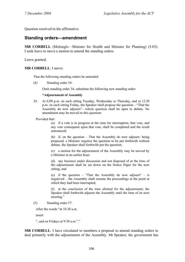Question resolved in the affirmative.

# **Standing orders—amendment**

**MR CORBELL** (Molonglo—Minister for Health and Minister for Planning) (5.03): I seek leave to move a motion to amend the standing orders.

Leave granted.

### **MR CORBELL**: I move:

That the following standing orders be amended:

(4) Standing order 34:

Omit standing order 34, substitute the following new standing order:

#### **"Adjournment of Assembly**

34. At 6.00 p.m. on each sitting Tuesday, Wednesday or Thursday, and at 12.30 p.m. on each sitting Friday, the Speaker shall propose the question—"That the Assembly do now adjourn"—which question shall be open to debate. No amendment may be moved to this question:

Provided that:

 (a) if a vote is in progress at the time for interruption, that vote, and any vote consequent upon that vote, shall be completed and the result announced;

 (b) if, on the question – That the Assembly do now adjourn- being proposed, a Minister requires the question to be put forthwith without debate, the Speaker shall forthwith put the question;

 (c) a motion for the adjournment of the Assembly may be moved by a Minister at an earlier hour;

 (d) any business under discussion and not disposed of at the time of the adjournment shall be set down on the Notice Paper for the next sitting; and

 (e) if the question – "That the Assembly do now adjourn" – is negatived – the Assembly shall resume the proceedings at the point at which they had been interrupted;

 (f) at the conclusion of the time allotted for the adjournment, the Speaker shall forthwith adjourn the Assembly until the time of its next meeting."

(5) Standing order 27:

After the words "at 10.30 a.m.

insert

", and on Fridays at 9.30 a.m."."

**MR CORBELL**: I have circulated to members a proposal to amend standing orders to deal primarily with the adjournment of the Assembly. Mr Speaker, the government has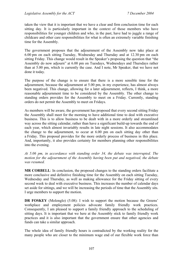taken the view that it is important that we have a clear and firm conclusion time for each sitting day. It is particularly important in the context of those members who have responsibilities for younger children and who, in the past, have had to juggle a range of childcare and other care responsibilities for what is often an extremely variable finishing time for the Assembly.

The government proposes that the adjournment of the Assembly now take place at 6.00 pm on each sitting Tuesday, Wednesday and Thursday and at 12.30 pm on each sitting Friday. This change would result in the Speaker's proposing the question that "the Assembly do now adjourn" at 6.00 pm on Tuesdays, Wednesdays and Thursdays rather than at 5.00 pm, which is currently the case. And I note, Mr Speaker, that we have not done it today.

The purpose of the change is to ensure that there is a more sensible time for the adjournment, because the adjournment at 5.00 pm, in my experience, has almost always been negatived. This change, allowing for a later adjournment, reflects, I think, a more reasonable adjournment time to be considered by the Assembly. The other change to standing orders provides for the Assembly to meet on a Friday. Currently, standing orders do not permit the Assembly to meet on Fridays.

As members will be aware, the government has proposed that every second sitting Friday the Assembly shall meet for the morning to have additional time to deal with executive business. This is to allow business to be dealt with in a more orderly and streamlined way across the sitting calendar, rather than have a significant build-up towards the end of each year, which almost invariably results in late night sessions. It also accommodates the change to the adjournment, to occur at 6.00 pm on each sitting day other than a Friday. This proposal provides for the more orderly process of business in this place. And, importantly, it also provides certainty for members planning other responsibilities into the evening.

*At 5.06 pm, in accordance with standing order 34, the debate was interrupted. The motion for the adjournment of the Assembly having been put and negatived, the debate was resumed.* 

**MR CORBELL**: In conclusion, the proposed changes to the standing orders facilitate a more conclusive and definitive finishing time for the Assembly on each sitting Tuesday, Wednesday and Thursday, as well as making allowance for the Friday sitting of every second week to deal with executive business. This increases the number of calendar days set aside for sittings, and we will be increasing the periods of time that the Assembly sits. I urge members to support the motion.

**DR FOSKEY** (Molonglo) (5.08): I wish to support the motion because the Greens' workplace and employment policies advocate family friendly work practices. Consequently, I am pleased to support a family friendly approach to the scheduling of sitting days. It is important that we here at the Assembly stick to family friendly work practices and it is also important that the government ensure that other agencies and funds can take a similar approach.

The whole idea of family friendly hours is contradicted by the working reality for the many people who are closer to the minimum wage end of our flexible work force than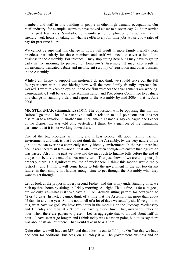members and staff in this building or people in other high demand occupations. Our retail industry, for example, seems to have moved closer to a seven-day, 24-hour service in the past few years. Similarly, community sector employees only achieve family friendly work hours by taking on what are effectively full-time jobs at fairly low rates of pay for part-time hours.

We cannot be sure that this change in hours will result in more family friendly work practices, particularly for those members and staff who need to cover a lot of the business in the Assembly. For instance, I may stop sitting here but I may have to get up early in the morning to prepare for tomorrow's Assembly. It may also result in unreasonably truncated debate and insufficient scrutiny of legislation and other business in the Assembly.

While I am happy to support this motion. I do not think we should serve out the full four-year term without considering how well the new family friendly approach has worked. I want to keep an eye on it and confirm whether the arrangements are working. Consequently, I will be asking the Administration and Procedures Committee to evaluate this change in standing orders and report to the Assembly by mid-2006—that is, June 2006.

**MR STEFANIAK** (Ginninderra) (5.01): The opposition will be opposing this motion. Before I go into a lot of substantive detail in relation to it, I point out that it is not dissimilar to a situation in another small parliament, Tasmania. My colleague, the Leader of the Opposition, was told only yesterday, I think, by a member of the Tasmanian parliament that it is not working down there.

One of the big problems with this, and I hear people talk about family friendly environments and that, is that I do not think that the Assembly, by the very nature of the job it does, can ever be a completely family friendly environment. In the past, there has been a real need to sit late—not all that often but often enough—to ensure that legislation was passed. Also in the past we have had the mad rush to finalise bills before the end of the year or before the end of an Assembly term. That just shows if we are doing our job properly there is a significant volume of work there. I think this motion would really restrict it and I think it will come home to bite the government in the not too distant future, in their simply not having enough time to get through the Assembly what they want to get through.

Let us look at the proposal. Every second Friday, and this is my understanding of it, we pick up three hours by sitting on Friday morning. All right. That is fine, as far as it goes, but we only sit—what is it? We have a 13 or 14-week sitting pattern for next year, so 42 or 45 days. In fact, I cannot think of a time that the Assembly sat more than about 45 days in any one year. So it is not a hell of a lot of days we actually sit. If we go on to this, what have we got? We have two hours in the morning on the Tuesday, Wednesday and Thursday and then, at 2.30 pm, we have question time. That, invariably, takes an hour. Then there are papers to present. Let us aggregate that to around about half an hour—I have seen it go longer, and I think today was a case in point, but let us say there was about half an hour there. That would take us to 4.00 pm.

Quite often we will have an MPI and that takes us out to 5.00 pm. On Tuesday we have one hour for additional business, on Thursday it will be government business and on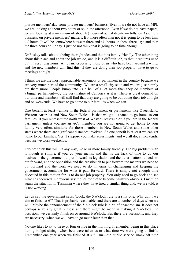private members' day some private members' business. Even if we do not have an MPI, we are looking at about two hours or so in the afternoon. Even if we do not have papers, we are looking at a maximum of about 4½ hours of actual debate on bills, on Assembly business, on private members' matters. But more often than not it is going to be less than  $4\frac{1}{2}$  hours. It will be somewhere between three and  $4\frac{1}{2}$  hours on those three days and then the three hours on Friday. I just do not think that is going to be time enough.

Dr Foskey talks about it being the right idea and that it is family friendly. The other thing about this place and about the job we do, and it is a difficult job, is that it requires us to put in very long hours. All of us, especially those of us who have been around a while, and the new members will find this, if they are doing their job properly, have to go to meetings at night.

I think we are the most approachable Assembly or parliament in the country because we are very much part of the community. We are a small city-state and we are just simply out there more. People bump into us a hell of a lot more than they do members of a bigger parliament—by the very nature of Canberra as it is. There is great demand on our time and members will still find that they are going to be out doing their job at night and on weekends. We have to go home to our families when we can.

One benefit at least—unlike in the federal parliament or parliaments like Queensland, Western Australia and New South Wales—is that we get a chance to go home to our families. If you represent the north west of Western Australia or if you are in the federal parliament, unless you are an ACT member, you are not going to get home to your family very often, similarly for those members in New South Wales and some other states where there are significant distances involved. So one benefit is at least we can get home to our families. Yes, I suppose you make adjustments, and we all do, at weekends, because we work weekends.

I do not think this will, in any way, make us more family friendly. The big problem with it though is simple, if you do your maths, and that is the lack of time to do our business—the government to put forward its legislation and the other matters it needs to put forward, and the opposition and the crossbench to put forward the matters we need to put forward and the work we need to do in terms of challenging and keeping the government accountable for what it puts forward. There is simply not enough time allocated in this motion for us to do our job properly. You only need to go back and see what has occurred in previous assemblies for that to become painfully obvious. I mention again the situation in Tasmania where they have tried a similar thing and, we are told, it is not working.

Let us say the government says, 'Look, the 5 o'clock rule is a silly one. Why don't we aim to finish at 6?' That is probably reasonable, and there are a number of days when we will. Maybe the announcement of the 5 o'clock rule is a bit of anachronism. It does not perhaps serve any great purpose and there might be merit in making it 6 o'clock. On occasions we certainly finish on or around 6 o'clock. But there are occasions, and they are necessary, when we will have to go much later than that.

No-one likes to sit to three or four or five in the morning. I remember being in this place during budget sittings when bets were taken as to what time we were going to finish. I remember one year when we finished at 4.51 am—the public service knock off time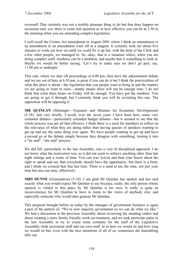reversed! That certainly was not a terribly pleasant thing to do but that does happen on occasions and, yes, there is some real question as to how effective you can be at 2.30 in the morning when you are amending complex legislation.

I well recall the Crimes Act amendment in August 2001 where I think an amendment to an amendment to an amendment went off in a tangent. It certainly took me about five minutes to work out how on earth we could fix it up but, with the help of the Clerk and a few other people, we managed to. So, okay, that is a situation where, when you are doing complex stuff, tiredness can be a problem, and maybe that is something to look at. Maybe we would be better saying. 'Let's try to make sure we don't go past, say, 11.00 pm or midnight.'

This rule, where we shut off proceedings at 6.00 pm, then have the adjournment debate and we are out of here at 6.30 pm, is great if you can do it but I think the practicalities of what this place is about—the legislation that you people want to bring in and the matters we are going to want to raise—simply means there will not be enough time. I do not think that extra three hours on Friday will be enough. You have got the numbers. You are going to get it through, but I certainly think you will be revisiting this one. The opposition will be opposing it.

**MR QUINLAN** (Molonglo—Treasurer and Minister for Economic Development) (5.18): Just very briefly, I recall, over the seven years I have been here, some very extended debates—particularly extended budget debates—but it seemed to me that the whole process was not all that effective. I think there is a need for members to reflect on the relevance of what they are doing rather than having queues of speakers wanting to get up and say the same thing over again. We have people wanting to get up and have a second go at the debate simply because they disagree with something, turning it into a "he said", "she said" process.

We did fall, particularly in the last Assembly, into a very ill disciplined approach. I do not know what the motivation was, as it did not seem to achieve anything other than late night sittings and a waste of time. You can wax lyrical and beat your breast about the right to speak and say that everybody should have the opportunity, but there is a limit, and I think we crossed that line last time. There is a need to use the time, not just your time but also our time, effectively.

**MRS DUNNE** (Ginninderra) (5.19): I am glad Mr Ouinlan has spoken and has said exactly what you would expect Mr Quinlan to say because, really, the only person whose opinion is valued in this place by Mr Quinlan is his own. It really is quite an inconvenience for Mr Quinlan to have to listen to the views of anybody else, and especially someone who would dare gainsay Mr Quinlan.

This proposal brought before us today by the manager of government business is again a part of the pattern of, "We're now majority government so we can do what we like." We had a discussion in the previous Assembly about reviewing the standing orders and about creating a more family friendly work environment, and we took particular pains in the last Assembly to try to create some certainty for the staff of the Legislative Assembly, both secretariat staff and our own staff, as to how we would sit and how long we would sit but, even with the best intentions of all of us, sometimes the timetabling falls out.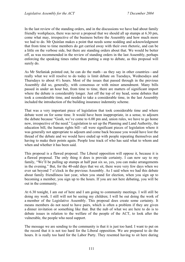In the last review of the standing orders, and in the discussions we have had about family friendly workplaces, there was never a proposal that we should all up stumps at 6.30 pm, come what may, irrespective of the business before the Assembly and how much more we had to do. Mr Quinlan makes a point that needs some nodding and acknowledgment that from time to time members do get carried away with their own rhetoric, and can be a little on the verbose side, but there are standing orders about that. We would be better off, as was recommended in the review of standing orders in the last Assembly, perhaps enforcing the speaking times rather than putting a stop to debate, as this proposal will surely do.

As Mr Stefaniak pointed out, he can do the math—as they say in other countries—and really what we will resolve to do today is limit debate on Tuesdays, Wednesdays and Thursdays to about  $4\frac{1}{2}$  hours. Most of the issues that passed through in the previous Assembly did so, generally, with consensus or with minor amendment. Many bills passed in under an hour but, from time to time, there are matters of significant import where the debate is considerably longer. Just off the top of my head, some debates that took a considerable time, and needed to take a considerable time, in the last Assembly included the introduction of the building insurance indemnity scheme.

That was a very important piece of legislation that took considerable time and where debate went on for some time. It would have been inappropriate, in a sense, to adjourn the debate because "Gosh, we've come to 6.00 pm and, union rules, we have to go home now, irrespective of the need." Legislation to set up the Planning and Land Authority, the education bill, the human rights bill—all were significant pieces of legislation where it was generally not appropriate to adjourn and come back because you would have lost the thread of the debate and we would have ended up with people repeating themselves and having to make their points again. People lose track of who has said what to whom and when and whether it has been said.

This proposal is a flawed proposal. The Liberal opposition will oppose it, because it is a flawed proposal. The only thing it does is provide certainty. I can now say to my family, "We'll be pulling up stumps at half past six so, yes, you can make arrangements in the evening." But, for the 40-odd days that we sit, there were very few days when we ever sat beyond 7 o'clock in the previous Assembly. As I said when we had this debate about family friendliness last year, when you stand for election, when you sign up to becoming a member, you sign up to the hours. If you are not here debating, you will be out in the community.

At 6.30 tonight, I am out of here and I am going to community meetings. I will still be doing my work. I still will not be seeing my children; I will be out doing the work of a member of the Legislative Assembly. This proposal does create some certainty. It means members do not need to have pairs, which is often a problem if they are given a dinner invitation or something like that. But the nub of what we are here to do is to debate issues in relation to the welfare of the people of the ACT, to look after the vulnerable, the people who need support.

The message we are sending to the community is that it is just too hard. I want to put on the record that it is not too hard for the Liberal opposition. We are prepared to do the hours. It is really too hard for the Labor Party. They resented having to sit here during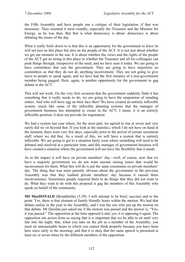the Fifth Assembly and have people run a critique of their legislation, if that was necessary. They resented it most roundly, especially the Treasurer and the Minister for Energy, as he was then. But that is what democracy is about: democracy is about debating the issues of the day.

What it really boils down to is that this is an opportunity for the government to force its will not just on this place but also on the people of the ACT. It is not just about whether we get our moment in the sun. It is about whether the views and the rights of the people of the ACT get an airing in this place or whether the Treasurer and all his colleagues can push things through, irrespective of the need, and we have seen it today. We are going to have committees that suit the government. They are going to have majorities on committees so that they do not do anything inconvenient. They are not going to give leave to people to speak again, and we have had the first instance of a non-government member being gagged. Here, again, is another opportunity for the government to gag debate in the ACT.

This will not work. On the very first occasion that the government suddenly finds it has something that it really needs to do, we are going to have the suspension of standing orders. And who will have egg on their face then? We have created an entirely inflexible system, much like some of the inflexible planning systems that the manager of government business has attempted to create in the ACT; I mean, it is an entirely inflexible position, it does not provide for negotiation.

We had a system last year where, for the most part, we agreed to rise at seven and very rarely did we sit beyond that. If you look at the statistics, which I do not have on hand at the moment, there were very few days, especially prior to the arrival of certain secretariat staff, where we did that. As a result of this, we will have a system that is entirely inflexible. We are going to get to a situation fairly soon where something will need to be debated and resolved at a particular time, and this manager of government business will have created a situation where the government will not have the flexibility that it needs.

As to the impact it will have on private members' day—well, of course, now that we have a majority government we do not want anyone raising issues that would be inconvenient for them. What this will do is put the same constraints on private members' day. The thing that was most patently obvious about the government in the previous Assembly was that they loathed private members' day because it caused them inconvenience. Sometimes people required them to do things that they did not want to do. What they want to do with this proposal is gag the members of this Assembly who speak on behalf of the community.

**MS MacDONALD** (Brindabella) (5.29): I will attempt to be brief, succinct and to the point. Yes, there is that element of family friendly hours within the motion. We had that debate earlier in the year in the Assembly, and I was the one who put up the motion on that debate. Mr Quinlan just asked me if the motion was passed and the answer is, "Yes, it was passed." The opposition at the time opposed it and, yes, it is opposing it again. The opposition sits across from us saying that it is important that we be able to sit until very late into the night; that, when you take on the job as a member of the Assembly, you must sit unreasonable hours in which you cannot think properly because you have been here since early in the morning; and that it is okay that the same speech is presented at least six or seven times by the different members of the opposition.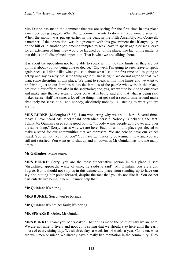Mrs Dunne has made the comment that we are seeing for the first time in this place a member being gagged. What the government wants to do is enforce some discipline. When the motion was put up earlier in the year, in the Fifth Assembly, Mr Cornwell, a member of the opposition, was in agreement with this government that if anybody up on the hill or in another parliament attempted to seek leave to speak again or seek leave for an extension of time they would be laughed out of the place. The fact of the matter is that this is an ill disciplined opposition. That is what we are talking about.

It is about the opposition not being able to speak within the time limits, as they are put up. It is about you not being able to decide, "Oh, well, I'm going to seek leave to speak again because I didn't like what you said about what I said the first time so I'm going to get up and say exactly the same thing again." That is right; we do not agree to that. We want some discipline in this place. We want to speak within time limits and we want to be fair not just to our families but to the families of the people who work in this place, not just in our offices but also in the secretariat; and, yes, we want to be kind to ourselves and make sure that we actually focus on what is being said and that what is being said makes sense. Half the time, a lot of the things that get said a second time around make absolutely no sense at all and nobody, absolutely nobody, is listening to what you are saying.

**MRS BURKE** (Molonglo) (5.32): I am wondering why we are all here. Several times today I have heard Ms MacDonald contradict herself. Nobody is debating the fact. I think Mr Quinlan raised some good points: "nobody wants people going over and over the same thing." Sorry, that is why we are here. Each of us in this place got elected to make a stand for our communities that we represent. We are here to have our voices heard. You do not like it, do you? You have got majority government now and you are still not satisfied. You want us to shut up and sit down, as Mr Quinlan has told me many times.

**Ms Gallagher**: Make sense.

**MRS BURKE**: Sorry, you are the most authoritative person in this place. I see: "disciplined approach; waste of time; he said/she said". Mr Quinlan, you are right. I agree. But it should not stop us in this democratic place from standing up to have our say and putting our point forward, despite the fact that you do not like it. You do not particularly like being in here. I cannot help that.

**Mr Quinlan**: It's boring.

**MRS BURKE**: Sorry, you're boring?

**Mr Quinlan**: It's not her fault; it's boring.

**MR SPEAKER**: Order, Mr Quinlan!

**MRS BURKE**: Thank you, Mr Speaker. That brings me to the point of why we are here. We are not nine-to-fivers and nobody is saying that we should stay here until the early hours of every sitting day. We sit three days a week for 14 weeks a year. Come on, what are we—men or mice? We already have a really bad reputation in the community. They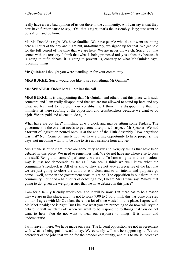really have a very bad opinion of us out there in the community. All I can say is that they now have further cause to say, "Oh, that's right; that's the Assembly; lazy; just want to do a 9 to 5 and go home."

Ms MacDonald is right. We have families. We have people who do not want us sitting here all hours of the day and night but, unfortunately, we signed up for that. We get paid for the full period of the time that we are here. We are never off watch. Sorry, but that comes with the territory. I think that what is being proposed today is unhealthy because it is going to stifle debate; it is going to prevent us, contrary to what Mr Quinlan says, repeating things.

**Mr Quinlan**: I thought you were standing up for your community.

**MRS BURKE**: Sorry, would you like to say something, Mr Quinlan?

**MR SPEAKER**: Order! Mrs Burke has the call.

**MRS BURKE**: It is disappointing that Mr Quinlan and others treat this place with such contempt and I am really disappointed that we are not allowed to stand up here and say what we feel and to represent our constituents. I think it is disappointing that the ministers sit there scoffing at the opposition and crossbenchers because we want to do a job. We are paid and elected to do a job.

What have we got here? Finishing at 6 o'clock and maybe sitting some Fridays. The government is the one that needs to get some discipline, I suspect, Mr Speaker. We had a torrent of legislation poured onto us at the end of the Fifth Assembly. How organised was that? Not! Come on, surely now we have a prime opportunity to have proper sitting days, not meddling with it, to be able to rise at a sensible hour anyway.

Mrs Dunne is quite right: there are some very heavy and weighty things that have been debated in this place. We need to remember that. We do not have anywhere else to pass this stuff. Being a unicameral parliament, we are it. To hamstring us in this ridiculous way is just not democratic as far as I can see. I think we well know what the community's feedback is. All of us know. They are not very appreciative of the fact that we are just going to close the doors at 6 o'clock and to all intents and purposes go home—well, some in the government seats might be. The opposition is out there in the community. Four and a half hours of debating time, I heard Mrs Dunne say. What's that going to do, given the weighty issues that we have debated in this place?

I am for a family friendly workplace, and it will be now. But there has to be a reason why we are in this place, and it is not to work 9.00 to 5.00. I think this has gone one step too far. I agree with Mr Quinlan: there is a lot of time wasted in this place. I agree with Ms MacDonald; she is right. But I believe what you are proposing to do now will stymie debate; it will switch us off when we want to be responding to things that you do not want to hear. You do not want to hear our response to things. It is unfair and undemocratic.

I will leave it there. We have made our case. The Liberal opposition are not in agreement with what is being put forward today. We certainly will not be supporting it. We are defenders of the jobs that we do for the broader community, and this to me is indicative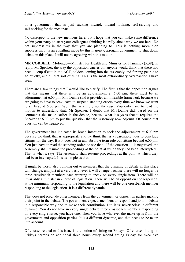of a government that is just sucking inward, inward looking, self-serving and self-seeking for the most part.

No disrespect to the new members here, but I hope that you can make some difference within your party to start your colleagues thinking laterally about why we are here. Do not suppress us in the way that you are planning to. This is nothing more than suppression. It is an appalling move by this majority, arrogant government to shut down debate in this place. I will not be agreeing with this motion.

**MR CORBELL** (Molonglo—Minister for Health and Minister for Planning) (5.38): in reply: Mr Speaker, the way the opposition carries on, anyone would think that there had been a coup d'etat in the ACT, solders coming into the Assembly and forcing people to go quietly, and all that sort of thing. This is the most extraordinary overreaction I have seen.

There are a few things that I would like to clarify. The first is that the opposition argues that this means that there will be an adjournment at 6.00 pm; there must be an adjournment at 6.00 pm. Mrs Dunne said it provides an inflexible framework because we are going to have to seek leave to suspend standing orders every time we know we want to sit beyond 6.00 pm. Well, that is simply not the case. You only have to read the motion to understand that, Mr Speaker. I doubt that Mrs Dunne did, based on the comments she made earlier in the debate, because what it says is that it requires the Speaker at 6.00 pm to put the question that the Assembly now adjourn. Of course that question can be negatived.

The government has indicated its broad intention to seek the adjournment at 6.00 pm because we think that is appropriate and we think that is a reasonable hour to conclude sittings for the day. But it does not in any absolute term rule out sitting beyond 6.00 pm. You just have to read the standing orders to see that: "If the question … is negatived, the Assembly shall resume the proceedings at the point at which they had been interrupted." That is what it says. The Assembly shall resume proceedings at the point at which they had been interrupted. It is as simple as that.

It might be worth also pointing out to members that the dynamic of debate in this place will change, and just at a very basic level it will change because there will no longer be three crossbench members each wanting to speak on every single item. There will be invariably a minister in charge of legislation. There will be an opposition spokesperson, at the minimum, responding to the legislation and there will be one crossbench member responding to the legislation. It is a different dynamic.

That does not preclude other members from the government or opposition parties making their point in the debate. The government expects members to respond and join in debate in a responsible way and to make their contribution. But it is, nevertheless, a different dynamic. You do not have in every single debate three crossbench members responding on every single issue; you have one. Then you have whatever the make-up is from the government and opposition parties. It is a different dynamic, and that needs to be taken into account.

Of course, related to this issue is the notion of sitting on Fridays. Of course, sitting on Fridays permits an additional three hours every second sitting Friday for executive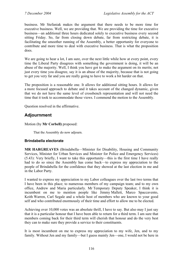business. Mr Stefaniak makes the argument that there needs to be more time for executive business. Well, we are providing that. We are providing the time for executive business—an additional three hours dedicated solely to executive business every second sitting Friday. So, far from closing down debate, far from restricting debate, it is facilitating the smoother running of the Assembly, a better opportunity for everyone to contribute and more time to deal with executive business. That is what the proposition does.

We are going to hear a lot, I am sure, over the next little while how at every point, every time the Liberal Party disagrees with something the government is doing, it will be an abuse of the majority. Well, I think you have got to make the argument on its merits; not just every time you disagree, say it is an abuse of the majority, because that is not going to get you very far and you are really going to have to work a bit harder on that.

The proposition is a reasonable one. It allows for additional sitting hours. It allows for a more focused approach to debate and it takes account of the changed dynamic, given that we do not have the same level of crossbench representation and will not need the time that it took to accommodate those views. I commend the motion to the Assembly.

Question resolved in the affirmative.

# **Adjournment**

Motion (by **Mr Corbell)** proposed:

That the Assembly do now adjourn.

## **Brindabella electorate**

**MR HARGREAVES** (Brindabella—Minister for Disability, Housing and Community Services, Minister for Urban Services and Minister for Police and Emergency Services) (5.43): Very briefly, I want to take this opportunity—this is the first time I have really had to do so since the Assembly has come back—to express my appreciation to the people of Brindabella for the confidence that they showed at the last election in me and in the Labor Party.

I wanted to express my appreciation to my Labor colleagues over the last two terms that I have been in this place; to numerous members of my campaign team; and to my own office, Andrew and Maria particularly. Mr Temporary Deputy Speaker, I think it is incumbent on me to mention people like Jimmy Mallett, Marco Spaccavento, Keith Warren, Carl Segale and a whole host of members who are known to your good self and who contributed enormously of their time and effort to allow me to be elected.

Achieving over 10,000 votes was an absolute thrill, I have to say. But also may I just say that it is a particular honour that I have been able to return for a third term. I am sure that members coming back for their third term will cherish that honour and do the very best they can to make sure they provide a service to their constituents.

It is most incumbent on me to express my appreciation to my wife, Jen, and to my family. Without Jen and my family—but I guess mainly Jen—one, I would not be here in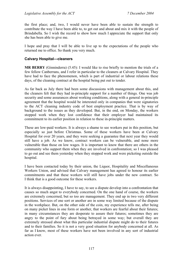the first place; and, two, I would never have been able to sustain the strength to contribute the way I have been able to, to get out and about and mix it with the people of Brindabella. So I wish the record to show how much I appreciate the support that only she has been able to give me.

I hope and pray that I will be able to live up to the expectations of the people who returned me to office. So thank you very much.

## **Calvary Hospital—cleaners**

**MR BERRY** (Ginninderra) (5.45): I would like to rise briefly to mention the trials of a few fellow Canberrans, and I refer in particular to the cleaners at Calvary Hospital. They have had to face the phenomenon, which is part of industrial or labour relations these days, of the cleaning contract at the hospital being put out to tender.

As far back as July there had been some discussions with management about this, and the cleaners felt that they had in-principle support for a number of things. One was job security and some assurances about working conditions, along with a general in-principle agreement that the hospital would be interested only in companies that were signatories to the ACT cleaning industry code of best employment practice. That is by way of background to the issues as they developed. But, in the end, on Monday, the workers stopped work when they lost confidence that their employer had maintained its commitment to its earlier position in relation to these in-principle matters.

These are low-paid workers. It is always a shame to see workers put in this position, but especially so just before Christmas. Some of these workers have been at Calvary Hospital for over 20 years, and they were seeking a guarantee that next year they would still have a job. As we know, contract workers can be vulnerable, and none more vulnerable than those on low wages. It is important to know that there are others in the community who support them when they are involved in confrontation; so I was pleased to go out and see them yesterday when they stopped work and were picketing outside the hospital.

I have been contacted today by their union, the Liquor, Hospitality and Miscellaneous Workers Union, and advised that Calvary management has agreed to honour its earlier commitments and that these workers will still have jobs under the new contract. So I think that is a good outcome for these workers.

It is always disappointing, I have to say, to see a dispute develop into a confrontation that causes so much angst to everybody concerned. On the one hand of course, the workers are extremely concerned, but so too are management. They end up in two very different positions. Services of one sort or another are in some way limited because of the dispute in the workplace. But, on the other side of the coin, my experience tells me, after being on many picket lines in one form or another, that workers are fearful about their futures; in many circumstances they are desperate to assure their futures; sometimes they are angry to the point of fury about being betrayed in some way; but overall they are extremely stressed about what this particular industrial dispute might do to their futures and to their families. So it is not a very good situation for anybody concerned at all. As far as I know, most of these workers have not been involved in any sort of industrial action ever.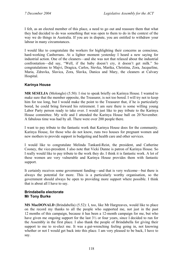I felt, as an elected member of this place, a need to go out and reassure them that what they had decided to do was something that was open to them to do in the context of the way we do things in Australia. If you are in dispute, you are entitled to withdraw your labour in many circumstances.

I would like to congratulate the workers for highlighting their concerns as conscious, hard-working Canberrans. At a lighter moment yesterday I heard a new saying for industrial action. One of the cleaners—and she was not that relaxed about the industrial confrontation—did say, "Well, if the baby doesn't cry, it doesn't get milk." So congratulations to Majvi, Dragica, Carlos, Stevka, Marika, Christina, Zora, Jacqueline, Maria, Zdravka, Slavica, Zora, Slavka, Danica and Mary, the cleaners at Calvary Hospital.

## **Karinya House**

**MR SESELJA** (Molonglo) (5.50): I rise to speak briefly on Karinya House. I wanted to make sure that the member opposite, the Treasurer, is not too bored. I will try not to keep him for too long, but I would make the point to the Treasurer that, if he is particularly bored, he could bring forward his retirement. I am sure there is some willing young Labor Party person ready to take over. I would just like to pay tribute to the Karinya House committee. My wife and I attended the Karinya House ball on 20 November. A fabulous time was had by all. There were over 200 people there.

I want to pay tribute to the fantastic work that Karinya House does for the community. Karinya House, for those who do not know, runs two houses for pregnant women and new mothers to provide support in budgeting and health care and other services.

I would like to congratulate Melinda Tankard-Reist, the president, and Catherine Cooney, the vice-president. I also note that Vicki Dunne is patron of Karinya House. So I really would like to pay tribute to the work they do. I think it is fantastic work. A lot of these women are very vulnerable and Karinya House provides them with fantastic support.

It certainly receives some government funding—and that is very welcome—but there is always the potential for more. This is a particularly worthy organisation, so the government should always be open to providing more support where possible. I think that is about all I have to say.

### **Brindabella electorate Mr Tony Burke**

**MS MacDONALD** (Brindabella) (5.52): I, too, like Mr Hargreaves, would like to place on the record my thanks to all the people who supported me, not just in the past 12 months of this campaign, because it has been a 12-month campaign for me, but who have given me ongoing support for the last  $3\frac{1}{2}$  or four years, since I decided to run for the Assembly in the first place. I also thank the people of Brindabella for giving their support to me to re-elect me. It was a gut-wrenching feeling going in, not knowing whether or not I would get back into this place. I am very pleased to be back, I have to say.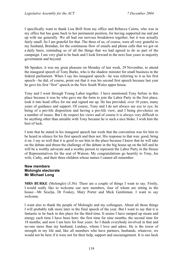I specifically want to thank Lisa Brill from my office and Rebecca Cairns, who was in my office but has gone back to her permanent position, for having supported me and put up with me generally. We all had our nervous breakdown together, but it was actually fairly small. So I am grateful for that. The three of us, of course, were all very grateful to my husband, Brendan, for the continuous flow of emails and phone calls that we got on a daily basis, reminding us of all the things that we had agreed to do as part of the campaign. I am very glad to be back and I look forward to the next four years in majority government and beyond.

Mr Speaker, it was my great pleasure on Monday of last week, 29 November, to attend the inaugural speech of Tony Burke, who is the shadow minister for small business in the federal parliament. When I say his inaugural speech—he was referring to it as his first speech—he did, of course, point out that it was his second first speech because last year he gave his first "first" speech in the New South Wales upper house.

Tony and I went through Young Labor together. I have mentioned Tony before in this place because it was he who gave me the form to join the Labor Party in the first place, took it into head office for me and signed me up. He has provided, over 10 years, many years of guidance and support. Of course, Tony and I do not always see eye to eye, he being of a pro-life disposition and having a pro-life view, and I being pro-choice on a number of issues. But I do respect his views and of course it is always very difficult to be anything other than amiable with Tony because he is such a nice bloke. I wish him the best of luck.

I note that he stated in his inaugural speech last week that the convention was for him to be heard in silence for his first speech and then not. His response to that was: good, bring it on. I say as well that it is good to see him in the place because I know that he will take on the debate and thrust the challenge of the debate in the big house up on the hill and he will be a worthy advocate and a worthy person to represent the Labor Party in the House of Representatives for the seat of Watson. My congratulations go heartily to Tony, his wife, Cathy, and their three children whose names I cannot all remember.

### **New members Molonglo electorate Mr Michael Long**

**MRS BURKE** (Molonglo) (5.56): There are a couple of things I want to say. Firstly, I would really like to welcome our new members, four of whom are sitting in the house—Mr Seselja, Dr Foskey, Mary Porter and Mick Gentleman. I want to say welcome.

I want also to thank the people of Molonglo and my colleagues. About all those things I will probably talk more later in the final speech of the year. But I want to say that it is fantastic to be back in this place for the third time. It seems I have ramped up steam and energy each time I have been here: the first time for nine months; the second time for 18 months; and now I am here for four years. So I thank everybody involved in that and no-one more than my husband, Lindsay, whom I love and adore. He is the tower of strength in my life and, like all members who have partners, husbands, whatever, we would not be here if it were not for their help, support and encouragement. It is one heck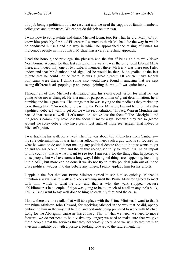of a job being a politician. It is no easy feat and we need the support of family members, colleagues and our parties. We cannot do this job on our own.

I want now to congratulate and thank Michael Long, too, for what he did. Many of you know him probably for his AFL career. I wanted to thank Michael for the way in which he conducted himself and the way in which he approached the raising of issues for indigenous people in this country. Michael has a very refreshing approach.

I had the honour, the privilege, the pleasure and the fun of being able to walk down Northbourne Avenue for that last stretch of his walk. I was the only local Liberal MLA there, and indeed only one of two Liberal members there. Mr Berry was there too. I also understand that Mr Stanhope had signalled he would be there but signalled at the last minute that he could not be there. It was a great turnout. Of course many federal politicians were there. I think some also would have found it amusing that we kept seeing different heads popping up and people joining the walk. It was quite funny.

Through all of that, Michael's demeanour and his steely-eyed vision for what he was going to do never changed. He is a man of purpose, a man of great determination; he is humble; and he is gracious. The things that he was saying to the media as they rocked up were things like: "I'm not here to bash up the Prime Minister; I'm not here to make this a political debate; I want to get on; we want reconciliation." In fact, Warren Mundine has backed that cause as well. "Let's move on; we've lost the focus." The Aboriginal and indigenous community have lost the focus in many ways. Because they are so geared around the sorry debate they have really lost sight of those real issues. That indeed is Michael's point.

I was tracking his walk for a week when he was about 400 kilometres from Canberra his sole determination. It was just marvellous to meet such a guy who is so focused on what he wants to do and is not making any political debate about it; he just wants to get on and see his people lifted and the culture recognised truly for what it is. As an import to this country, that is what I want to see too. I am sorry for the things that happened to those people, but we have come a long way. I think good things are happening, including in the ACT, but more can be done if we do not try to make political gain out of it and drive political wedges into this debate any longer. I really applaud him for his efforts.

I applaud the fact that our Prime Minister agreed to see him so quickly. Michael's intention always was to walk and keep walking until the Prime Minister agreed to meet with him, which is what he did—and that is why the walk stopped—because 400 kilometres in a couple of days was going to be too much of a call in anyone's book, I think. But I want to say well done to him; he certainly furthered the cause.

I know there are more talks that will take place with the Prime Minister. I want to thank our Prime Minister, John Howard, for receiving Michael in the way that he did, openly embracing him in the way that he did, and certainly being prepared to work with Michael Long for the Aboriginal cause in this country. That is what we need; we need to move forward; we do not need to be divisive any longer; we need to make sure that we give these people great the services that they desperately need. And we will do that not with a victim mentality but with a positive, looking forward to the future mentality.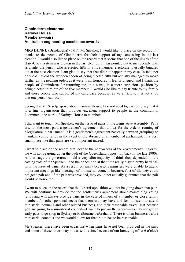#### **Ginninderra electorate Karinya House Members—pairs Australian engineering excellence awards**

**MRS DUNNE** (Brindabella) (6.01): Mr Speaker, I would like to place on the record my thanks to the people of Ginninderra for their support of my canvassing in the last election. I would also like to place on the record that it seems that one of the jinxes of the Hare-Clark system was broken in the last election. It was pointed out to me recently that, as a rule, the person who is elected fifth in a five-member electorate is usually bundled out at the next election. I am glad to say that that did not happen in my case. In fact, not only did I avoid the wooden spoon of being elected fifth but actually managed to move further up the pecking order, as it were. I am honoured; I feel privileged; and I thank the people of Ginninderra for returning me, in a sense, in a more auspicious position by being elected third out of the five members. I would also like to pay tribute to my family and those people who supported my candidacy because, as we all know, it is not a job that one person can do.

Seeing that Mr Seselja spoke about Karinya House, I do not need to, except to say that it is a fine organisation that provides excellent support to people in the community. I commend the work of Karinya House to members.

I did want to touch, Mr Speaker, on the issue of pairs in the Legislative Assembly. Pairs are, for the most part, a gentlemen's agreement that allows for the orderly running of a legislature, a parliament. It is a gentlemen's agreement basically between groupings to maintain voting ratios in the event of the absence of a member of parliament. In a very small place like this, pairs are very important indeed.

I want to place on the record that, despite the narrowness of the government's majority, we will not be going down the path of the Queensland opposition back in the late 1990s. At that stage the government held a very slim majority—I think they depended on the casting vote of the Speaker—and the opposition at that time really played pretty hard ball with the issue of pairs. As a result, on many occasions ministers were unable to attend important meetings like meetings of ministerial councils because, first of all, they could not get a pair and, if the pair was provided, they could not actually guarantee that the pair would be honoured.

I want to place on the record that the Liberal opposition will not be going down that path. We will continue to provide for the gentlemen's agreement about maintaining voting ratios and will always provide pairs in the case of illness of a member or close family member, for other personal needs that members may have and for ministers to attend ministerial councils and other related business, and their reasonable travel. Just because you are going to a ministerial council—I want to put on the record—you do not get an early pass to go shop in Sydney or Melbourne beforehand. There is often business before ministerial councils and we would allow for that, but it has to be reasonable.

Mr Speaker, there have been occasions when pairs have not been provided in the past, and some of these issues may not arise this time because of our bundying off at 6 o'clock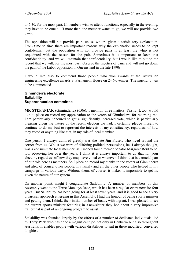or 6.30, for the most part. If members wish to attend functions, especially in the evening, they have to be crucial. If more than one member wants to go, we will not provide two pairs.

The opposition will not provide pairs unless we are given a satisfactory explanation. From time to time there are important reasons why the explanation needs to be kept confidential, but the opposition will not provide pairs if at least the whip is not acquainted with the reason for the pair. Sometimes it is important to keep that confidentiality, and we will maintain that confidentiality, but I would like to put on the record that we will, for the most part, observe the niceties of pairs and will not go down the path of the Labor opposition in Queensland in the late 1990s.

I would like also to commend those people who won awards at the Australian engineering excellence awards at Parliament House on 24 November. The ingenuity was to be commended.

#### **Ginninderra electorate Sailability Superannuation committee**

**MR STEFANIAK** (Ginninderra) (6.06): I mention three matters. Firstly, I, too, would like to place on record my appreciation to the voters of Ginninderra for returning me. I am particularly honoured to get a significantly increased vote, which is particularly pleasing given the nature of the recent election we had. I certainly pledge myself to continue to do my best to represent the interests of my constituency, regardless of how they voted or anything like that, in my role of local member.

One person I always admired greatly was the late Jim Fraser, who lived around the corner from us. Whilst we were of differing political persuasions, he, I always thought, was a consummate local member, as I indeed found former Senator Margaret Reid to be, too, observing her over the years. I think it is always important to do that for your electors, regardless of how they may have voted or whatever. I think that is a crucial part of our role here as members. So I place on record my thanks to the voters of Ginninderra and also, of course, other people, my family and all the other people who helped in my campaign in various ways. Without them, of course, it makes it impossible to get in, given the nature of our system.

On another point: might I congratulate Sailability. A number of members of this Assembly went to the Three Monkeys Race, which has been a regular event now for four years. But Sailability has been going for at least seven years, and it is good to see a very bipartisan approach emerging in this Assembly. I had the honour of being sports minister and getting them, I think, their initial number of boats, with a grant. I was pleased to see the current sports minister featuring in a newsletter they had about a very impressive trailer that is part of an ongoing program to assist.

Sailability was founded largely by the efforts of a number of dedicated individuals, led by Terry Peek who has done a magnificent job not only in Canberra but also throughout Australia. It enables people with various disabilities to sail in these modified, converted dinghies.